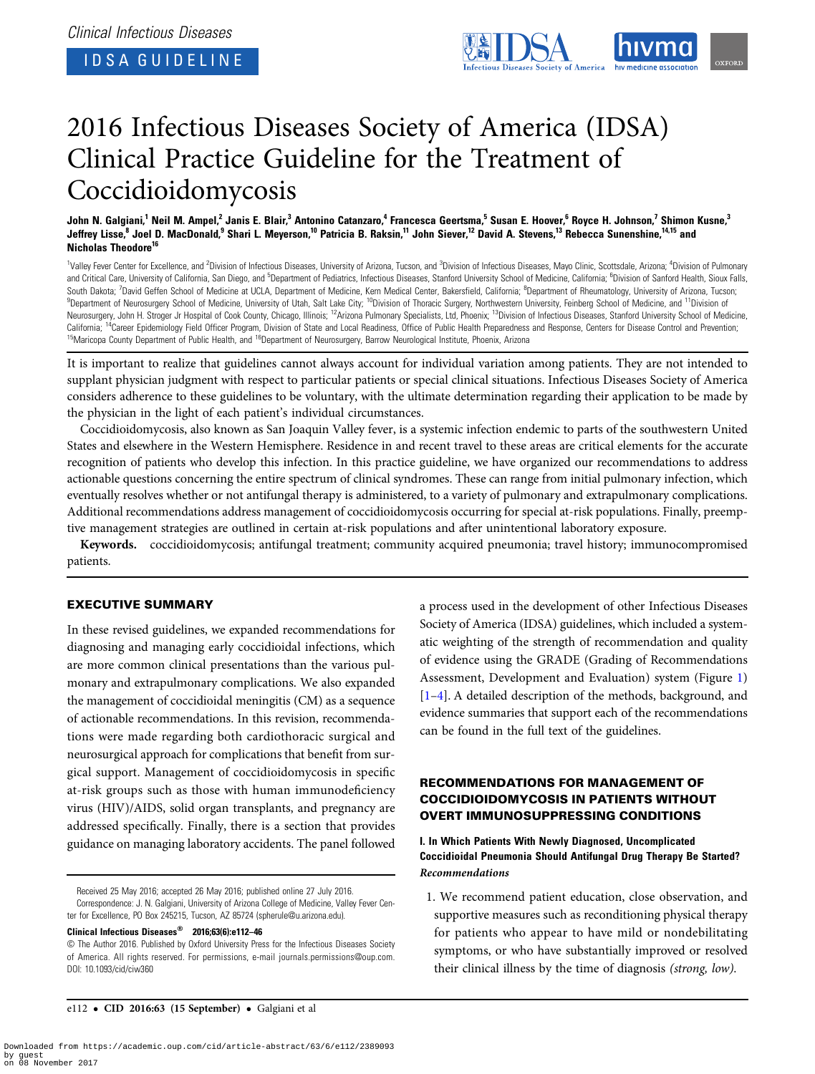

# 2016 Infectious Diseases Society of America (IDSA) Clinical Practice Guideline for the Treatment of Coccidioidomycosis

#### John N. Galgiani,<sup>1</sup> Neil M. Ampel,<sup>2</sup> Janis E. Blair,<sup>3</sup> Antonino Catanzaro,<sup>4</sup> Francesca Geertsma,<sup>5</sup> Susan E. Hoover,<sup>6</sup> Royce H. Johnson,<sup>7</sup> Shimon Kusne,<sup>3</sup> Jeffrey Lisse,<sup>8</sup> Joel D. MacDonald,<sup>9</sup> Shari L. Meyerson,<sup>10</sup> Patricia B. Raksin,<sup>11</sup> John Siever,<sup>12</sup> David A. Stevens,<sup>13</sup> Rebecca Sunenshine,<sup>14,15</sup> and Nicholas Theodore<sup>16</sup>

<sup>1</sup>Valley Fever Center for Excellence, and <sup>2</sup>Division of Infectious Diseases, University of Arizona, Tucson, and <sup>3</sup>Division of Infectious Diseases, Mayo Clinic, Scottsdale, Arizona; <sup>4</sup>Division of Pulmonary and Critical Care, University of California, San Diego, and <sup>5</sup>Department of Pediatrics, Infectious Diseases, Stanford University School of Medicine, California; <sup>6</sup>Division of Sanford Health, Sioux Falls, South Dakota; <sup>7</sup>David Geffen School of Medicine at UCLA, Department of Medicine, Kern Medical Center, Bakersfield, California; <sup>8</sup>Department of Rheumatology, University of Arizona, Tucson; <sup>9</sup>Department of Neurosurgery School of Medicine, University of Utah, Salt Lake City; <sup>10</sup>Division of Thoracic Surgery, Northwestern University, Feinberg School of Medicine, and <sup>11</sup>Division of Neurosurgery, John H. Stroger Jr Hospital of Cook County, Chicago, Illinois; <sup>12</sup>Arizona Pulmonary Specialists, Ltd, Phoenix; <sup>13</sup>Division of Infectious Diseases, Stanford University School of Medicine, California; <sup>14</sup>Career Epidemiology Field Officer Program, Division of State and Local Readiness, Office of Public Health Preparedness and Response, Centers for Disease Control and Prevention; <sup>15</sup>Maricopa County Department of Public Health, and <sup>16</sup>Department of Neurosurgery, Barrow Neurological Institute, Phoenix, Arizona

It is important to realize that guidelines cannot always account for individual variation among patients. They are not intended to supplant physician judgment with respect to particular patients or special clinical situations. Infectious Diseases Society of America considers adherence to these guidelines to be voluntary, with the ultimate determination regarding their application to be made by the physician in the light of each patient's individual circumstances.

Coccidioidomycosis, also known as San Joaquin Valley fever, is a systemic infection endemic to parts of the southwestern United States and elsewhere in the Western Hemisphere. Residence in and recent travel to these areas are critical elements for the accurate recognition of patients who develop this infection. In this practice guideline, we have organized our recommendations to address actionable questions concerning the entire spectrum of clinical syndromes. These can range from initial pulmonary infection, which eventually resolves whether or not antifungal therapy is administered, to a variety of pulmonary and extrapulmonary complications. Additional recommendations address management of coccidioidomycosis occurring for special at-risk populations. Finally, preemptive management strategies are outlined in certain at-risk populations and after unintentional laboratory exposure.

Keywords. coccidioidomycosis; antifungal treatment; community acquired pneumonia; travel history; immunocompromised patients.

#### EXECUTIVE SUMMARY

In these revised guidelines, we expanded recommendations for diagnosing and managing early coccidioidal infections, which are more common clinical presentations than the various pulmonary and extrapulmonary complications. We also expanded the management of coccidioidal meningitis (CM) as a sequence of actionable recommendations. In this revision, recommendations were made regarding both cardiothoracic surgical and neurosurgical approach for complications that benefit from surgical support. Management of coccidioidomycosis in specific at-risk groups such as those with human immunodeficiency virus (HIV)/AIDS, solid organ transplants, and pregnancy are addressed specifically. Finally, there is a section that provides guidance on managing laboratory accidents. The panel followed

Received 25 May 2016; accepted 26 May 2016; published online 27 July 2016. Correspondence: J. N. Galgiani, University of Arizona College of Medicine, Valley Fever Center for Excellence, PO Box 245215, Tucson, AZ 85724 ([spherule@u.arizona.edu\)](mailto:spherule@u.arizona.edu).

Clinical Infectious Diseases® 2016;63(6):e112–46

e112 • CID 2016:63 (15 September) • Galgiani et al

a process used in the development of other Infectious Diseases Society of America (IDSA) guidelines, which included a systematic weighting of the strength of recommendation and quality of evidence using the GRADE (Grading of Recommendations Assessment, Development and Evaluation) system (Figure [1\)](#page-1-0) [\[1](#page-30-0)–[4](#page-31-0)]. A detailed description of the methods, background, and evidence summaries that support each of the recommendations can be found in the full text of the guidelines.

#### RECOMMENDATIONS FOR MANAGEMENT OF COCCIDIOIDOMYCOSIS IN PATIENTS WITHOUT OVERT IMMUNOSUPPRESSING CONDITIONS

I. In Which Patients With Newly Diagnosed, Uncomplicated Coccidioidal Pneumonia Should Antifungal Drug Therapy Be Started? Recommendations

1. We recommend patient education, close observation, and supportive measures such as reconditioning physical therapy for patients who appear to have mild or nondebilitating symptoms, or who have substantially improved or resolved their clinical illness by the time of diagnosis (strong, low).

<sup>©</sup> The Author 2016. Published by Oxford University Press for the Infectious Diseases Society of America. All rights reserved. For permissions, e-mail [journals.permissions@oup.com](mailto:journals.permissions@oup.com). DOI: 10.1093/cid/ciw360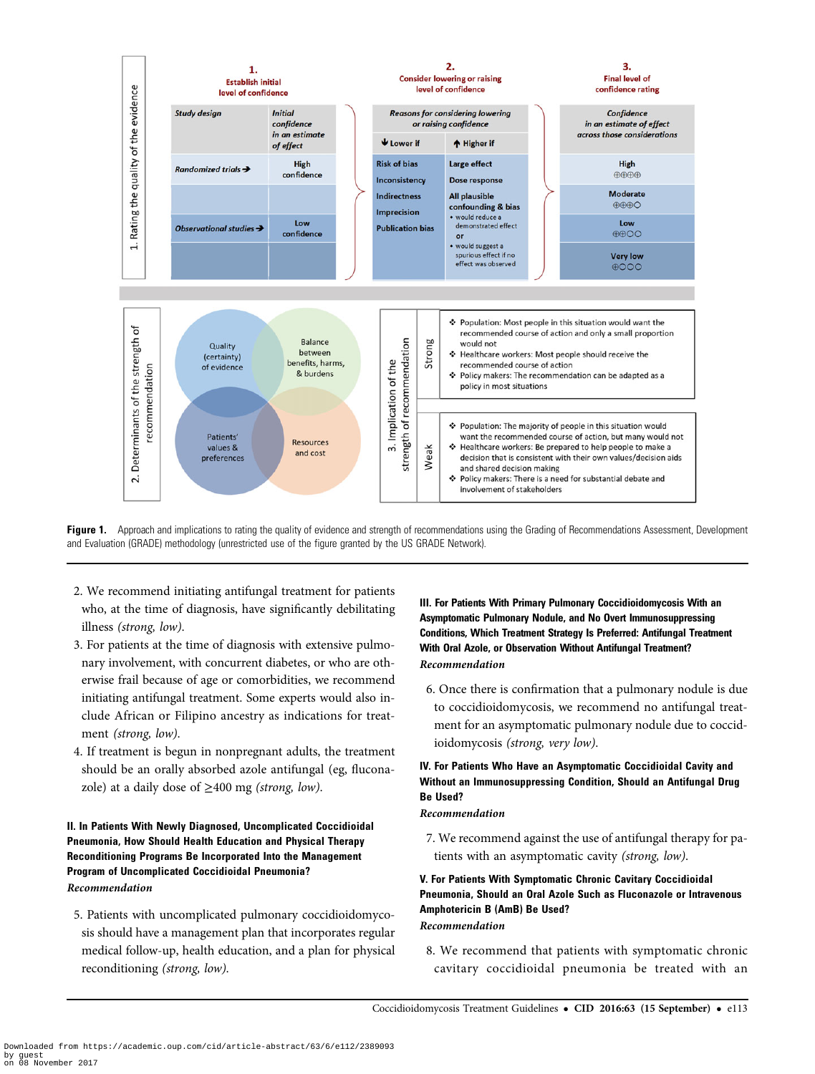<span id="page-1-0"></span>

Figure 1. Approach and implications to rating the quality of evidence and strength of recommendations using the Grading of Recommendations Assessment, Development and Evaluation (GRADE) methodology (unrestricted use of the figure granted by the US GRADE Network).

- 2. We recommend initiating antifungal treatment for patients who, at the time of diagnosis, have significantly debilitating illness (strong, low).
- 3. For patients at the time of diagnosis with extensive pulmonary involvement, with concurrent diabetes, or who are otherwise frail because of age or comorbidities, we recommend initiating antifungal treatment. Some experts would also include African or Filipino ancestry as indications for treatment (strong, low).
- 4. If treatment is begun in nonpregnant adults, the treatment should be an orally absorbed azole antifungal (eg, fluconazole) at a daily dose of  $\geq$ 400 mg (strong, low).

## II. In Patients With Newly Diagnosed, Uncomplicated Coccidioidal Pneumonia, How Should Health Education and Physical Therapy Reconditioning Programs Be Incorporated Into the Management Program of Uncomplicated Coccidioidal Pneumonia? Recommendation

5. Patients with uncomplicated pulmonary coccidioidomycosis should have a management plan that incorporates regular medical follow-up, health education, and a plan for physical reconditioning (strong, low).

III. For Patients With Primary Pulmonary Coccidioidomycosis With an Asymptomatic Pulmonary Nodule, and No Overt Immunosuppressing Conditions, Which Treatment Strategy Is Preferred: Antifungal Treatment With Oral Azole, or Observation Without Antifungal Treatment? Recommendation

6. Once there is confirmation that a pulmonary nodule is due to coccidioidomycosis, we recommend no antifungal treatment for an asymptomatic pulmonary nodule due to coccidioidomycosis (strong, very low).

# IV. For Patients Who Have an Asymptomatic Coccidioidal Cavity and Without an Immunosuppressing Condition, Should an Antifungal Drug Be Used?

#### Recommendation

7. We recommend against the use of antifungal therapy for patients with an asymptomatic cavity (strong, low).

## V. For Patients With Symptomatic Chronic Cavitary Coccidioidal Pneumonia, Should an Oral Azole Such as Fluconazole or Intravenous Amphotericin B (AmB) Be Used? Recommendation

8. We recommend that patients with symptomatic chronic cavitary coccidioidal pneumonia be treated with an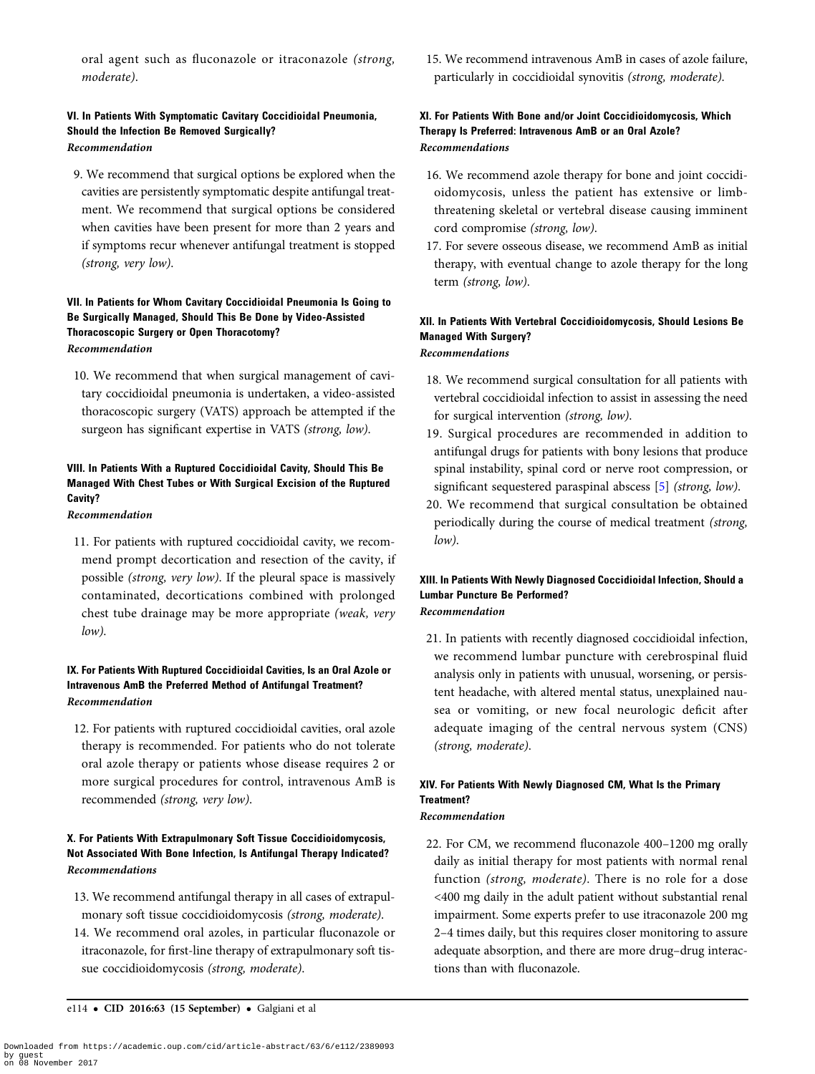oral agent such as fluconazole or itraconazole (strong, moderate).

#### VI. In Patients With Symptomatic Cavitary Coccidioidal Pneumonia, Should the Infection Be Removed Surgically? Recommendation

9. We recommend that surgical options be explored when the cavities are persistently symptomatic despite antifungal treatment. We recommend that surgical options be considered when cavities have been present for more than 2 years and if symptoms recur whenever antifungal treatment is stopped (strong, very low).

#### VII. In Patients for Whom Cavitary Coccidioidal Pneumonia Is Going to Be Surgically Managed, Should This Be Done by Video-Assisted Thoracoscopic Surgery or Open Thoracotomy? Recommendation

10. We recommend that when surgical management of cavitary coccidioidal pneumonia is undertaken, a video-assisted thoracoscopic surgery (VATS) approach be attempted if the surgeon has significant expertise in VATS (strong, low).

# VIII. In Patients With a Ruptured Coccidioidal Cavity, Should This Be Managed With Chest Tubes or With Surgical Excision of the Ruptured Cavity?

#### Recommendation

11. For patients with ruptured coccidioidal cavity, we recommend prompt decortication and resection of the cavity, if possible (strong, very low). If the pleural space is massively contaminated, decortications combined with prolonged chest tube drainage may be more appropriate (weak, very  $low$ ).

# IX. For Patients With Ruptured Coccidioidal Cavities, Is an Oral Azole or Intravenous AmB the Preferred Method of Antifungal Treatment? Recommendation

12. For patients with ruptured coccidioidal cavities, oral azole therapy is recommended. For patients who do not tolerate oral azole therapy or patients whose disease requires 2 or more surgical procedures for control, intravenous AmB is recommended (strong, very low).

# X. For Patients With Extrapulmonary Soft Tissue Coccidioidomycosis, Not Associated With Bone Infection, Is Antifungal Therapy Indicated? Recommendations

- 13. We recommend antifungal therapy in all cases of extrapulmonary soft tissue coccidioidomycosis (strong, moderate).
- 14. We recommend oral azoles, in particular fluconazole or itraconazole, for first-line therapy of extrapulmonary soft tissue coccidioidomycosis (strong, moderate).

15. We recommend intravenous AmB in cases of azole failure, particularly in coccidioidal synovitis (strong, moderate).

# XI. For Patients With Bone and/or Joint Coccidioidomycosis, Which Therapy Is Preferred: Intravenous AmB or an Oral Azole? Recommendations

- 16. We recommend azole therapy for bone and joint coccidioidomycosis, unless the patient has extensive or limbthreatening skeletal or vertebral disease causing imminent cord compromise (strong, low).
- 17. For severe osseous disease, we recommend AmB as initial therapy, with eventual change to azole therapy for the long term (strong, low).

## XII. In Patients With Vertebral Coccidioidomycosis, Should Lesions Be Managed With Surgery? Recommendations

- 18. We recommend surgical consultation for all patients with vertebral coccidioidal infection to assist in assessing the need for surgical intervention (strong, low).
- 19. Surgical procedures are recommended in addition to antifungal drugs for patients with bony lesions that produce spinal instability, spinal cord or nerve root compression, or significant sequestered paraspinal abscess [\[5\]](#page-31-0) (strong, low).
- 20. We recommend that surgical consultation be obtained periodically during the course of medical treatment (strong, low).

## XIII. In Patients With Newly Diagnosed Coccidioidal Infection, Should a Lumbar Puncture Be Performed? Recommendation

21. In patients with recently diagnosed coccidioidal infection, we recommend lumbar puncture with cerebrospinal fluid analysis only in patients with unusual, worsening, or persistent headache, with altered mental status, unexplained nausea or vomiting, or new focal neurologic deficit after adequate imaging of the central nervous system (CNS) (strong, moderate).

# XIV. For Patients With Newly Diagnosed CM, What Is the Primary Treatment?

# Recommendation

22. For CM, we recommend fluconazole 400–1200 mg orally daily as initial therapy for most patients with normal renal function (strong, moderate). There is no role for a dose <400 mg daily in the adult patient without substantial renal impairment. Some experts prefer to use itraconazole 200 mg 2–4 times daily, but this requires closer monitoring to assure adequate absorption, and there are more drug–drug interactions than with fluconazole.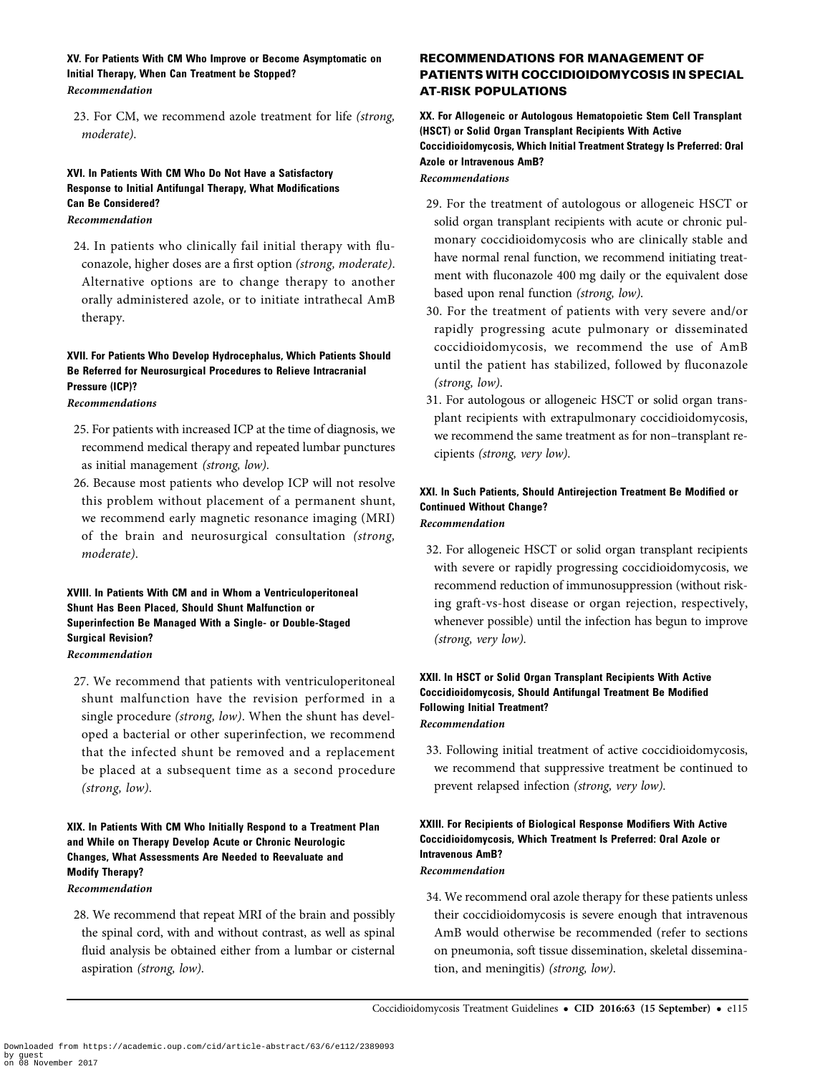XV. For Patients With CM Who Improve or Become Asymptomatic on Initial Therapy, When Can Treatment be Stopped? Recommendation

23. For CM, we recommend azole treatment for life (strong, moderate).

#### XVI. In Patients With CM Who Do Not Have a Satisfactory Response to Initial Antifungal Therapy, What Modifications Can Be Considered? Recommendation

24. In patients who clinically fail initial therapy with fluconazole, higher doses are a first option (strong, moderate). Alternative options are to change therapy to another orally administered azole, or to initiate intrathecal AmB therapy.

# XVII. For Patients Who Develop Hydrocephalus, Which Patients Should Be Referred for Neurosurgical Procedures to Relieve Intracranial Pressure (ICP)?

Recommendations

- 25. For patients with increased ICP at the time of diagnosis, we recommend medical therapy and repeated lumbar punctures as initial management (strong, low).
- 26. Because most patients who develop ICP will not resolve this problem without placement of a permanent shunt, we recommend early magnetic resonance imaging (MRI) of the brain and neurosurgical consultation (strong, moderate).

#### XVIII. In Patients With CM and in Whom a Ventriculoperitoneal Shunt Has Been Placed, Should Shunt Malfunction or Superinfection Be Managed With a Single- or Double-Staged Surgical Revision? Recommendation

27. We recommend that patients with ventriculoperitoneal shunt malfunction have the revision performed in a single procedure (strong, low). When the shunt has developed a bacterial or other superinfection, we recommend that the infected shunt be removed and a replacement be placed at a subsequent time as a second procedure (strong, low).

#### XIX. In Patients With CM Who Initially Respond to a Treatment Plan and While on Therapy Develop Acute or Chronic Neurologic Changes, What Assessments Are Needed to Reevaluate and Modify Therapy? Recommendation

28. We recommend that repeat MRI of the brain and possibly the spinal cord, with and without contrast, as well as spinal fluid analysis be obtained either from a lumbar or cisternal aspiration (strong, low).

# RECOMMENDATIONS FOR MANAGEMENT OF PATIENTS WITH COCCIDIOIDOMYCOSIS IN SPECIAL AT-RISK POPULATIONS

XX. For Allogeneic or Autologous Hematopoietic Stem Cell Transplant (HSCT) or Solid Organ Transplant Recipients With Active Coccidioidomycosis, Which Initial Treatment Strategy Is Preferred: Oral Azole or Intravenous AmB?

#### Recommendations

- 29. For the treatment of autologous or allogeneic HSCT or solid organ transplant recipients with acute or chronic pulmonary coccidioidomycosis who are clinically stable and have normal renal function, we recommend initiating treatment with fluconazole 400 mg daily or the equivalent dose based upon renal function (strong, low).
- 30. For the treatment of patients with very severe and/or rapidly progressing acute pulmonary or disseminated coccidioidomycosis, we recommend the use of AmB until the patient has stabilized, followed by fluconazole (strong, low).
- 31. For autologous or allogeneic HSCT or solid organ transplant recipients with extrapulmonary coccidioidomycosis, we recommend the same treatment as for non–transplant recipients (strong, very low).

#### XXI. In Such Patients, Should Antirejection Treatment Be Modified or Continued Without Change? Recommendation

32. For allogeneic HSCT or solid organ transplant recipients with severe or rapidly progressing coccidioidomycosis, we recommend reduction of immunosuppression (without risking graft-vs-host disease or organ rejection, respectively, whenever possible) until the infection has begun to improve (strong, very low).

#### XXII. In HSCT or Solid Organ Transplant Recipients With Active Coccidioidomycosis, Should Antifungal Treatment Be Modified Following Initial Treatment? Recommendation

33. Following initial treatment of active coccidioidomycosis, we recommend that suppressive treatment be continued to prevent relapsed infection (strong, very low).

#### XXIII. For Recipients of Biological Response Modifiers With Active Coccidioidomycosis, Which Treatment Is Preferred: Oral Azole or Intravenous AmB? Recommendation

34. We recommend oral azole therapy for these patients unless their coccidioidomycosis is severe enough that intravenous AmB would otherwise be recommended (refer to sections on pneumonia, soft tissue dissemination, skeletal dissemination, and meningitis) (strong, low).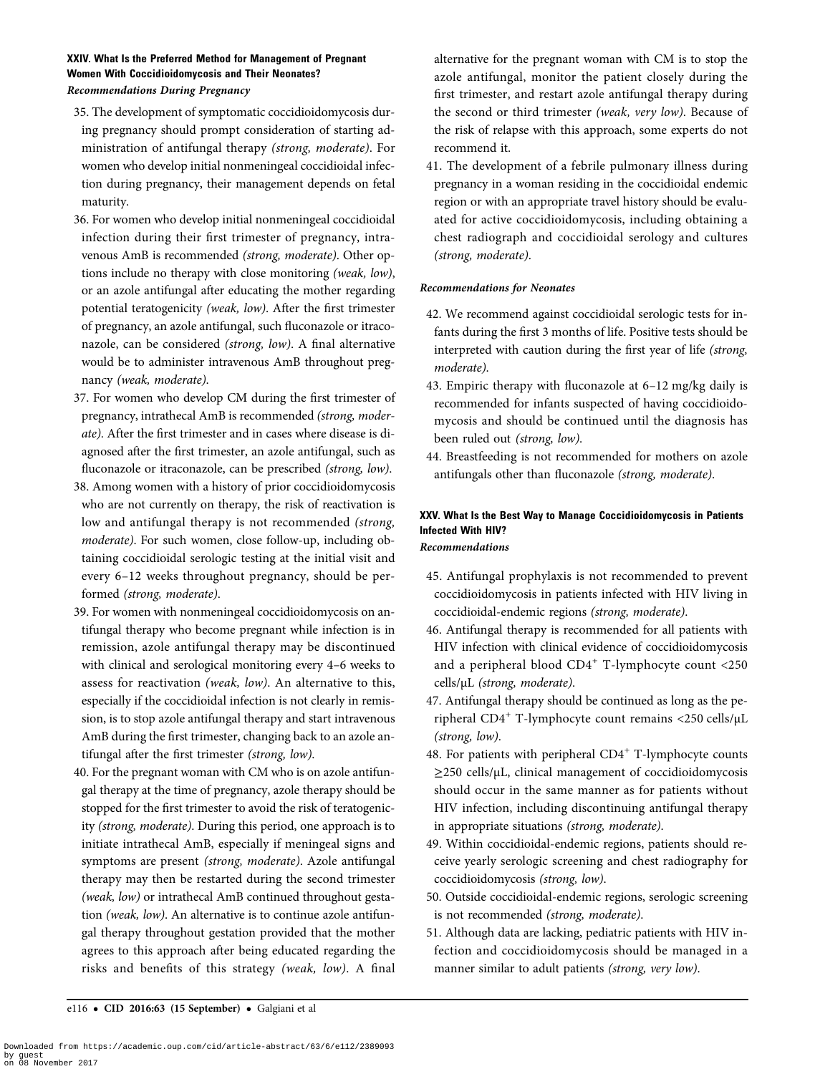#### XXIV. What Is the Preferred Method for Management of Pregnant Women With Coccidioidomycosis and Their Neonates? Recommendations During Pregnancy

- 35. The development of symptomatic coccidioidomycosis during pregnancy should prompt consideration of starting administration of antifungal therapy (strong, moderate). For women who develop initial nonmeningeal coccidioidal infection during pregnancy, their management depends on fetal maturity.
- 36. For women who develop initial nonmeningeal coccidioidal infection during their first trimester of pregnancy, intravenous AmB is recommended (strong, moderate). Other options include no therapy with close monitoring (weak, low), or an azole antifungal after educating the mother regarding potential teratogenicity (weak, low). After the first trimester of pregnancy, an azole antifungal, such fluconazole or itraconazole, can be considered (strong, low). A final alternative would be to administer intravenous AmB throughout pregnancy (weak, moderate).
- 37. For women who develop CM during the first trimester of pregnancy, intrathecal AmB is recommended (strong, moderate). After the first trimester and in cases where disease is diagnosed after the first trimester, an azole antifungal, such as fluconazole or itraconazole, can be prescribed (strong, low).
- 38. Among women with a history of prior coccidioidomycosis who are not currently on therapy, the risk of reactivation is low and antifungal therapy is not recommended (strong, moderate). For such women, close follow-up, including obtaining coccidioidal serologic testing at the initial visit and every 6–12 weeks throughout pregnancy, should be performed (strong, moderate).
- 39. For women with nonmeningeal coccidioidomycosis on antifungal therapy who become pregnant while infection is in remission, azole antifungal therapy may be discontinued with clinical and serological monitoring every 4–6 weeks to assess for reactivation (weak, low). An alternative to this, especially if the coccidioidal infection is not clearly in remission, is to stop azole antifungal therapy and start intravenous AmB during the first trimester, changing back to an azole antifungal after the first trimester (strong, low).
- 40. For the pregnant woman with CM who is on azole antifungal therapy at the time of pregnancy, azole therapy should be stopped for the first trimester to avoid the risk of teratogenicity (strong, moderate). During this period, one approach is to initiate intrathecal AmB, especially if meningeal signs and symptoms are present (strong, moderate). Azole antifungal therapy may then be restarted during the second trimester (weak, low) or intrathecal AmB continued throughout gestation (weak, low). An alternative is to continue azole antifungal therapy throughout gestation provided that the mother agrees to this approach after being educated regarding the risks and benefits of this strategy (weak, low). A final

alternative for the pregnant woman with CM is to stop the azole antifungal, monitor the patient closely during the first trimester, and restart azole antifungal therapy during the second or third trimester (weak, very low). Because of the risk of relapse with this approach, some experts do not recommend it.

41. The development of a febrile pulmonary illness during pregnancy in a woman residing in the coccidioidal endemic region or with an appropriate travel history should be evaluated for active coccidioidomycosis, including obtaining a chest radiograph and coccidioidal serology and cultures (strong, moderate).

## Recommendations for Neonates

- 42. We recommend against coccidioidal serologic tests for infants during the first 3 months of life. Positive tests should be interpreted with caution during the first year of life (strong, moderate).
- 43. Empiric therapy with fluconazole at 6–12 mg/kg daily is recommended for infants suspected of having coccidioidomycosis and should be continued until the diagnosis has been ruled out (strong, low).
- 44. Breastfeeding is not recommended for mothers on azole antifungals other than fluconazole (strong, moderate).

#### XXV. What Is the Best Way to Manage Coccidioidomycosis in Patients Infected With HIV? Recommendations

- 45. Antifungal prophylaxis is not recommended to prevent coccidioidomycosis in patients infected with HIV living in coccidioidal-endemic regions (strong, moderate).
- 46. Antifungal therapy is recommended for all patients with HIV infection with clinical evidence of coccidioidomycosis and a peripheral blood  $CD4^+$  T-lymphocyte count <250 cells/µL (strong, moderate).
- 47. Antifungal therapy should be continued as long as the peripheral CD4<sup>+</sup> T-lymphocyte count remains <250 cells/ $\mu$ L (strong, low).
- 48. For patients with peripheral  $CD4^+$  T-lymphocyte counts ≥250 cells/µL, clinical management of coccidioidomycosis should occur in the same manner as for patients without HIV infection, including discontinuing antifungal therapy in appropriate situations (strong, moderate).
- 49. Within coccidioidal-endemic regions, patients should receive yearly serologic screening and chest radiography for coccidioidomycosis (strong, low).
- 50. Outside coccidioidal-endemic regions, serologic screening is not recommended (strong, moderate).
- 51. Although data are lacking, pediatric patients with HIV infection and coccidioidomycosis should be managed in a manner similar to adult patients (strong, very low).

e116 • CID 2016:63 (15 September) • Galgiani et al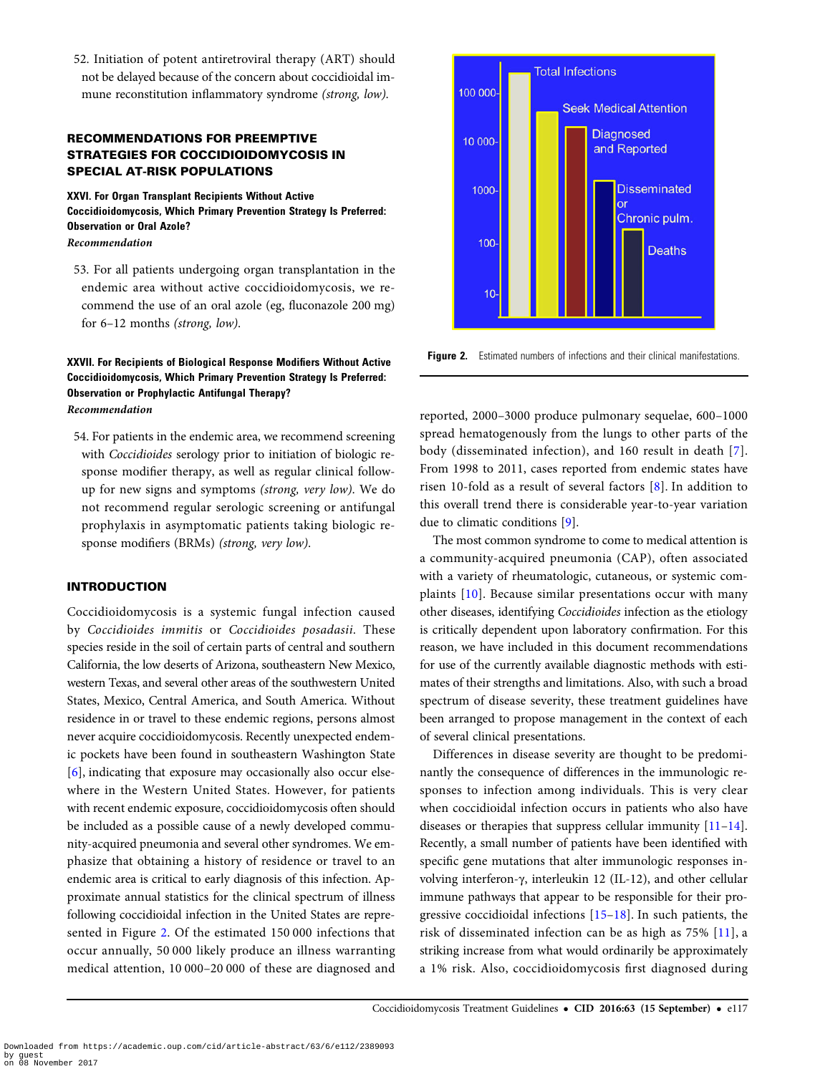52. Initiation of potent antiretroviral therapy (ART) should not be delayed because of the concern about coccidioidal immune reconstitution inflammatory syndrome (strong, low).

# RECOMMENDATIONS FOR PREEMPTIVE STRATEGIES FOR COCCIDIOIDOMYCOSIS IN SPECIAL AT-RISK POPULATIONS

XXVI. For Organ Transplant Recipients Without Active Coccidioidomycosis, Which Primary Prevention Strategy Is Preferred: Observation or Oral Azole? Recommendation

53. For all patients undergoing organ transplantation in the endemic area without active coccidioidomycosis, we recommend the use of an oral azole (eg, fluconazole 200 mg) for 6–12 months (strong, low).

#### XXVII. For Recipients of Biological Response Modifiers Without Active Coccidioidomycosis, Which Primary Prevention Strategy Is Preferred: Observation or Prophylactic Antifungal Therapy? Recommendation

54. For patients in the endemic area, we recommend screening with Coccidioides serology prior to initiation of biologic response modifier therapy, as well as regular clinical followup for new signs and symptoms (strong, very low). We do not recommend regular serologic screening or antifungal prophylaxis in asymptomatic patients taking biologic response modifiers (BRMs) (strong, very low).

# INTRODUCTION

Coccidioidomycosis is a systemic fungal infection caused by Coccidioides immitis or Coccidioides posadasii. These species reside in the soil of certain parts of central and southern California, the low deserts of Arizona, southeastern New Mexico, western Texas, and several other areas of the southwestern United States, Mexico, Central America, and South America. Without residence in or travel to these endemic regions, persons almost never acquire coccidioidomycosis. Recently unexpected endemic pockets have been found in southeastern Washington State [\[6\]](#page-31-0), indicating that exposure may occasionally also occur elsewhere in the Western United States. However, for patients with recent endemic exposure, coccidioidomycosis often should be included as a possible cause of a newly developed community-acquired pneumonia and several other syndromes. We emphasize that obtaining a history of residence or travel to an endemic area is critical to early diagnosis of this infection. Approximate annual statistics for the clinical spectrum of illness following coccidioidal infection in the United States are represented in Figure 2. Of the estimated 150 000 infections that occur annually, 50 000 likely produce an illness warranting medical attention, 10 000–20 000 of these are diagnosed and



**Figure 2.** Estimated numbers of infections and their clinical manifestations.

reported, 2000–3000 produce pulmonary sequelae, 600–1000 spread hematogenously from the lungs to other parts of the body (disseminated infection), and 160 result in death [[7](#page-31-0)]. From 1998 to 2011, cases reported from endemic states have risen 10-fold as a result of several factors [[8](#page-31-0)]. In addition to this overall trend there is considerable year-to-year variation due to climatic conditions [[9\]](#page-31-0).

The most common syndrome to come to medical attention is a community-acquired pneumonia (CAP), often associated with a variety of rheumatologic, cutaneous, or systemic complaints [[10](#page-31-0)]. Because similar presentations occur with many other diseases, identifying Coccidioides infection as the etiology is critically dependent upon laboratory confirmation. For this reason, we have included in this document recommendations for use of the currently available diagnostic methods with estimates of their strengths and limitations. Also, with such a broad spectrum of disease severity, these treatment guidelines have been arranged to propose management in the context of each of several clinical presentations.

Differences in disease severity are thought to be predominantly the consequence of differences in the immunologic responses to infection among individuals. This is very clear when coccidioidal infection occurs in patients who also have diseases or therapies that suppress cellular immunity [\[11](#page-31-0)–[14\]](#page-31-0). Recently, a small number of patients have been identified with specific gene mutations that alter immunologic responses involving interferon-γ, interleukin 12 (IL-12), and other cellular immune pathways that appear to be responsible for their progressive coccidioidal infections [[15](#page-31-0)–[18\]](#page-31-0). In such patients, the risk of disseminated infection can be as high as 75% [\[11\]](#page-31-0), a striking increase from what would ordinarily be approximately a 1% risk. Also, coccidioidomycosis first diagnosed during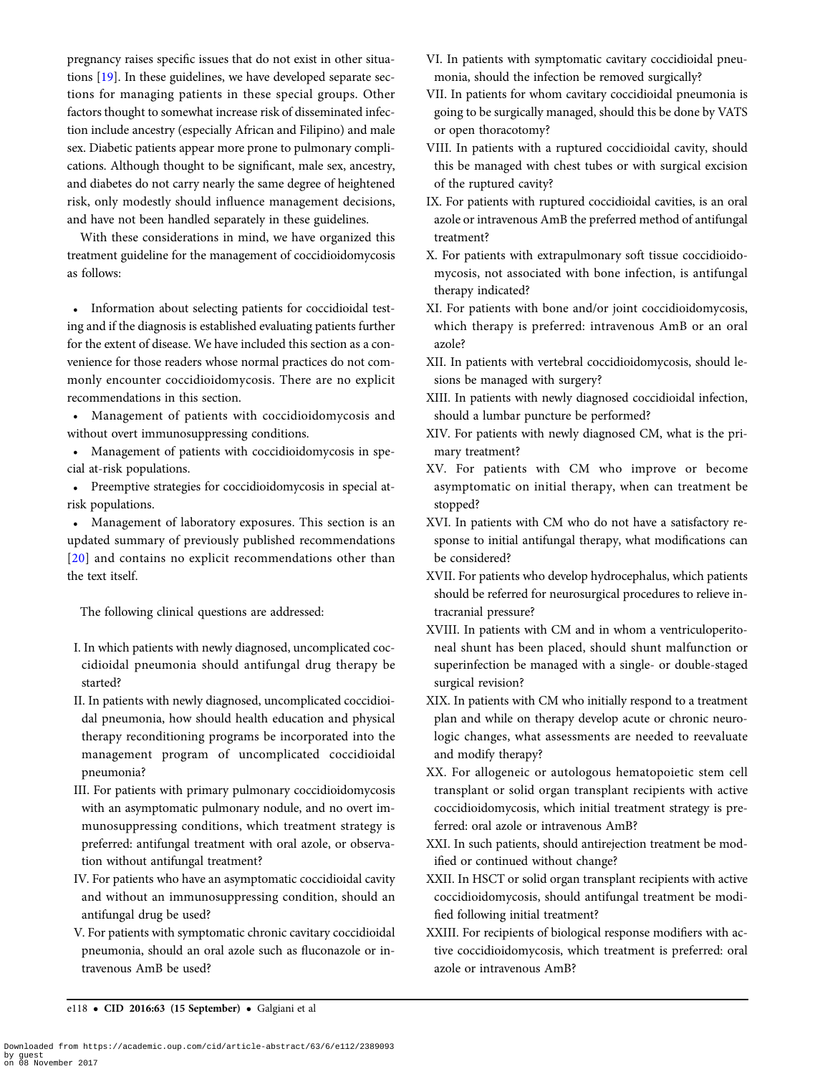pregnancy raises specific issues that do not exist in other situations [[19\]](#page-31-0). In these guidelines, we have developed separate sections for managing patients in these special groups. Other factors thought to somewhat increase risk of disseminated infection include ancestry (especially African and Filipino) and male sex. Diabetic patients appear more prone to pulmonary complications. Although thought to be significant, male sex, ancestry, and diabetes do not carry nearly the same degree of heightened risk, only modestly should influence management decisions, and have not been handled separately in these guidelines.

With these considerations in mind, we have organized this treatment guideline for the management of coccidioidomycosis as follows:

• Information about selecting patients for coccidioidal testing and if the diagnosis is established evaluating patients further for the extent of disease. We have included this section as a convenience for those readers whose normal practices do not commonly encounter coccidioidomycosis. There are no explicit recommendations in this section.

• Management of patients with coccidioidomycosis and without overt immunosuppressing conditions.

• Management of patients with coccidioidomycosis in special at-risk populations.

• Preemptive strategies for coccidioidomycosis in special atrisk populations.

• Management of laboratory exposures. This section is an updated summary of previously published recommendations [\[20](#page-31-0)] and contains no explicit recommendations other than the text itself.

The following clinical questions are addressed:

- I. In which patients with newly diagnosed, uncomplicated coccidioidal pneumonia should antifungal drug therapy be started?
- II. In patients with newly diagnosed, uncomplicated coccidioidal pneumonia, how should health education and physical therapy reconditioning programs be incorporated into the management program of uncomplicated coccidioidal pneumonia?
- III. For patients with primary pulmonary coccidioidomycosis with an asymptomatic pulmonary nodule, and no overt immunosuppressing conditions, which treatment strategy is preferred: antifungal treatment with oral azole, or observation without antifungal treatment?
- IV. For patients who have an asymptomatic coccidioidal cavity and without an immunosuppressing condition, should an antifungal drug be used?
- V. For patients with symptomatic chronic cavitary coccidioidal pneumonia, should an oral azole such as fluconazole or intravenous AmB be used?
- VI. In patients with symptomatic cavitary coccidioidal pneumonia, should the infection be removed surgically?
- VII. In patients for whom cavitary coccidioidal pneumonia is going to be surgically managed, should this be done by VATS or open thoracotomy?
- VIII. In patients with a ruptured coccidioidal cavity, should this be managed with chest tubes or with surgical excision of the ruptured cavity?
- IX. For patients with ruptured coccidioidal cavities, is an oral azole or intravenous AmB the preferred method of antifungal treatment?
- X. For patients with extrapulmonary soft tissue coccidioidomycosis, not associated with bone infection, is antifungal therapy indicated?
- XI. For patients with bone and/or joint coccidioidomycosis, which therapy is preferred: intravenous AmB or an oral azole?
- XII. In patients with vertebral coccidioidomycosis, should lesions be managed with surgery?
- XIII. In patients with newly diagnosed coccidioidal infection, should a lumbar puncture be performed?
- XIV. For patients with newly diagnosed CM, what is the primary treatment?
- XV. For patients with CM who improve or become asymptomatic on initial therapy, when can treatment be stopped?
- XVI. In patients with CM who do not have a satisfactory response to initial antifungal therapy, what modifications can be considered?
- XVII. For patients who develop hydrocephalus, which patients should be referred for neurosurgical procedures to relieve intracranial pressure?
- XVIII. In patients with CM and in whom a ventriculoperitoneal shunt has been placed, should shunt malfunction or superinfection be managed with a single- or double-staged surgical revision?
- XIX. In patients with CM who initially respond to a treatment plan and while on therapy develop acute or chronic neurologic changes, what assessments are needed to reevaluate and modify therapy?
- XX. For allogeneic or autologous hematopoietic stem cell transplant or solid organ transplant recipients with active coccidioidomycosis, which initial treatment strategy is preferred: oral azole or intravenous AmB?
- XXI. In such patients, should antirejection treatment be modified or continued without change?
- XXII. In HSCT or solid organ transplant recipients with active coccidioidomycosis, should antifungal treatment be modified following initial treatment?
- XXIII. For recipients of biological response modifiers with active coccidioidomycosis, which treatment is preferred: oral azole or intravenous AmB?

e118 • CID 2016:63 (15 September) • Galgiani et al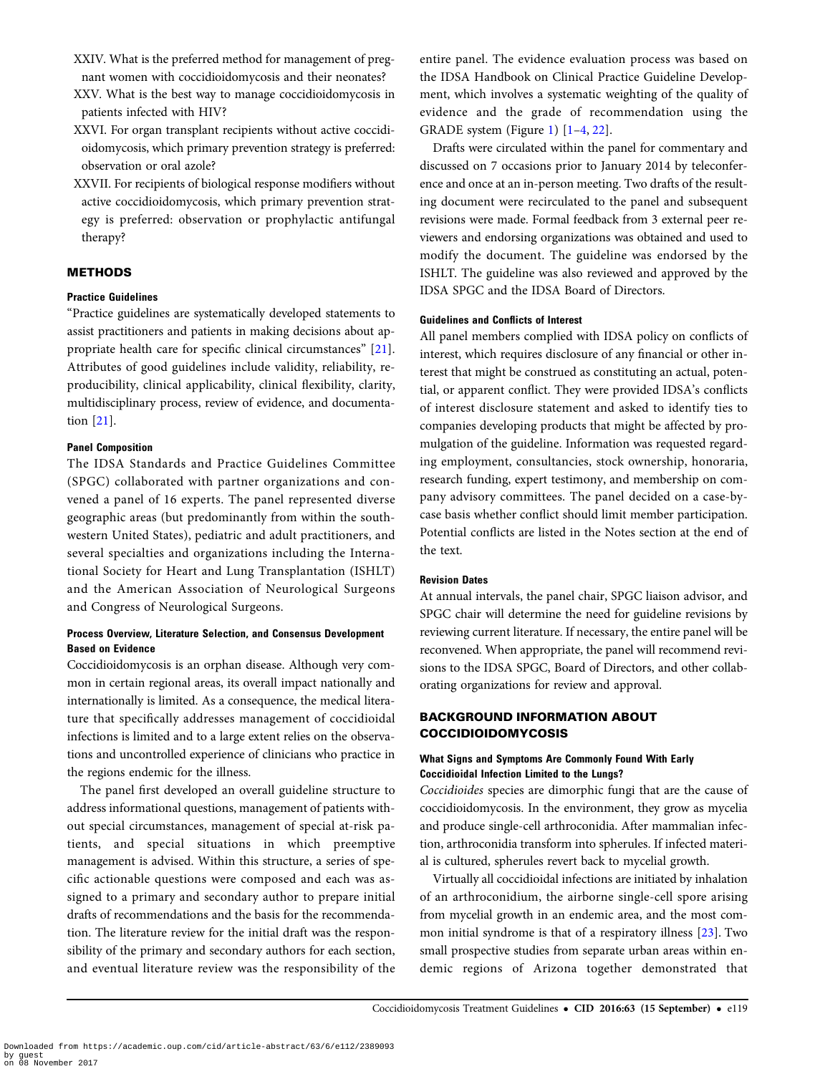- XXIV. What is the preferred method for management of pregnant women with coccidioidomycosis and their neonates?
- XXV. What is the best way to manage coccidioidomycosis in patients infected with HIV?
- XXVI. For organ transplant recipients without active coccidioidomycosis, which primary prevention strategy is preferred: observation or oral azole?
- XXVII. For recipients of biological response modifiers without active coccidioidomycosis, which primary prevention strategy is preferred: observation or prophylactic antifungal therapy?

#### **METHODS**

## Practice Guidelines

"Practice guidelines are systematically developed statements to assist practitioners and patients in making decisions about appropriate health care for specific clinical circumstances" [\[21\]](#page-31-0). Attributes of good guidelines include validity, reliability, reproducibility, clinical applicability, clinical flexibility, clarity, multidisciplinary process, review of evidence, and documentation [\[21](#page-31-0)].

#### Panel Composition

The IDSA Standards and Practice Guidelines Committee (SPGC) collaborated with partner organizations and convened a panel of 16 experts. The panel represented diverse geographic areas (but predominantly from within the southwestern United States), pediatric and adult practitioners, and several specialties and organizations including the International Society for Heart and Lung Transplantation (ISHLT) and the American Association of Neurological Surgeons and Congress of Neurological Surgeons.

## Process Overview, Literature Selection, and Consensus Development Based on Evidence

Coccidioidomycosis is an orphan disease. Although very common in certain regional areas, its overall impact nationally and internationally is limited. As a consequence, the medical literature that specifically addresses management of coccidioidal infections is limited and to a large extent relies on the observations and uncontrolled experience of clinicians who practice in the regions endemic for the illness.

The panel first developed an overall guideline structure to address informational questions, management of patients without special circumstances, management of special at-risk patients, and special situations in which preemptive management is advised. Within this structure, a series of specific actionable questions were composed and each was assigned to a primary and secondary author to prepare initial drafts of recommendations and the basis for the recommendation. The literature review for the initial draft was the responsibility of the primary and secondary authors for each section, and eventual literature review was the responsibility of the

entire panel. The evidence evaluation process was based on the IDSA Handbook on Clinical Practice Guideline Development, which involves a systematic weighting of the quality of evidence and the grade of recommendation using the GRADE system (Figure [1\)](#page-1-0) [\[1](#page-30-0)–[4](#page-31-0), [22\]](#page-31-0).

Drafts were circulated within the panel for commentary and discussed on 7 occasions prior to January 2014 by teleconference and once at an in-person meeting. Two drafts of the resulting document were recirculated to the panel and subsequent revisions were made. Formal feedback from 3 external peer reviewers and endorsing organizations was obtained and used to modify the document. The guideline was endorsed by the ISHLT. The guideline was also reviewed and approved by the IDSA SPGC and the IDSA Board of Directors.

#### Guidelines and Conflicts of Interest

All panel members complied with IDSA policy on conflicts of interest, which requires disclosure of any financial or other interest that might be construed as constituting an actual, potential, or apparent conflict. They were provided IDSA's conflicts of interest disclosure statement and asked to identify ties to companies developing products that might be affected by promulgation of the guideline. Information was requested regarding employment, consultancies, stock ownership, honoraria, research funding, expert testimony, and membership on company advisory committees. The panel decided on a case-bycase basis whether conflict should limit member participation. Potential conflicts are listed in the Notes section at the end of the text.

#### Revision Dates

At annual intervals, the panel chair, SPGC liaison advisor, and SPGC chair will determine the need for guideline revisions by reviewing current literature. If necessary, the entire panel will be reconvened. When appropriate, the panel will recommend revisions to the IDSA SPGC, Board of Directors, and other collaborating organizations for review and approval.

# BACKGROUND INFORMATION ABOUT COCCIDIOIDOMYCOSIS

#### What Signs and Symptoms Are Commonly Found With Early Coccidioidal Infection Limited to the Lungs?

Coccidioides species are dimorphic fungi that are the cause of coccidioidomycosis. In the environment, they grow as mycelia and produce single-cell arthroconidia. After mammalian infection, arthroconidia transform into spherules. If infected material is cultured, spherules revert back to mycelial growth.

Virtually all coccidioidal infections are initiated by inhalation of an arthroconidium, the airborne single-cell spore arising from mycelial growth in an endemic area, and the most common initial syndrome is that of a respiratory illness [\[23](#page-31-0)]. Two small prospective studies from separate urban areas within endemic regions of Arizona together demonstrated that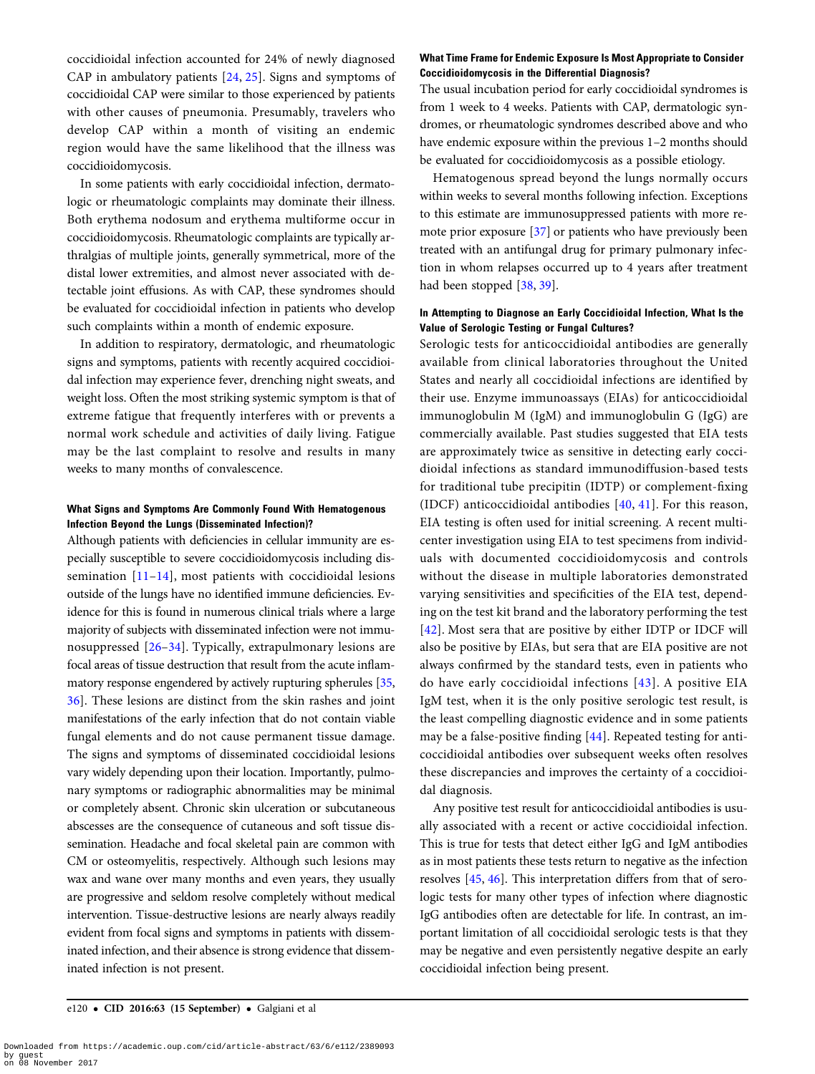coccidioidal infection accounted for 24% of newly diagnosed CAP in ambulatory patients [[24](#page-31-0), [25\]](#page-31-0). Signs and symptoms of coccidioidal CAP were similar to those experienced by patients with other causes of pneumonia. Presumably, travelers who develop CAP within a month of visiting an endemic region would have the same likelihood that the illness was coccidioidomycosis.

In some patients with early coccidioidal infection, dermatologic or rheumatologic complaints may dominate their illness. Both erythema nodosum and erythema multiforme occur in coccidioidomycosis. Rheumatologic complaints are typically arthralgias of multiple joints, generally symmetrical, more of the distal lower extremities, and almost never associated with detectable joint effusions. As with CAP, these syndromes should be evaluated for coccidioidal infection in patients who develop such complaints within a month of endemic exposure.

In addition to respiratory, dermatologic, and rheumatologic signs and symptoms, patients with recently acquired coccidioidal infection may experience fever, drenching night sweats, and weight loss. Often the most striking systemic symptom is that of extreme fatigue that frequently interferes with or prevents a normal work schedule and activities of daily living. Fatigue may be the last complaint to resolve and results in many weeks to many months of convalescence.

#### What Signs and Symptoms Are Commonly Found With Hematogenous Infection Beyond the Lungs (Disseminated Infection)?

Although patients with deficiencies in cellular immunity are especially susceptible to severe coccidioidomycosis including dissemination  $[11-14]$  $[11-14]$  $[11-14]$  $[11-14]$  $[11-14]$ , most patients with coccidioidal lesions outside of the lungs have no identified immune deficiencies. Evidence for this is found in numerous clinical trials where a large majority of subjects with disseminated infection were not immunosuppressed [\[26](#page-31-0)–[34](#page-31-0)]. Typically, extrapulmonary lesions are focal areas of tissue destruction that result from the acute inflammatory response engendered by actively rupturing spherules [\[35,](#page-31-0) [36](#page-31-0)]. These lesions are distinct from the skin rashes and joint manifestations of the early infection that do not contain viable fungal elements and do not cause permanent tissue damage. The signs and symptoms of disseminated coccidioidal lesions vary widely depending upon their location. Importantly, pulmonary symptoms or radiographic abnormalities may be minimal or completely absent. Chronic skin ulceration or subcutaneous abscesses are the consequence of cutaneous and soft tissue dissemination. Headache and focal skeletal pain are common with CM or osteomyelitis, respectively. Although such lesions may wax and wane over many months and even years, they usually are progressive and seldom resolve completely without medical intervention. Tissue-destructive lesions are nearly always readily evident from focal signs and symptoms in patients with disseminated infection, and their absence is strong evidence that disseminated infection is not present.

#### What Time Frame for Endemic Exposure Is Most Appropriate to Consider Coccidioidomycosis in the Differential Diagnosis?

The usual incubation period for early coccidioidal syndromes is from 1 week to 4 weeks. Patients with CAP, dermatologic syndromes, or rheumatologic syndromes described above and who have endemic exposure within the previous 1–2 months should be evaluated for coccidioidomycosis as a possible etiology.

Hematogenous spread beyond the lungs normally occurs within weeks to several months following infection. Exceptions to this estimate are immunosuppressed patients with more remote prior exposure [\[37](#page-31-0)] or patients who have previously been treated with an antifungal drug for primary pulmonary infection in whom relapses occurred up to 4 years after treatment had been stopped [[38,](#page-31-0) [39\]](#page-31-0).

## In Attempting to Diagnose an Early Coccidioidal Infection, What Is the Value of Serologic Testing or Fungal Cultures?

Serologic tests for anticoccidioidal antibodies are generally available from clinical laboratories throughout the United States and nearly all coccidioidal infections are identified by their use. Enzyme immunoassays (EIAs) for anticoccidioidal immunoglobulin M (IgM) and immunoglobulin G (IgG) are commercially available. Past studies suggested that EIA tests are approximately twice as sensitive in detecting early coccidioidal infections as standard immunodiffusion-based tests for traditional tube precipitin (IDTP) or complement-fixing (IDCF) anticoccidioidal antibodies [[40,](#page-31-0) [41\]](#page-31-0). For this reason, EIA testing is often used for initial screening. A recent multicenter investigation using EIA to test specimens from individuals with documented coccidioidomycosis and controls without the disease in multiple laboratories demonstrated varying sensitivities and specificities of the EIA test, depending on the test kit brand and the laboratory performing the test [\[42\]](#page-31-0). Most sera that are positive by either IDTP or IDCF will also be positive by EIAs, but sera that are EIA positive are not always confirmed by the standard tests, even in patients who do have early coccidioidal infections [[43\]](#page-31-0). A positive EIA IgM test, when it is the only positive serologic test result, is the least compelling diagnostic evidence and in some patients may be a false-positive finding [[44\]](#page-31-0). Repeated testing for anticoccidioidal antibodies over subsequent weeks often resolves these discrepancies and improves the certainty of a coccidioidal diagnosis.

Any positive test result for anticoccidioidal antibodies is usually associated with a recent or active coccidioidal infection. This is true for tests that detect either IgG and IgM antibodies as in most patients these tests return to negative as the infection resolves [[45](#page-31-0), [46\]](#page-31-0). This interpretation differs from that of serologic tests for many other types of infection where diagnostic IgG antibodies often are detectable for life. In contrast, an important limitation of all coccidioidal serologic tests is that they may be negative and even persistently negative despite an early coccidioidal infection being present.

e120 • CID 2016:63 (15 September) • Galgiani et al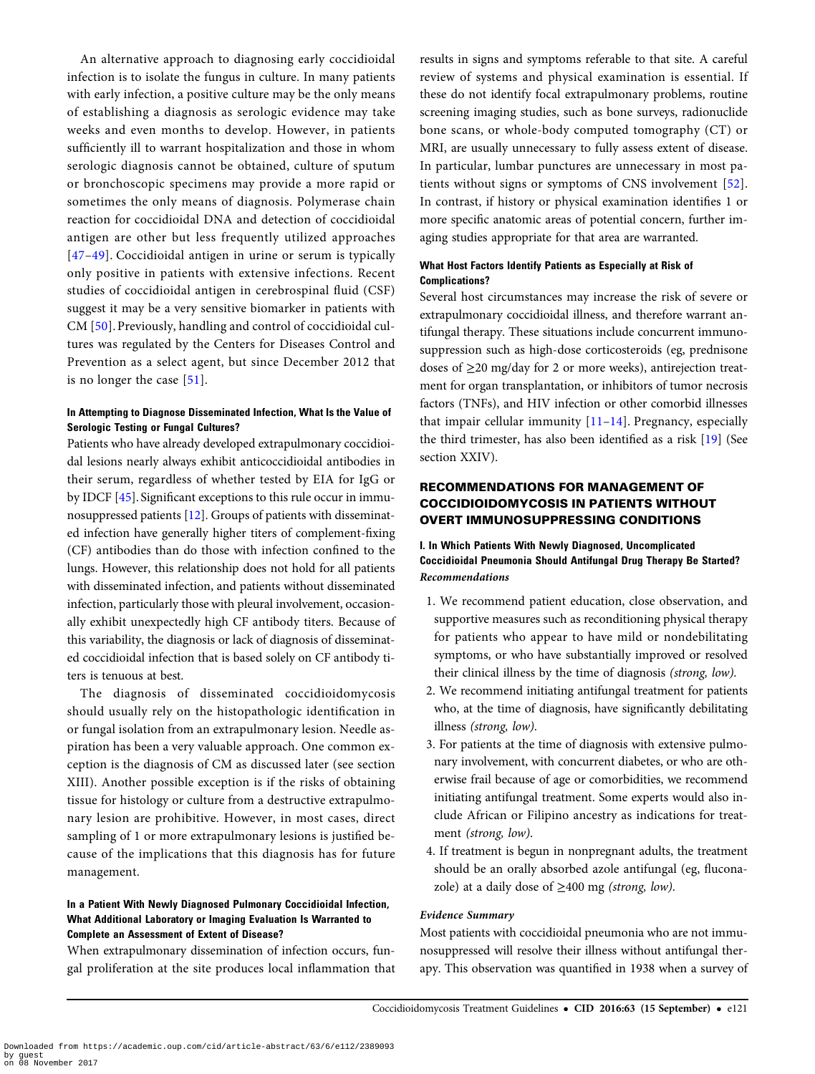An alternative approach to diagnosing early coccidioidal infection is to isolate the fungus in culture. In many patients with early infection, a positive culture may be the only means of establishing a diagnosis as serologic evidence may take weeks and even months to develop. However, in patients sufficiently ill to warrant hospitalization and those in whom serologic diagnosis cannot be obtained, culture of sputum or bronchoscopic specimens may provide a more rapid or sometimes the only means of diagnosis. Polymerase chain reaction for coccidioidal DNA and detection of coccidioidal antigen are other but less frequently utilized approaches [\[47](#page-31-0)–[49\]](#page-31-0). Coccidioidal antigen in urine or serum is typically only positive in patients with extensive infections. Recent studies of coccidioidal antigen in cerebrospinal fluid (CSF) suggest it may be a very sensitive biomarker in patients with CM [\[50\]](#page-31-0). Previously, handling and control of coccidioidal cultures was regulated by the Centers for Diseases Control and Prevention as a select agent, but since December 2012 that is no longer the case [\[51\]](#page-31-0).

## In Attempting to Diagnose Disseminated Infection, What Is the Value of Serologic Testing or Fungal Cultures?

Patients who have already developed extrapulmonary coccidioidal lesions nearly always exhibit anticoccidioidal antibodies in their serum, regardless of whether tested by EIA for IgG or by IDCF [[45\]](#page-31-0). Significant exceptions to this rule occur in immunosuppressed patients [\[12](#page-31-0)]. Groups of patients with disseminated infection have generally higher titers of complement-fixing (CF) antibodies than do those with infection confined to the lungs. However, this relationship does not hold for all patients with disseminated infection, and patients without disseminated infection, particularly those with pleural involvement, occasionally exhibit unexpectedly high CF antibody titers. Because of this variability, the diagnosis or lack of diagnosis of disseminated coccidioidal infection that is based solely on CF antibody titers is tenuous at best.

The diagnosis of disseminated coccidioidomycosis should usually rely on the histopathologic identification in or fungal isolation from an extrapulmonary lesion. Needle aspiration has been a very valuable approach. One common exception is the diagnosis of CM as discussed later (see section XIII). Another possible exception is if the risks of obtaining tissue for histology or culture from a destructive extrapulmonary lesion are prohibitive. However, in most cases, direct sampling of 1 or more extrapulmonary lesions is justified because of the implications that this diagnosis has for future management.

#### In a Patient With Newly Diagnosed Pulmonary Coccidioidal Infection, What Additional Laboratory or Imaging Evaluation Is Warranted to Complete an Assessment of Extent of Disease?

When extrapulmonary dissemination of infection occurs, fungal proliferation at the site produces local inflammation that results in signs and symptoms referable to that site. A careful review of systems and physical examination is essential. If these do not identify focal extrapulmonary problems, routine screening imaging studies, such as bone surveys, radionuclide bone scans, or whole-body computed tomography (CT) or MRI, are usually unnecessary to fully assess extent of disease. In particular, lumbar punctures are unnecessary in most patients without signs or symptoms of CNS involvement [[52](#page-31-0)]. In contrast, if history or physical examination identifies 1 or more specific anatomic areas of potential concern, further imaging studies appropriate for that area are warranted.

## What Host Factors Identify Patients as Especially at Risk of Complications?

Several host circumstances may increase the risk of severe or extrapulmonary coccidioidal illness, and therefore warrant antifungal therapy. These situations include concurrent immunosuppression such as high-dose corticosteroids (eg, prednisone doses of ≥20 mg/day for 2 or more weeks), antirejection treatment for organ transplantation, or inhibitors of tumor necrosis factors (TNFs), and HIV infection or other comorbid illnesses that impair cellular immunity [\[11](#page-31-0)–[14\]](#page-31-0). Pregnancy, especially the third trimester, has also been identified as a risk [[19\]](#page-31-0) (See section XXIV).

# RECOMMENDATIONS FOR MANAGEMENT OF COCCIDIOIDOMYCOSIS IN PATIENTS WITHOUT OVERT IMMUNOSUPPRESSING CONDITIONS

## I. In Which Patients With Newly Diagnosed, Uncomplicated Coccidioidal Pneumonia Should Antifungal Drug Therapy Be Started? Recommendations

- 1. We recommend patient education, close observation, and supportive measures such as reconditioning physical therapy for patients who appear to have mild or nondebilitating symptoms, or who have substantially improved or resolved their clinical illness by the time of diagnosis (strong, low).
- 2. We recommend initiating antifungal treatment for patients who, at the time of diagnosis, have significantly debilitating illness (strong, low).
- 3. For patients at the time of diagnosis with extensive pulmonary involvement, with concurrent diabetes, or who are otherwise frail because of age or comorbidities, we recommend initiating antifungal treatment. Some experts would also include African or Filipino ancestry as indications for treatment (strong, low).
- 4. If treatment is begun in nonpregnant adults, the treatment should be an orally absorbed azole antifungal (eg, fluconazole) at a daily dose of  $\geq$ 400 mg (strong, low).

#### Evidence Summary

Most patients with coccidioidal pneumonia who are not immunosuppressed will resolve their illness without antifungal therapy. This observation was quantified in 1938 when a survey of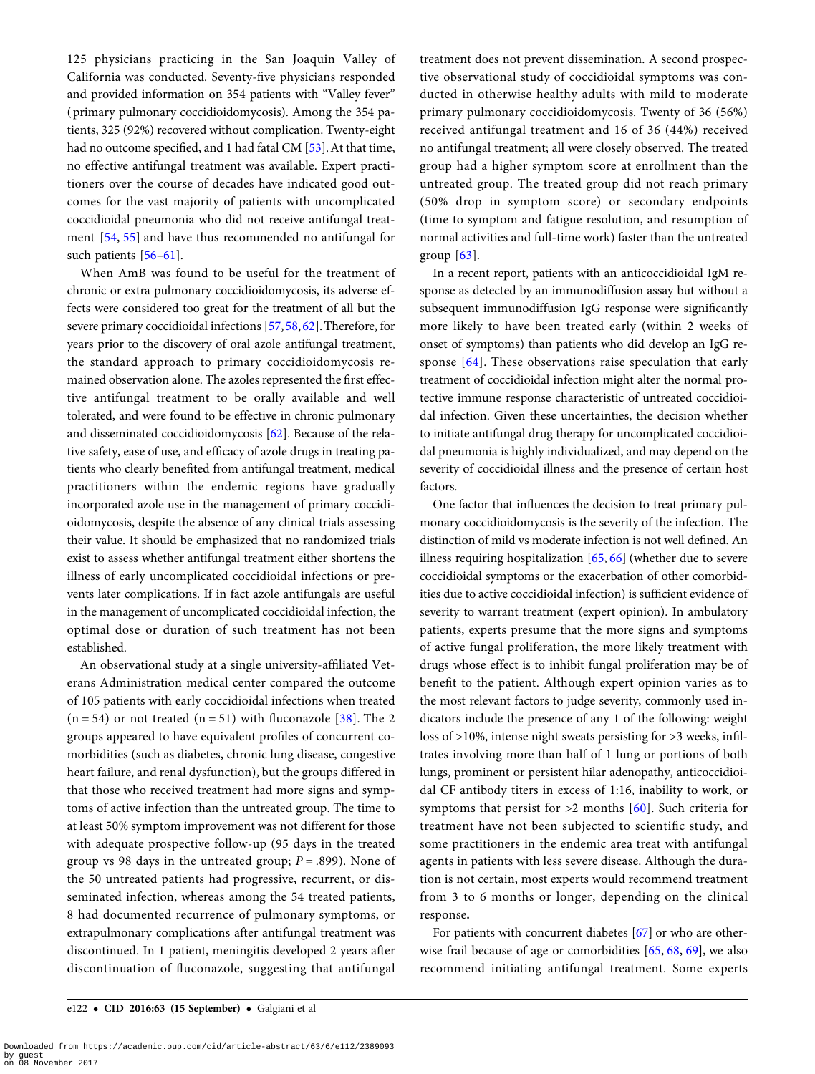125 physicians practicing in the San Joaquin Valley of California was conducted. Seventy-five physicians responded and provided information on 354 patients with "Valley fever" ( primary pulmonary coccidioidomycosis). Among the 354 patients, 325 (92%) recovered without complication. Twenty-eight had no outcome specified, and 1 had fatal CM [\[53](#page-31-0)]. At that time, no effective antifungal treatment was available. Expert practitioners over the course of decades have indicated good outcomes for the vast majority of patients with uncomplicated coccidioidal pneumonia who did not receive antifungal treatment [[54](#page-31-0), [55](#page-31-0)] and have thus recommended no antifungal for such patients [\[56](#page-31-0)-[61](#page-31-0)].

When AmB was found to be useful for the treatment of chronic or extra pulmonary coccidioidomycosis, its adverse effects were considered too great for the treatment of all but the severe primary coccidioidal infections [[57,](#page-31-0) [58](#page-31-0), [62\]](#page-31-0). Therefore, for years prior to the discovery of oral azole antifungal treatment, the standard approach to primary coccidioidomycosis remained observation alone. The azoles represented the first effective antifungal treatment to be orally available and well tolerated, and were found to be effective in chronic pulmonary and disseminated coccidioidomycosis [\[62](#page-31-0)]. Because of the relative safety, ease of use, and efficacy of azole drugs in treating patients who clearly benefited from antifungal treatment, medical practitioners within the endemic regions have gradually incorporated azole use in the management of primary coccidioidomycosis, despite the absence of any clinical trials assessing their value. It should be emphasized that no randomized trials exist to assess whether antifungal treatment either shortens the illness of early uncomplicated coccidioidal infections or prevents later complications. If in fact azole antifungals are useful in the management of uncomplicated coccidioidal infection, the optimal dose or duration of such treatment has not been established.

An observational study at a single university-affiliated Veterans Administration medical center compared the outcome of 105 patients with early coccidioidal infections when treated  $(n = 54)$  or not treated  $(n = 51)$  with fluconazole [\[38\]](#page-31-0). The 2 groups appeared to have equivalent profiles of concurrent comorbidities (such as diabetes, chronic lung disease, congestive heart failure, and renal dysfunction), but the groups differed in that those who received treatment had more signs and symptoms of active infection than the untreated group. The time to at least 50% symptom improvement was not different for those with adequate prospective follow-up (95 days in the treated group vs 98 days in the untreated group;  $P = .899$ ). None of the 50 untreated patients had progressive, recurrent, or disseminated infection, whereas among the 54 treated patients, 8 had documented recurrence of pulmonary symptoms, or extrapulmonary complications after antifungal treatment was discontinued. In 1 patient, meningitis developed 2 years after discontinuation of fluconazole, suggesting that antifungal treatment does not prevent dissemination. A second prospective observational study of coccidioidal symptoms was conducted in otherwise healthy adults with mild to moderate primary pulmonary coccidioidomycosis. Twenty of 36 (56%) received antifungal treatment and 16 of 36 (44%) received no antifungal treatment; all were closely observed. The treated group had a higher symptom score at enrollment than the untreated group. The treated group did not reach primary (50% drop in symptom score) or secondary endpoints (time to symptom and fatigue resolution, and resumption of normal activities and full-time work) faster than the untreated group [[63](#page-32-0)].

In a recent report, patients with an anticoccidioidal IgM response as detected by an immunodiffusion assay but without a subsequent immunodiffusion IgG response were significantly more likely to have been treated early (within 2 weeks of onset of symptoms) than patients who did develop an IgG response [[64](#page-32-0)]. These observations raise speculation that early treatment of coccidioidal infection might alter the normal protective immune response characteristic of untreated coccidioidal infection. Given these uncertainties, the decision whether to initiate antifungal drug therapy for uncomplicated coccidioidal pneumonia is highly individualized, and may depend on the severity of coccidioidal illness and the presence of certain host factors.

One factor that influences the decision to treat primary pulmonary coccidioidomycosis is the severity of the infection. The distinction of mild vs moderate infection is not well defined. An illness requiring hospitalization [\[65](#page-32-0), [66](#page-32-0)] (whether due to severe coccidioidal symptoms or the exacerbation of other comorbidities due to active coccidioidal infection) is sufficient evidence of severity to warrant treatment (expert opinion). In ambulatory patients, experts presume that the more signs and symptoms of active fungal proliferation, the more likely treatment with drugs whose effect is to inhibit fungal proliferation may be of benefit to the patient. Although expert opinion varies as to the most relevant factors to judge severity, commonly used indicators include the presence of any 1 of the following: weight loss of >10%, intense night sweats persisting for >3 weeks, infiltrates involving more than half of 1 lung or portions of both lungs, prominent or persistent hilar adenopathy, anticoccidioidal CF antibody titers in excess of 1:16, inability to work, or symptoms that persist for  $>2$  months [[60](#page-31-0)]. Such criteria for treatment have not been subjected to scientific study, and some practitioners in the endemic area treat with antifungal agents in patients with less severe disease. Although the duration is not certain, most experts would recommend treatment from 3 to 6 months or longer, depending on the clinical response.

For patients with concurrent diabetes [\[67\]](#page-32-0) or who are otherwise frail because of age or comorbidities [[65,](#page-32-0) [68](#page-32-0), [69\]](#page-32-0), we also recommend initiating antifungal treatment. Some experts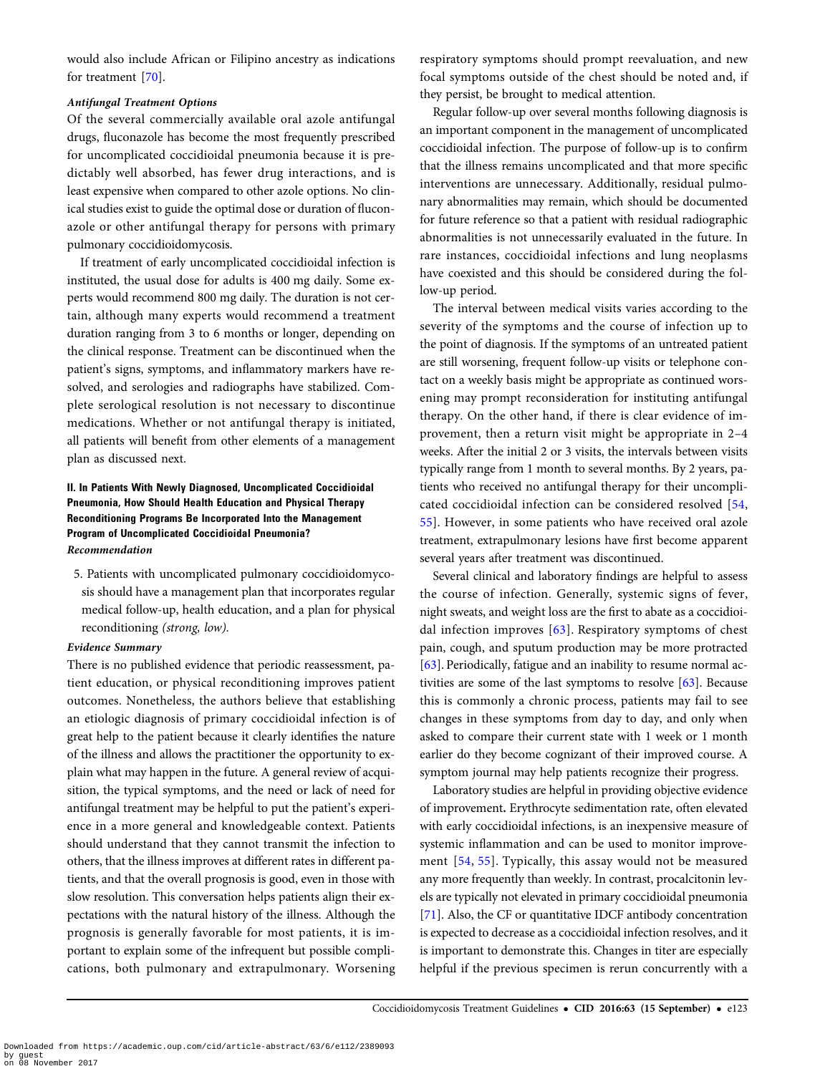would also include African or Filipino ancestry as indications for treatment [\[70](#page-32-0)].

#### Antifungal Treatment Options

Of the several commercially available oral azole antifungal drugs, fluconazole has become the most frequently prescribed for uncomplicated coccidioidal pneumonia because it is predictably well absorbed, has fewer drug interactions, and is least expensive when compared to other azole options. No clinical studies exist to guide the optimal dose or duration of fluconazole or other antifungal therapy for persons with primary pulmonary coccidioidomycosis.

If treatment of early uncomplicated coccidioidal infection is instituted, the usual dose for adults is 400 mg daily. Some experts would recommend 800 mg daily. The duration is not certain, although many experts would recommend a treatment duration ranging from 3 to 6 months or longer, depending on the clinical response. Treatment can be discontinued when the patient's signs, symptoms, and inflammatory markers have resolved, and serologies and radiographs have stabilized. Complete serological resolution is not necessary to discontinue medications. Whether or not antifungal therapy is initiated, all patients will benefit from other elements of a management plan as discussed next.

#### II. In Patients With Newly Diagnosed, Uncomplicated Coccidioidal Pneumonia, How Should Health Education and Physical Therapy Reconditioning Programs Be Incorporated Into the Management Program of Uncomplicated Coccidioidal Pneumonia? Recommendation

5. Patients with uncomplicated pulmonary coccidioidomycosis should have a management plan that incorporates regular medical follow-up, health education, and a plan for physical reconditioning (strong, low).

#### Evidence Summary

There is no published evidence that periodic reassessment, patient education, or physical reconditioning improves patient outcomes. Nonetheless, the authors believe that establishing an etiologic diagnosis of primary coccidioidal infection is of great help to the patient because it clearly identifies the nature of the illness and allows the practitioner the opportunity to explain what may happen in the future. A general review of acquisition, the typical symptoms, and the need or lack of need for antifungal treatment may be helpful to put the patient's experience in a more general and knowledgeable context. Patients should understand that they cannot transmit the infection to others, that the illness improves at different rates in different patients, and that the overall prognosis is good, even in those with slow resolution. This conversation helps patients align their expectations with the natural history of the illness. Although the prognosis is generally favorable for most patients, it is important to explain some of the infrequent but possible complications, both pulmonary and extrapulmonary. Worsening respiratory symptoms should prompt reevaluation, and new focal symptoms outside of the chest should be noted and, if they persist, be brought to medical attention.

Regular follow-up over several months following diagnosis is an important component in the management of uncomplicated coccidioidal infection. The purpose of follow-up is to confirm that the illness remains uncomplicated and that more specific interventions are unnecessary. Additionally, residual pulmonary abnormalities may remain, which should be documented for future reference so that a patient with residual radiographic abnormalities is not unnecessarily evaluated in the future. In rare instances, coccidioidal infections and lung neoplasms have coexisted and this should be considered during the follow-up period.

The interval between medical visits varies according to the severity of the symptoms and the course of infection up to the point of diagnosis. If the symptoms of an untreated patient are still worsening, frequent follow-up visits or telephone contact on a weekly basis might be appropriate as continued worsening may prompt reconsideration for instituting antifungal therapy. On the other hand, if there is clear evidence of improvement, then a return visit might be appropriate in 2–4 weeks. After the initial 2 or 3 visits, the intervals between visits typically range from 1 month to several months. By 2 years, patients who received no antifungal therapy for their uncomplicated coccidioidal infection can be considered resolved [\[54,](#page-31-0) [55](#page-31-0)]. However, in some patients who have received oral azole treatment, extrapulmonary lesions have first become apparent several years after treatment was discontinued.

Several clinical and laboratory findings are helpful to assess the course of infection. Generally, systemic signs of fever, night sweats, and weight loss are the first to abate as a coccidioidal infection improves [[63\]](#page-32-0). Respiratory symptoms of chest pain, cough, and sputum production may be more protracted [\[63](#page-32-0)]. Periodically, fatigue and an inability to resume normal activities are some of the last symptoms to resolve [\[63](#page-32-0)]. Because this is commonly a chronic process, patients may fail to see changes in these symptoms from day to day, and only when asked to compare their current state with 1 week or 1 month earlier do they become cognizant of their improved course. A symptom journal may help patients recognize their progress.

Laboratory studies are helpful in providing objective evidence of improvement. Erythrocyte sedimentation rate, often elevated with early coccidioidal infections, is an inexpensive measure of systemic inflammation and can be used to monitor improvement [[54](#page-31-0), [55\]](#page-31-0). Typically, this assay would not be measured any more frequently than weekly. In contrast, procalcitonin levels are typically not elevated in primary coccidioidal pneumonia [\[71](#page-32-0)]. Also, the CF or quantitative IDCF antibody concentration is expected to decrease as a coccidioidal infection resolves, and it is important to demonstrate this. Changes in titer are especially helpful if the previous specimen is rerun concurrently with a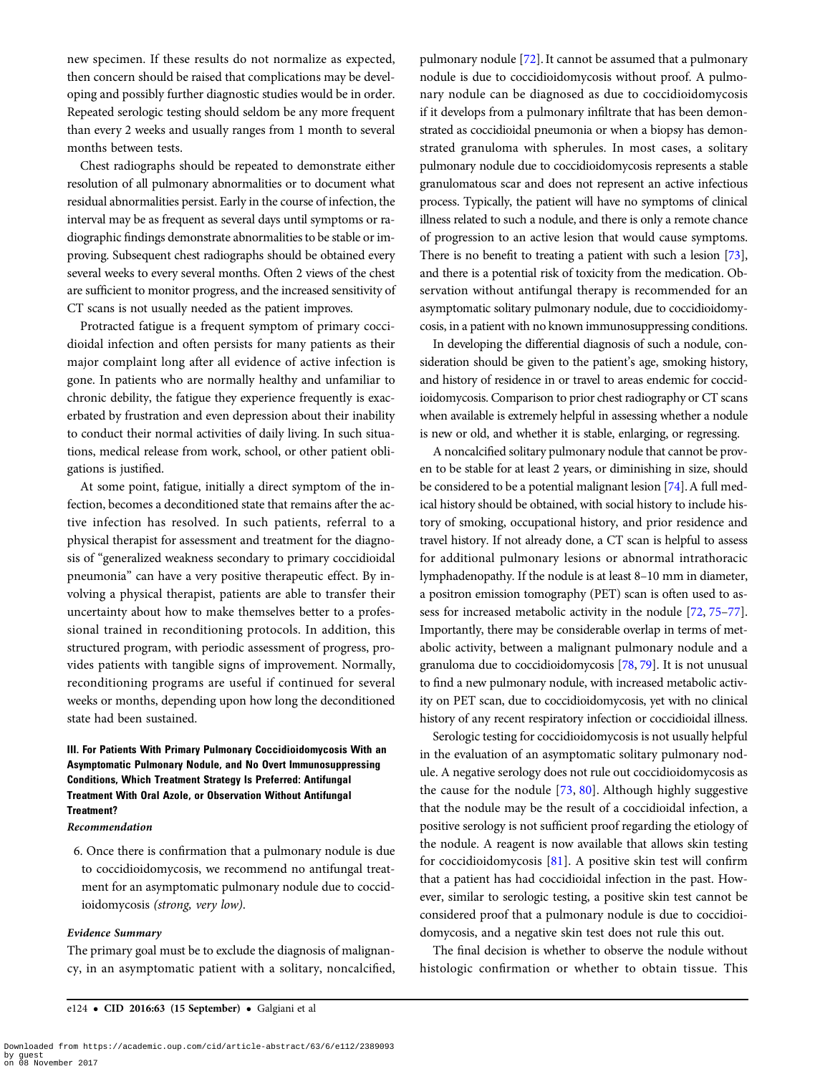new specimen. If these results do not normalize as expected, then concern should be raised that complications may be developing and possibly further diagnostic studies would be in order. Repeated serologic testing should seldom be any more frequent than every 2 weeks and usually ranges from 1 month to several months between tests.

Chest radiographs should be repeated to demonstrate either resolution of all pulmonary abnormalities or to document what residual abnormalities persist. Early in the course of infection, the interval may be as frequent as several days until symptoms or radiographic findings demonstrate abnormalities to be stable or improving. Subsequent chest radiographs should be obtained every several weeks to every several months. Often 2 views of the chest are sufficient to monitor progress, and the increased sensitivity of CT scans is not usually needed as the patient improves.

Protracted fatigue is a frequent symptom of primary coccidioidal infection and often persists for many patients as their major complaint long after all evidence of active infection is gone. In patients who are normally healthy and unfamiliar to chronic debility, the fatigue they experience frequently is exacerbated by frustration and even depression about their inability to conduct their normal activities of daily living. In such situations, medical release from work, school, or other patient obligations is justified.

At some point, fatigue, initially a direct symptom of the infection, becomes a deconditioned state that remains after the active infection has resolved. In such patients, referral to a physical therapist for assessment and treatment for the diagnosis of "generalized weakness secondary to primary coccidioidal pneumonia" can have a very positive therapeutic effect. By involving a physical therapist, patients are able to transfer their uncertainty about how to make themselves better to a professional trained in reconditioning protocols. In addition, this structured program, with periodic assessment of progress, provides patients with tangible signs of improvement. Normally, reconditioning programs are useful if continued for several weeks or months, depending upon how long the deconditioned state had been sustained.

# III. For Patients With Primary Pulmonary Coccidioidomycosis With an Asymptomatic Pulmonary Nodule, and No Overt Immunosuppressing Conditions, Which Treatment Strategy Is Preferred: Antifungal Treatment With Oral Azole, or Observation Without Antifungal Treatment?

#### Recommendation

6. Once there is confirmation that a pulmonary nodule is due to coccidioidomycosis, we recommend no antifungal treatment for an asymptomatic pulmonary nodule due to coccidioidomycosis (strong, very low).

#### Evidence Summary

The primary goal must be to exclude the diagnosis of malignancy, in an asymptomatic patient with a solitary, noncalcified,

pulmonary nodule [[72\]](#page-32-0). It cannot be assumed that a pulmonary nodule is due to coccidioidomycosis without proof. A pulmonary nodule can be diagnosed as due to coccidioidomycosis if it develops from a pulmonary infiltrate that has been demonstrated as coccidioidal pneumonia or when a biopsy has demonstrated granuloma with spherules. In most cases, a solitary pulmonary nodule due to coccidioidomycosis represents a stable granulomatous scar and does not represent an active infectious process. Typically, the patient will have no symptoms of clinical illness related to such a nodule, and there is only a remote chance of progression to an active lesion that would cause symptoms. There is no benefit to treating a patient with such a lesion [[73\]](#page-32-0), and there is a potential risk of toxicity from the medication. Observation without antifungal therapy is recommended for an asymptomatic solitary pulmonary nodule, due to coccidioidomycosis, in a patient with no known immunosuppressing conditions.

In developing the differential diagnosis of such a nodule, consideration should be given to the patient's age, smoking history, and history of residence in or travel to areas endemic for coccidioidomycosis. Comparison to prior chest radiography or CT scans when available is extremely helpful in assessing whether a nodule is new or old, and whether it is stable, enlarging, or regressing.

A noncalcified solitary pulmonary nodule that cannot be proven to be stable for at least 2 years, or diminishing in size, should be considered to be a potential malignant lesion [[74\]](#page-32-0).A full medical history should be obtained, with social history to include history of smoking, occupational history, and prior residence and travel history. If not already done, a CT scan is helpful to assess for additional pulmonary lesions or abnormal intrathoracic lymphadenopathy. If the nodule is at least 8–10 mm in diameter, a positron emission tomography (PET) scan is often used to assess for increased metabolic activity in the nodule [\[72](#page-32-0), [75](#page-32-0)–[77\]](#page-32-0). Importantly, there may be considerable overlap in terms of metabolic activity, between a malignant pulmonary nodule and a granuloma due to coccidioidomycosis [\[78](#page-32-0), [79](#page-32-0)]. It is not unusual to find a new pulmonary nodule, with increased metabolic activity on PET scan, due to coccidioidomycosis, yet with no clinical history of any recent respiratory infection or coccidioidal illness.

Serologic testing for coccidioidomycosis is not usually helpful in the evaluation of an asymptomatic solitary pulmonary nodule. A negative serology does not rule out coccidioidomycosis as the cause for the nodule [\[73](#page-32-0), [80](#page-32-0)]. Although highly suggestive that the nodule may be the result of a coccidioidal infection, a positive serology is not sufficient proof regarding the etiology of the nodule. A reagent is now available that allows skin testing for coccidioidomycosis [\[81\]](#page-32-0). A positive skin test will confirm that a patient has had coccidioidal infection in the past. However, similar to serologic testing, a positive skin test cannot be considered proof that a pulmonary nodule is due to coccidioidomycosis, and a negative skin test does not rule this out.

The final decision is whether to observe the nodule without histologic confirmation or whether to obtain tissue. This

Downloaded from https://academic.oup.com/cid/article-abstract/63/6/e112/2389093 by guest on 08 November 2017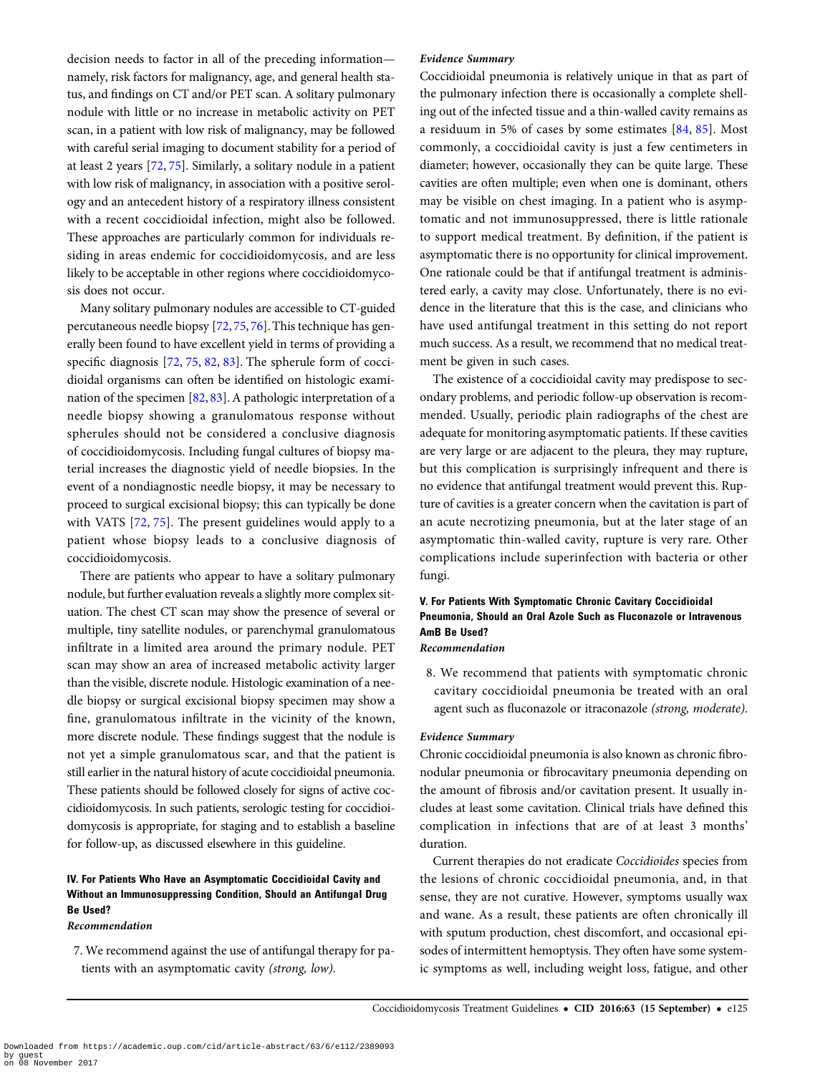decision needs to factor in all of the preceding information namely, risk factors for malignancy, age, and general health status, and findings on CT and/or PET scan. A solitary pulmonary nodule with little or no increase in metabolic activity on PET scan, in a patient with low risk of malignancy, may be followed with careful serial imaging to document stability for a period of at least 2 years [[72](#page-32-0), [75](#page-32-0)]. Similarly, a solitary nodule in a patient with low risk of malignancy, in association with a positive serology and an antecedent history of a respiratory illness consistent with a recent coccidioidal infection, might also be followed. These approaches are particularly common for individuals residing in areas endemic for coccidioidomycosis, and are less likely to be acceptable in other regions where coccidioidomycosis does not occur.

Many solitary pulmonary nodules are accessible to CT-guided percutaneous needle biopsy [[72,](#page-32-0) [75](#page-32-0), [76\]](#page-32-0). This technique has generally been found to have excellent yield in terms of providing a specific diagnosis [[72,](#page-32-0) [75,](#page-32-0) [82](#page-32-0), [83\]](#page-32-0). The spherule form of coccidioidal organisms can often be identified on histologic examination of the specimen [\[82,](#page-32-0) [83](#page-32-0)]. A pathologic interpretation of a needle biopsy showing a granulomatous response without spherules should not be considered a conclusive diagnosis of coccidioidomycosis. Including fungal cultures of biopsy material increases the diagnostic yield of needle biopsies. In the event of a nondiagnostic needle biopsy, it may be necessary to proceed to surgical excisional biopsy; this can typically be done with VATS [[72](#page-32-0), [75\]](#page-32-0). The present guidelines would apply to a patient whose biopsy leads to a conclusive diagnosis of coccidioidomycosis.

There are patients who appear to have a solitary pulmonary nodule, but further evaluation reveals a slightly more complex situation. The chest CT scan may show the presence of several or multiple, tiny satellite nodules, or parenchymal granulomatous infiltrate in a limited area around the primary nodule. PET scan may show an area of increased metabolic activity larger than the visible, discrete nodule. Histologic examination of a needle biopsy or surgical excisional biopsy specimen may show a fine, granulomatous infiltrate in the vicinity of the known, more discrete nodule. These findings suggest that the nodule is not yet a simple granulomatous scar, and that the patient is still earlier in the natural history of acute coccidioidal pneumonia. These patients should be followed closely for signs of active coccidioidomycosis. In such patients, serologic testing for coccidioidomycosis is appropriate, for staging and to establish a baseline for follow-up, as discussed elsewhere in this guideline.

# IV. For Patients Who Have an Asymptomatic Coccidioidal Cavity and Without an Immunosuppressing Condition, Should an Antifungal Drug Be Used?

#### Recommendation

7. We recommend against the use of antifungal therapy for patients with an asymptomatic cavity (strong, low).

#### Evidence Summary

Coccidioidal pneumonia is relatively unique in that as part of the pulmonary infection there is occasionally a complete shelling out of the infected tissue and a thin-walled cavity remains as a residuum in 5% of cases by some estimates [[84](#page-32-0), [85](#page-32-0)]. Most commonly, a coccidioidal cavity is just a few centimeters in diameter; however, occasionally they can be quite large. These cavities are often multiple; even when one is dominant, others may be visible on chest imaging. In a patient who is asymptomatic and not immunosuppressed, there is little rationale to support medical treatment. By definition, if the patient is asymptomatic there is no opportunity for clinical improvement. One rationale could be that if antifungal treatment is administered early, a cavity may close. Unfortunately, there is no evidence in the literature that this is the case, and clinicians who have used antifungal treatment in this setting do not report much success. As a result, we recommend that no medical treatment be given in such cases.

The existence of a coccidioidal cavity may predispose to secondary problems, and periodic follow-up observation is recommended. Usually, periodic plain radiographs of the chest are adequate for monitoring asymptomatic patients. If these cavities are very large or are adjacent to the pleura, they may rupture, but this complication is surprisingly infrequent and there is no evidence that antifungal treatment would prevent this. Rupture of cavities is a greater concern when the cavitation is part of an acute necrotizing pneumonia, but at the later stage of an asymptomatic thin-walled cavity, rupture is very rare. Other complications include superinfection with bacteria or other fungi.

# V. For Patients With Symptomatic Chronic Cavitary Coccidioidal Pneumonia, Should an Oral Azole Such as Fluconazole or Intravenous AmB Be Used?

Recommendation

8. We recommend that patients with symptomatic chronic cavitary coccidioidal pneumonia be treated with an oral agent such as fluconazole or itraconazole (strong, moderate).

#### Evidence Summary

Chronic coccidioidal pneumonia is also known as chronic fibronodular pneumonia or fibrocavitary pneumonia depending on the amount of fibrosis and/or cavitation present. It usually includes at least some cavitation. Clinical trials have defined this complication in infections that are of at least 3 months' duration.

Current therapies do not eradicate Coccidioides species from the lesions of chronic coccidioidal pneumonia, and, in that sense, they are not curative. However, symptoms usually wax and wane. As a result, these patients are often chronically ill with sputum production, chest discomfort, and occasional episodes of intermittent hemoptysis. They often have some systemic symptoms as well, including weight loss, fatigue, and other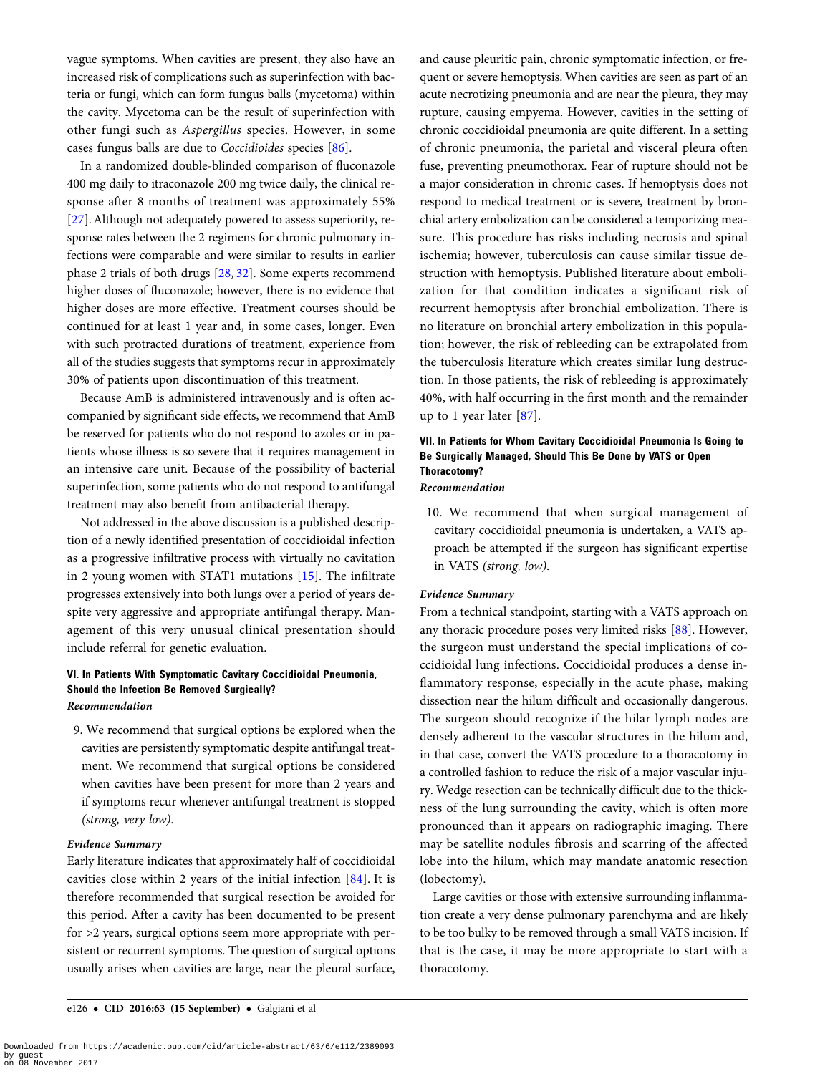vague symptoms. When cavities are present, they also have an increased risk of complications such as superinfection with bacteria or fungi, which can form fungus balls (mycetoma) within the cavity. Mycetoma can be the result of superinfection with other fungi such as Aspergillus species. However, in some cases fungus balls are due to Coccidioides species [[86](#page-32-0)].

In a randomized double-blinded comparison of fluconazole 400 mg daily to itraconazole 200 mg twice daily, the clinical response after 8 months of treatment was approximately 55% [\[27](#page-31-0)]. Although not adequately powered to assess superiority, response rates between the 2 regimens for chronic pulmonary infections were comparable and were similar to results in earlier phase 2 trials of both drugs [\[28](#page-31-0), [32](#page-31-0)]. Some experts recommend higher doses of fluconazole; however, there is no evidence that higher doses are more effective. Treatment courses should be continued for at least 1 year and, in some cases, longer. Even with such protracted durations of treatment, experience from all of the studies suggests that symptoms recur in approximately 30% of patients upon discontinuation of this treatment.

Because AmB is administered intravenously and is often accompanied by significant side effects, we recommend that AmB be reserved for patients who do not respond to azoles or in patients whose illness is so severe that it requires management in an intensive care unit. Because of the possibility of bacterial superinfection, some patients who do not respond to antifungal treatment may also benefit from antibacterial therapy.

Not addressed in the above discussion is a published description of a newly identified presentation of coccidioidal infection as a progressive infiltrative process with virtually no cavitation in 2 young women with STAT1 mutations [[15](#page-31-0)]. The infiltrate progresses extensively into both lungs over a period of years despite very aggressive and appropriate antifungal therapy. Management of this very unusual clinical presentation should include referral for genetic evaluation.

#### VI. In Patients With Symptomatic Cavitary Coccidioidal Pneumonia, Should the Infection Be Removed Surgically? Recommendation

9. We recommend that surgical options be explored when the cavities are persistently symptomatic despite antifungal treatment. We recommend that surgical options be considered when cavities have been present for more than 2 years and if symptoms recur whenever antifungal treatment is stopped (strong, very low).

#### Evidence Summary

Early literature indicates that approximately half of coccidioidal cavities close within 2 years of the initial infection [[84](#page-32-0)]. It is therefore recommended that surgical resection be avoided for this period. After a cavity has been documented to be present for >2 years, surgical options seem more appropriate with persistent or recurrent symptoms. The question of surgical options usually arises when cavities are large, near the pleural surface,

and cause pleuritic pain, chronic symptomatic infection, or frequent or severe hemoptysis. When cavities are seen as part of an acute necrotizing pneumonia and are near the pleura, they may rupture, causing empyema. However, cavities in the setting of chronic coccidioidal pneumonia are quite different. In a setting of chronic pneumonia, the parietal and visceral pleura often fuse, preventing pneumothorax. Fear of rupture should not be a major consideration in chronic cases. If hemoptysis does not respond to medical treatment or is severe, treatment by bronchial artery embolization can be considered a temporizing measure. This procedure has risks including necrosis and spinal ischemia; however, tuberculosis can cause similar tissue destruction with hemoptysis. Published literature about embolization for that condition indicates a significant risk of recurrent hemoptysis after bronchial embolization. There is no literature on bronchial artery embolization in this population; however, the risk of rebleeding can be extrapolated from the tuberculosis literature which creates similar lung destruction. In those patients, the risk of rebleeding is approximately 40%, with half occurring in the first month and the remainder up to 1 year later [\[87\]](#page-32-0).

# VII. In Patients for Whom Cavitary Coccidioidal Pneumonia Is Going to Be Surgically Managed, Should This Be Done by VATS or Open Thoracotomy?

Recommendation

10. We recommend that when surgical management of cavitary coccidioidal pneumonia is undertaken, a VATS approach be attempted if the surgeon has significant expertise in VATS (strong, low).

#### Evidence Summary

From a technical standpoint, starting with a VATS approach on any thoracic procedure poses very limited risks [[88](#page-32-0)]. However, the surgeon must understand the special implications of coccidioidal lung infections. Coccidioidal produces a dense inflammatory response, especially in the acute phase, making dissection near the hilum difficult and occasionally dangerous. The surgeon should recognize if the hilar lymph nodes are densely adherent to the vascular structures in the hilum and, in that case, convert the VATS procedure to a thoracotomy in a controlled fashion to reduce the risk of a major vascular injury. Wedge resection can be technically difficult due to the thickness of the lung surrounding the cavity, which is often more pronounced than it appears on radiographic imaging. There may be satellite nodules fibrosis and scarring of the affected lobe into the hilum, which may mandate anatomic resection (lobectomy).

Large cavities or those with extensive surrounding inflammation create a very dense pulmonary parenchyma and are likely to be too bulky to be removed through a small VATS incision. If that is the case, it may be more appropriate to start with a thoracotomy.

Downloaded from https://academic.oup.com/cid/article-abstract/63/6/e112/2389093 by guest on 08 November 2017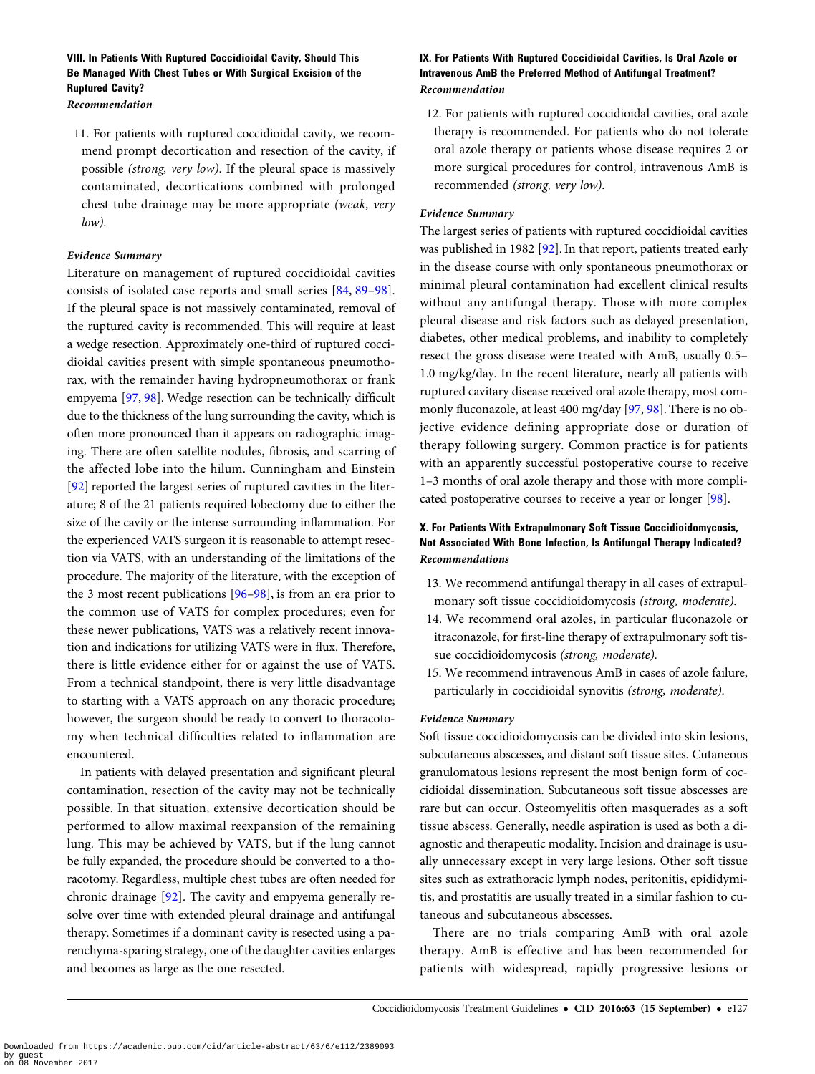VIII. In Patients With Ruptured Coccidioidal Cavity, Should This Be Managed With Chest Tubes or With Surgical Excision of the Ruptured Cavity? Recommendation

11. For patients with ruptured coccidioidal cavity, we recommend prompt decortication and resection of the cavity, if possible (strong, very low). If the pleural space is massively contaminated, decortications combined with prolonged chest tube drainage may be more appropriate (weak, very  $low$ ).

#### Evidence Summary

Literature on management of ruptured coccidioidal cavities consists of isolated case reports and small series [[84](#page-32-0), [89](#page-32-0)–[98](#page-32-0)]. If the pleural space is not massively contaminated, removal of the ruptured cavity is recommended. This will require at least a wedge resection. Approximately one-third of ruptured coccidioidal cavities present with simple spontaneous pneumothorax, with the remainder having hydropneumothorax or frank empyema [[97,](#page-32-0) [98](#page-32-0)]. Wedge resection can be technically difficult due to the thickness of the lung surrounding the cavity, which is often more pronounced than it appears on radiographic imaging. There are often satellite nodules, fibrosis, and scarring of the affected lobe into the hilum. Cunningham and Einstein [\[92](#page-32-0)] reported the largest series of ruptured cavities in the literature; 8 of the 21 patients required lobectomy due to either the size of the cavity or the intense surrounding inflammation. For the experienced VATS surgeon it is reasonable to attempt resection via VATS, with an understanding of the limitations of the procedure. The majority of the literature, with the exception of the 3 most recent publications [\[96](#page-32-0)–[98](#page-32-0)], is from an era prior to the common use of VATS for complex procedures; even for these newer publications, VATS was a relatively recent innovation and indications for utilizing VATS were in flux. Therefore, there is little evidence either for or against the use of VATS. From a technical standpoint, there is very little disadvantage to starting with a VATS approach on any thoracic procedure; however, the surgeon should be ready to convert to thoracotomy when technical difficulties related to inflammation are encountered.

In patients with delayed presentation and significant pleural contamination, resection of the cavity may not be technically possible. In that situation, extensive decortication should be performed to allow maximal reexpansion of the remaining lung. This may be achieved by VATS, but if the lung cannot be fully expanded, the procedure should be converted to a thoracotomy. Regardless, multiple chest tubes are often needed for chronic drainage [[92\]](#page-32-0). The cavity and empyema generally resolve over time with extended pleural drainage and antifungal therapy. Sometimes if a dominant cavity is resected using a parenchyma-sparing strategy, one of the daughter cavities enlarges and becomes as large as the one resected.

# IX. For Patients With Ruptured Coccidioidal Cavities, Is Oral Azole or Intravenous AmB the Preferred Method of Antifungal Treatment? Recommendation

12. For patients with ruptured coccidioidal cavities, oral azole therapy is recommended. For patients who do not tolerate oral azole therapy or patients whose disease requires 2 or more surgical procedures for control, intravenous AmB is recommended (strong, very low).

#### Evidence Summary

The largest series of patients with ruptured coccidioidal cavities was published in 1982 [\[92](#page-32-0)]. In that report, patients treated early in the disease course with only spontaneous pneumothorax or minimal pleural contamination had excellent clinical results without any antifungal therapy. Those with more complex pleural disease and risk factors such as delayed presentation, diabetes, other medical problems, and inability to completely resect the gross disease were treated with AmB, usually 0.5– 1.0 mg/kg/day. In the recent literature, nearly all patients with ruptured cavitary disease received oral azole therapy, most commonly fluconazole, at least 400 mg/day [[97](#page-32-0), [98\]](#page-32-0). There is no objective evidence defining appropriate dose or duration of therapy following surgery. Common practice is for patients with an apparently successful postoperative course to receive 1–3 months of oral azole therapy and those with more complicated postoperative courses to receive a year or longer [[98](#page-32-0)].

#### X. For Patients With Extrapulmonary Soft Tissue Coccidioidomycosis, Not Associated With Bone Infection, Is Antifungal Therapy Indicated? Recommendations

- 13. We recommend antifungal therapy in all cases of extrapulmonary soft tissue coccidioidomycosis (strong, moderate).
- 14. We recommend oral azoles, in particular fluconazole or itraconazole, for first-line therapy of extrapulmonary soft tissue coccidioidomycosis (strong, moderate).
- 15. We recommend intravenous AmB in cases of azole failure, particularly in coccidioidal synovitis (strong, moderate).

#### Evidence Summary

Soft tissue coccidioidomycosis can be divided into skin lesions, subcutaneous abscesses, and distant soft tissue sites. Cutaneous granulomatous lesions represent the most benign form of coccidioidal dissemination. Subcutaneous soft tissue abscesses are rare but can occur. Osteomyelitis often masquerades as a soft tissue abscess. Generally, needle aspiration is used as both a diagnostic and therapeutic modality. Incision and drainage is usually unnecessary except in very large lesions. Other soft tissue sites such as extrathoracic lymph nodes, peritonitis, epididymitis, and prostatitis are usually treated in a similar fashion to cutaneous and subcutaneous abscesses.

There are no trials comparing AmB with oral azole therapy. AmB is effective and has been recommended for patients with widespread, rapidly progressive lesions or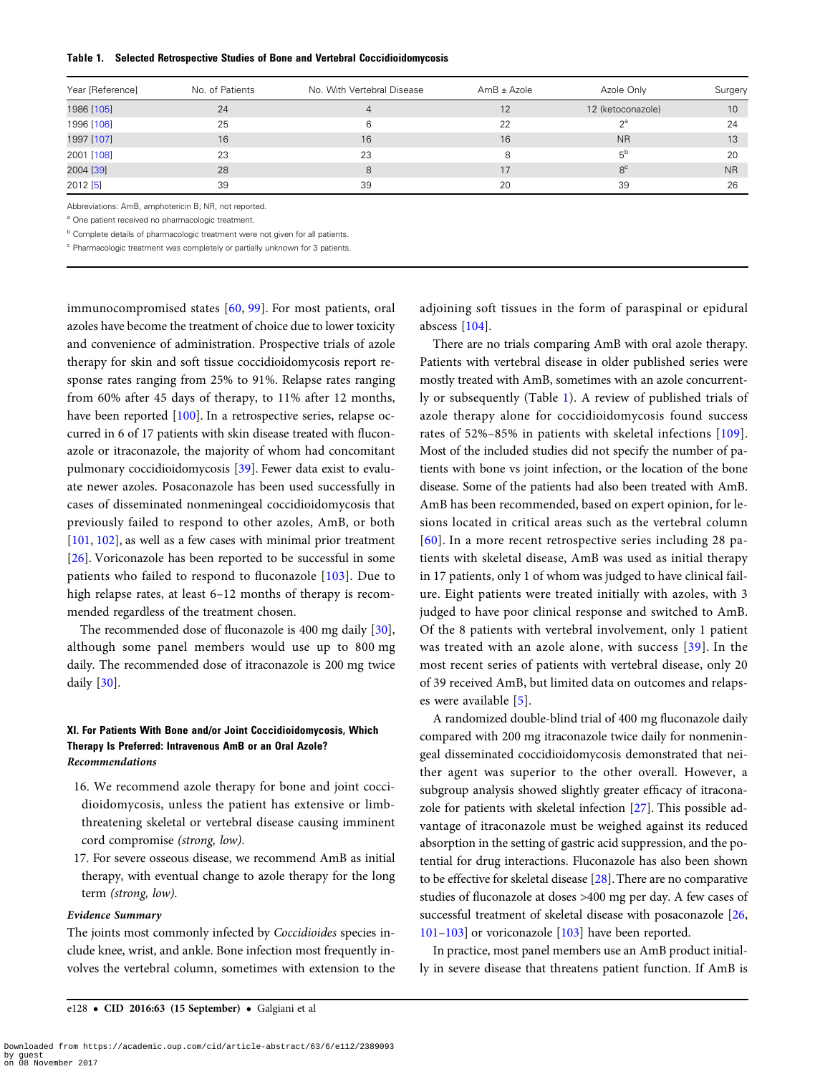|  |  |  |  |  | Table 1. Selected Retrospective Studies of Bone and Vertebral Coccidioidomycosis |
|--|--|--|--|--|----------------------------------------------------------------------------------|
|--|--|--|--|--|----------------------------------------------------------------------------------|

| Year [Reference] | No. of Patients | No. With Vertebral Disease | $AmB \pm Azole$ | Azole Only        | Surgery         |
|------------------|-----------------|----------------------------|-----------------|-------------------|-----------------|
| 1986 [105]       | 24              |                            | 12              | 12 (ketoconazole) | 10 <sup>1</sup> |
| 1996 [106]       | 25              |                            | 22              | oa                | 24              |
| 1997 [107]       | 16              | 16                         | 16              | <b>NR</b>         | 13              |
| 2001 [108]       | 23              | 23                         |                 | 5p                | 20              |
| 2004 [39]        | 28              |                            | 17              | 8 <sup>c</sup>    | <b>NR</b>       |
| $2012$ [5]       | 39              | 39                         | 20              | 39                | 26              |

Abbreviations: AmB, amphotericin B; NR, not reported.

<sup>a</sup> One patient received no pharmacologic treatment.

**b** Complete details of pharmacologic treatment were not given for all patients.

<sup>c</sup> Pharmacologic treatment was completely or partially unknown for 3 patients.

immunocompromised states [[60](#page-31-0), [99](#page-32-0)]. For most patients, oral azoles have become the treatment of choice due to lower toxicity and convenience of administration. Prospective trials of azole therapy for skin and soft tissue coccidioidomycosis report response rates ranging from 25% to 91%. Relapse rates ranging from 60% after 45 days of therapy, to 11% after 12 months, have been reported [[100\]](#page-31-0). In a retrospective series, relapse occurred in 6 of 17 patients with skin disease treated with fluconazole or itraconazole, the majority of whom had concomitant pulmonary coccidioidomycosis [[39\]](#page-31-0). Fewer data exist to evaluate newer azoles. Posaconazole has been used successfully in cases of disseminated nonmeningeal coccidioidomycosis that previously failed to respond to other azoles, AmB, or both [\[101,](#page-32-0) [102\]](#page-32-0), as well as a few cases with minimal prior treatment [\[26](#page-31-0)]. Voriconazole has been reported to be successful in some patients who failed to respond to fluconazole [\[103\]](#page-32-0). Due to high relapse rates, at least 6–12 months of therapy is recommended regardless of the treatment chosen.

The recommended dose of fluconazole is 400 mg daily [\[30\]](#page-31-0), although some panel members would use up to 800 mg daily. The recommended dose of itraconazole is 200 mg twice daily [\[30](#page-31-0)].

#### XI. For Patients With Bone and/or Joint Coccidioidomycosis, Which Therapy Is Preferred: Intravenous AmB or an Oral Azole? Recommendations

- 16. We recommend azole therapy for bone and joint coccidioidomycosis, unless the patient has extensive or limbthreatening skeletal or vertebral disease causing imminent cord compromise (strong, low).
- 17. For severe osseous disease, we recommend AmB as initial therapy, with eventual change to azole therapy for the long term (strong, low).

#### Evidence Summary

The joints most commonly infected by Coccidioides species include knee, wrist, and ankle. Bone infection most frequently involves the vertebral column, sometimes with extension to the adjoining soft tissues in the form of paraspinal or epidural abscess [\[104\]](#page-32-0).

There are no trials comparing AmB with oral azole therapy. Patients with vertebral disease in older published series were mostly treated with AmB, sometimes with an azole concurrently or subsequently (Table 1). A review of published trials of azole therapy alone for coccidioidomycosis found success rates of 52%–85% in patients with skeletal infections [[109](#page-32-0)]. Most of the included studies did not specify the number of patients with bone vs joint infection, or the location of the bone disease. Some of the patients had also been treated with AmB. AmB has been recommended, based on expert opinion, for lesions located in critical areas such as the vertebral column [\[60](#page-31-0)]. In a more recent retrospective series including 28 patients with skeletal disease, AmB was used as initial therapy in 17 patients, only 1 of whom was judged to have clinical failure. Eight patients were treated initially with azoles, with 3 judged to have poor clinical response and switched to AmB. Of the 8 patients with vertebral involvement, only 1 patient was treated with an azole alone, with success [\[39](#page-31-0)]. In the most recent series of patients with vertebral disease, only 20 of 39 received AmB, but limited data on outcomes and relapses were available [\[5\]](#page-31-0).

A randomized double-blind trial of 400 mg fluconazole daily compared with 200 mg itraconazole twice daily for nonmeningeal disseminated coccidioidomycosis demonstrated that neither agent was superior to the other overall. However, a subgroup analysis showed slightly greater efficacy of itraconazole for patients with skeletal infection [\[27](#page-31-0)]. This possible advantage of itraconazole must be weighed against its reduced absorption in the setting of gastric acid suppression, and the potential for drug interactions. Fluconazole has also been shown to be effective for skeletal disease [[28\]](#page-31-0). There are no comparative studies of fluconazole at doses >400 mg per day. A few cases of successful treatment of skeletal disease with posaconazole [[26,](#page-31-0) [101](#page-32-0)–[103](#page-32-0)] or voriconazole [[103](#page-32-0)] have been reported.

In practice, most panel members use an AmB product initially in severe disease that threatens patient function. If AmB is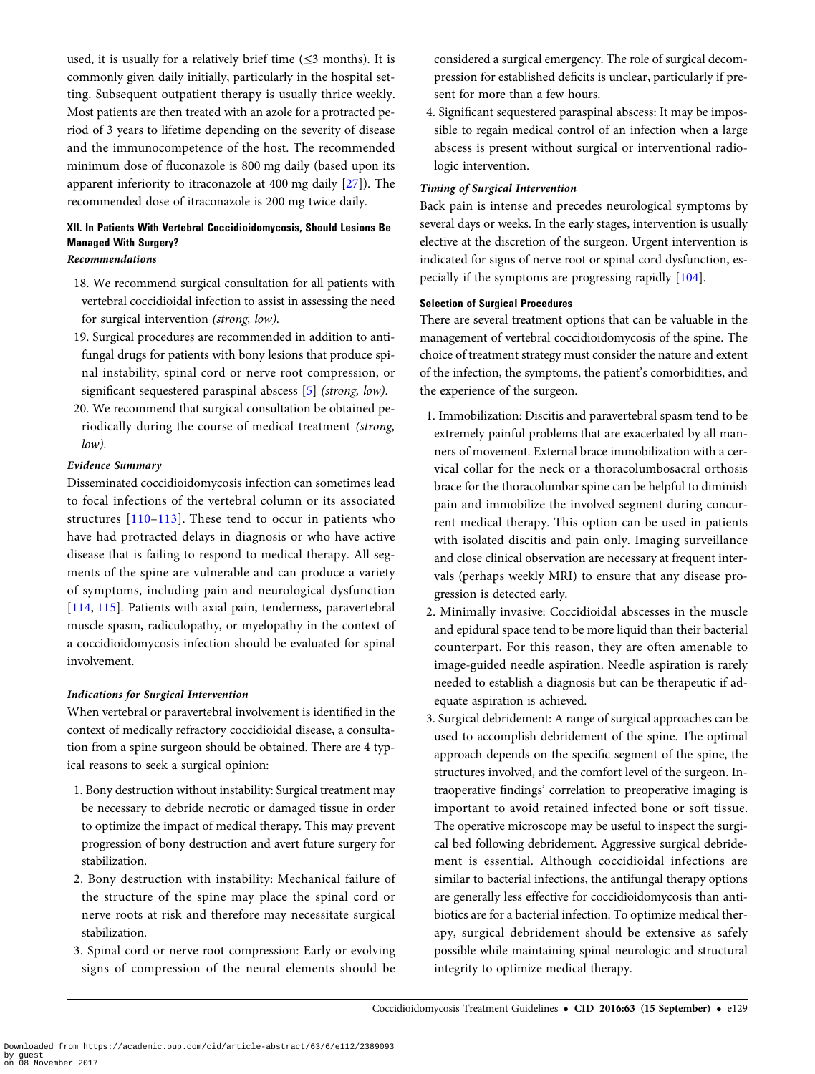used, it is usually for a relatively brief time  $(\leq 3$  months). It is commonly given daily initially, particularly in the hospital setting. Subsequent outpatient therapy is usually thrice weekly. Most patients are then treated with an azole for a protracted period of 3 years to lifetime depending on the severity of disease and the immunocompetence of the host. The recommended minimum dose of fluconazole is 800 mg daily (based upon its apparent inferiority to itraconazole at 400 mg daily [\[27](#page-31-0)]). The recommended dose of itraconazole is 200 mg twice daily.

# XII. In Patients With Vertebral Coccidioidomycosis, Should Lesions Be Managed With Surgery?

# Recommendations

- 18. We recommend surgical consultation for all patients with vertebral coccidioidal infection to assist in assessing the need for surgical intervention (strong, low).
- 19. Surgical procedures are recommended in addition to antifungal drugs for patients with bony lesions that produce spinal instability, spinal cord or nerve root compression, or significant sequestered paraspinal abscess [\[5\]](#page-31-0) (strong, low).
- 20. We recommend that surgical consultation be obtained periodically during the course of medical treatment (strong, low).

## Evidence Summary

Disseminated coccidioidomycosis infection can sometimes lead to focal infections of the vertebral column or its associated structures  $[110-113]$  $[110-113]$  $[110-113]$  $[110-113]$ . These tend to occur in patients who have had protracted delays in diagnosis or who have active disease that is failing to respond to medical therapy. All segments of the spine are vulnerable and can produce a variety of symptoms, including pain and neurological dysfunction [\[114](#page-32-0), [115\]](#page-32-0). Patients with axial pain, tenderness, paravertebral muscle spasm, radiculopathy, or myelopathy in the context of a coccidioidomycosis infection should be evaluated for spinal involvement.

## Indications for Surgical Intervention

When vertebral or paravertebral involvement is identified in the context of medically refractory coccidioidal disease, a consultation from a spine surgeon should be obtained. There are 4 typical reasons to seek a surgical opinion:

- 1. Bony destruction without instability: Surgical treatment may be necessary to debride necrotic or damaged tissue in order to optimize the impact of medical therapy. This may prevent progression of bony destruction and avert future surgery for stabilization.
- 2. Bony destruction with instability: Mechanical failure of the structure of the spine may place the spinal cord or nerve roots at risk and therefore may necessitate surgical stabilization.
- 3. Spinal cord or nerve root compression: Early or evolving signs of compression of the neural elements should be

considered a surgical emergency. The role of surgical decompression for established deficits is unclear, particularly if present for more than a few hours.

4. Significant sequestered paraspinal abscess: It may be impossible to regain medical control of an infection when a large abscess is present without surgical or interventional radiologic intervention.

## Timing of Surgical Intervention

Back pain is intense and precedes neurological symptoms by several days or weeks. In the early stages, intervention is usually elective at the discretion of the surgeon. Urgent intervention is indicated for signs of nerve root or spinal cord dysfunction, especially if the symptoms are progressing rapidly [[104](#page-32-0)].

#### Selection of Surgical Procedures

There are several treatment options that can be valuable in the management of vertebral coccidioidomycosis of the spine. The choice of treatment strategy must consider the nature and extent of the infection, the symptoms, the patient's comorbidities, and the experience of the surgeon.

- 1. Immobilization: Discitis and paravertebral spasm tend to be extremely painful problems that are exacerbated by all manners of movement. External brace immobilization with a cervical collar for the neck or a thoracolumbosacral orthosis brace for the thoracolumbar spine can be helpful to diminish pain and immobilize the involved segment during concurrent medical therapy. This option can be used in patients with isolated discitis and pain only. Imaging surveillance and close clinical observation are necessary at frequent intervals (perhaps weekly MRI) to ensure that any disease progression is detected early.
- 2. Minimally invasive: Coccidioidal abscesses in the muscle and epidural space tend to be more liquid than their bacterial counterpart. For this reason, they are often amenable to image-guided needle aspiration. Needle aspiration is rarely needed to establish a diagnosis but can be therapeutic if adequate aspiration is achieved.
- 3. Surgical debridement: A range of surgical approaches can be used to accomplish debridement of the spine. The optimal approach depends on the specific segment of the spine, the structures involved, and the comfort level of the surgeon. Intraoperative findings' correlation to preoperative imaging is important to avoid retained infected bone or soft tissue. The operative microscope may be useful to inspect the surgical bed following debridement. Aggressive surgical debridement is essential. Although coccidioidal infections are similar to bacterial infections, the antifungal therapy options are generally less effective for coccidioidomycosis than antibiotics are for a bacterial infection. To optimize medical therapy, surgical debridement should be extensive as safely possible while maintaining spinal neurologic and structural integrity to optimize medical therapy.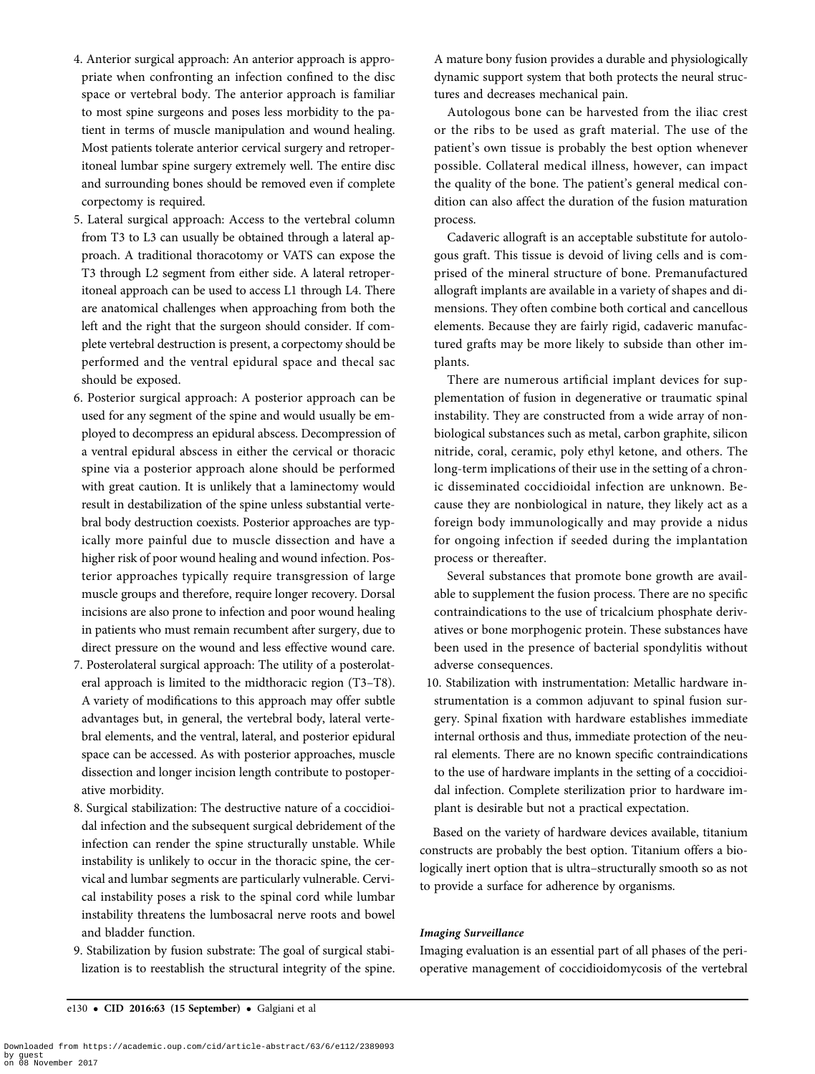- 4. Anterior surgical approach: An anterior approach is appropriate when confronting an infection confined to the disc space or vertebral body. The anterior approach is familiar to most spine surgeons and poses less morbidity to the patient in terms of muscle manipulation and wound healing. Most patients tolerate anterior cervical surgery and retroperitoneal lumbar spine surgery extremely well. The entire disc and surrounding bones should be removed even if complete corpectomy is required.
- 5. Lateral surgical approach: Access to the vertebral column from T3 to L3 can usually be obtained through a lateral approach. A traditional thoracotomy or VATS can expose the T3 through L2 segment from either side. A lateral retroperitoneal approach can be used to access L1 through L4. There are anatomical challenges when approaching from both the left and the right that the surgeon should consider. If complete vertebral destruction is present, a corpectomy should be performed and the ventral epidural space and thecal sac should be exposed.
- 6. Posterior surgical approach: A posterior approach can be used for any segment of the spine and would usually be employed to decompress an epidural abscess. Decompression of a ventral epidural abscess in either the cervical or thoracic spine via a posterior approach alone should be performed with great caution. It is unlikely that a laminectomy would result in destabilization of the spine unless substantial vertebral body destruction coexists. Posterior approaches are typically more painful due to muscle dissection and have a higher risk of poor wound healing and wound infection. Posterior approaches typically require transgression of large muscle groups and therefore, require longer recovery. Dorsal incisions are also prone to infection and poor wound healing in patients who must remain recumbent after surgery, due to direct pressure on the wound and less effective wound care.
- 7. Posterolateral surgical approach: The utility of a posterolateral approach is limited to the midthoracic region (T3–T8). A variety of modifications to this approach may offer subtle advantages but, in general, the vertebral body, lateral vertebral elements, and the ventral, lateral, and posterior epidural space can be accessed. As with posterior approaches, muscle dissection and longer incision length contribute to postoperative morbidity.
- 8. Surgical stabilization: The destructive nature of a coccidioidal infection and the subsequent surgical debridement of the infection can render the spine structurally unstable. While instability is unlikely to occur in the thoracic spine, the cervical and lumbar segments are particularly vulnerable. Cervical instability poses a risk to the spinal cord while lumbar instability threatens the lumbosacral nerve roots and bowel and bladder function.
- 9. Stabilization by fusion substrate: The goal of surgical stabilization is to reestablish the structural integrity of the spine.

A mature bony fusion provides a durable and physiologically dynamic support system that both protects the neural structures and decreases mechanical pain.

Autologous bone can be harvested from the iliac crest or the ribs to be used as graft material. The use of the patient's own tissue is probably the best option whenever possible. Collateral medical illness, however, can impact the quality of the bone. The patient's general medical condition can also affect the duration of the fusion maturation process.

Cadaveric allograft is an acceptable substitute for autologous graft. This tissue is devoid of living cells and is comprised of the mineral structure of bone. Premanufactured allograft implants are available in a variety of shapes and dimensions. They often combine both cortical and cancellous elements. Because they are fairly rigid, cadaveric manufactured grafts may be more likely to subside than other implants.

There are numerous artificial implant devices for supplementation of fusion in degenerative or traumatic spinal instability. They are constructed from a wide array of nonbiological substances such as metal, carbon graphite, silicon nitride, coral, ceramic, poly ethyl ketone, and others. The long-term implications of their use in the setting of a chronic disseminated coccidioidal infection are unknown. Because they are nonbiological in nature, they likely act as a foreign body immunologically and may provide a nidus for ongoing infection if seeded during the implantation process or thereafter.

Several substances that promote bone growth are available to supplement the fusion process. There are no specific contraindications to the use of tricalcium phosphate derivatives or bone morphogenic protein. These substances have been used in the presence of bacterial spondylitis without adverse consequences.

10. Stabilization with instrumentation: Metallic hardware instrumentation is a common adjuvant to spinal fusion surgery. Spinal fixation with hardware establishes immediate internal orthosis and thus, immediate protection of the neural elements. There are no known specific contraindications to the use of hardware implants in the setting of a coccidioidal infection. Complete sterilization prior to hardware implant is desirable but not a practical expectation.

Based on the variety of hardware devices available, titanium constructs are probably the best option. Titanium offers a biologically inert option that is ultra–structurally smooth so as not to provide a surface for adherence by organisms.

#### Imaging Surveillance

Imaging evaluation is an essential part of all phases of the perioperative management of coccidioidomycosis of the vertebral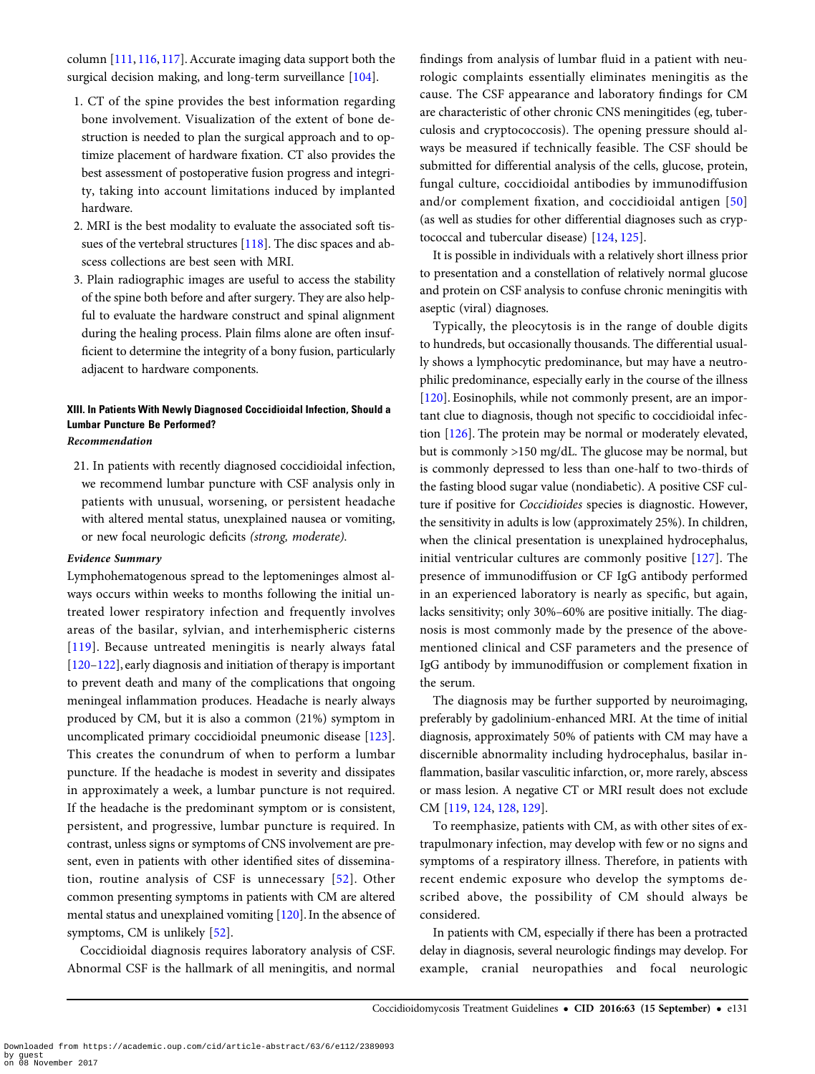column [\[111](#page-32-0), [116](#page-32-0), [117](#page-32-0)]. Accurate imaging data support both the surgical decision making, and long-term surveillance [\[104\]](#page-32-0).

- 1. CT of the spine provides the best information regarding bone involvement. Visualization of the extent of bone destruction is needed to plan the surgical approach and to optimize placement of hardware fixation. CT also provides the best assessment of postoperative fusion progress and integrity, taking into account limitations induced by implanted hardware.
- 2. MRI is the best modality to evaluate the associated soft tissues of the vertebral structures [\[118](#page-32-0)]. The disc spaces and abscess collections are best seen with MRI.
- 3. Plain radiographic images are useful to access the stability of the spine both before and after surgery. They are also helpful to evaluate the hardware construct and spinal alignment during the healing process. Plain films alone are often insufficient to determine the integrity of a bony fusion, particularly adjacent to hardware components.

# XIII. In Patients With Newly Diagnosed Coccidioidal Infection, Should a Lumbar Puncture Be Performed?

Recommendation

21. In patients with recently diagnosed coccidioidal infection, we recommend lumbar puncture with CSF analysis only in patients with unusual, worsening, or persistent headache with altered mental status, unexplained nausea or vomiting, or new focal neurologic deficits (strong, moderate).

# Evidence Summary

Lymphohematogenous spread to the leptomeninges almost always occurs within weeks to months following the initial untreated lower respiratory infection and frequently involves areas of the basilar, sylvian, and interhemispheric cisterns [\[119\]](#page-32-0). Because untreated meningitis is nearly always fatal [\[120](#page-32-0)–[122](#page-32-0)], early diagnosis and initiation of therapy is important to prevent death and many of the complications that ongoing meningeal inflammation produces. Headache is nearly always produced by CM, but it is also a common (21%) symptom in uncomplicated primary coccidioidal pneumonic disease [[123\]](#page-32-0). This creates the conundrum of when to perform a lumbar puncture. If the headache is modest in severity and dissipates in approximately a week, a lumbar puncture is not required. If the headache is the predominant symptom or is consistent, persistent, and progressive, lumbar puncture is required. In contrast, unless signs or symptoms of CNS involvement are present, even in patients with other identified sites of dissemination, routine analysis of CSF is unnecessary [[52\]](#page-31-0). Other common presenting symptoms in patients with CM are altered mental status and unexplained vomiting [\[120](#page-32-0)]. In the absence of symptoms, CM is unlikely [[52\]](#page-31-0).

Coccidioidal diagnosis requires laboratory analysis of CSF. Abnormal CSF is the hallmark of all meningitis, and normal findings from analysis of lumbar fluid in a patient with neurologic complaints essentially eliminates meningitis as the cause. The CSF appearance and laboratory findings for CM are characteristic of other chronic CNS meningitides (eg, tuberculosis and cryptococcosis). The opening pressure should always be measured if technically feasible. The CSF should be submitted for differential analysis of the cells, glucose, protein, fungal culture, coccidioidal antibodies by immunodiffusion and/or complement fixation, and coccidioidal antigen [[50\]](#page-31-0) (as well as studies for other differential diagnoses such as cryptococcal and tubercular disease) [\[124,](#page-33-0) [125\]](#page-33-0).

It is possible in individuals with a relatively short illness prior to presentation and a constellation of relatively normal glucose and protein on CSF analysis to confuse chronic meningitis with aseptic (viral) diagnoses.

Typically, the pleocytosis is in the range of double digits to hundreds, but occasionally thousands. The differential usually shows a lymphocytic predominance, but may have a neutrophilic predominance, especially early in the course of the illness [\[120\]](#page-32-0). Eosinophils, while not commonly present, are an important clue to diagnosis, though not specific to coccidioidal infection [\[126\]](#page-33-0). The protein may be normal or moderately elevated, but is commonly >150 mg/dL. The glucose may be normal, but is commonly depressed to less than one-half to two-thirds of the fasting blood sugar value (nondiabetic). A positive CSF culture if positive for Coccidioides species is diagnostic. However, the sensitivity in adults is low (approximately 25%). In children, when the clinical presentation is unexplained hydrocephalus, initial ventricular cultures are commonly positive [[127](#page-33-0)]. The presence of immunodiffusion or CF IgG antibody performed in an experienced laboratory is nearly as specific, but again, lacks sensitivity; only 30%–60% are positive initially. The diagnosis is most commonly made by the presence of the abovementioned clinical and CSF parameters and the presence of IgG antibody by immunodiffusion or complement fixation in the serum.

The diagnosis may be further supported by neuroimaging, preferably by gadolinium-enhanced MRI. At the time of initial diagnosis, approximately 50% of patients with CM may have a discernible abnormality including hydrocephalus, basilar inflammation, basilar vasculitic infarction, or, more rarely, abscess or mass lesion. A negative CT or MRI result does not exclude CM [[119](#page-32-0), [124](#page-33-0), [128](#page-33-0), [129\]](#page-33-0).

To reemphasize, patients with CM, as with other sites of extrapulmonary infection, may develop with few or no signs and symptoms of a respiratory illness. Therefore, in patients with recent endemic exposure who develop the symptoms described above, the possibility of CM should always be considered.

In patients with CM, especially if there has been a protracted delay in diagnosis, several neurologic findings may develop. For example, cranial neuropathies and focal neurologic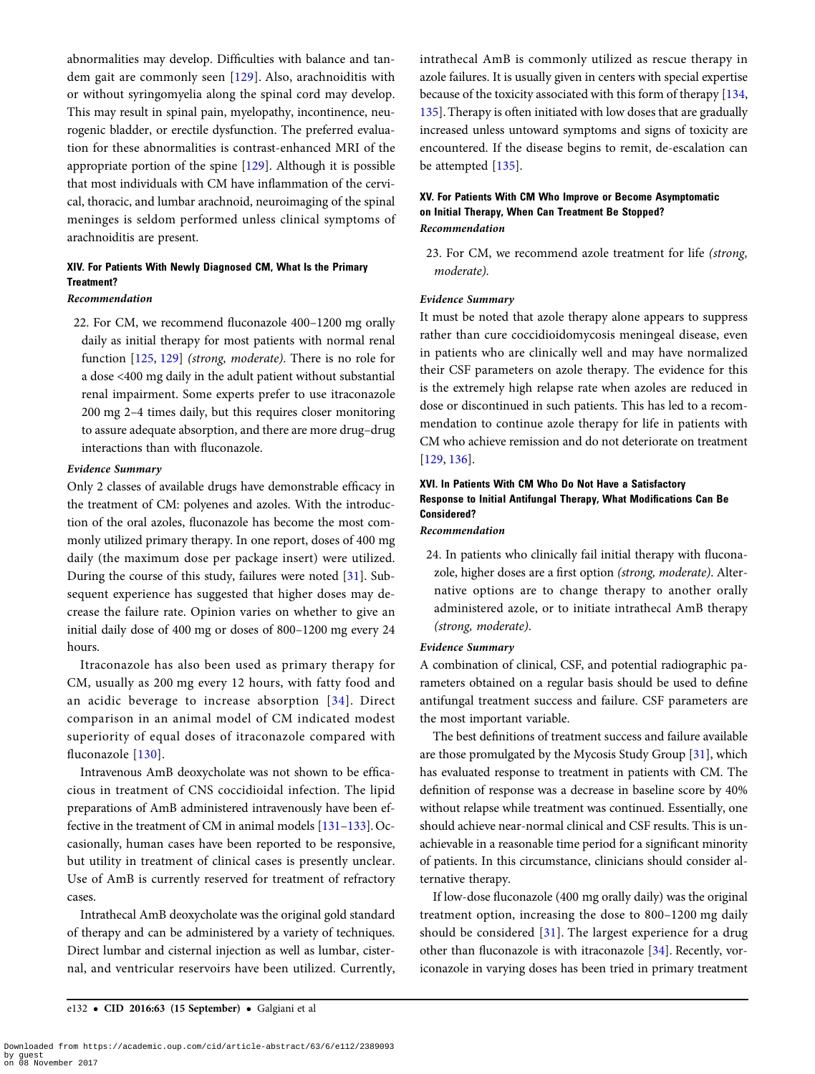abnormalities may develop. Difficulties with balance and tandem gait are commonly seen [[129](#page-33-0)]. Also, arachnoiditis with or without syringomyelia along the spinal cord may develop. This may result in spinal pain, myelopathy, incontinence, neurogenic bladder, or erectile dysfunction. The preferred evaluation for these abnormalities is contrast-enhanced MRI of the appropriate portion of the spine [\[129\]](#page-33-0). Although it is possible that most individuals with CM have inflammation of the cervical, thoracic, and lumbar arachnoid, neuroimaging of the spinal meninges is seldom performed unless clinical symptoms of arachnoiditis are present.

# XIV. For Patients With Newly Diagnosed CM, What Is the Primary Treatment?

# Recommendation

22. For CM, we recommend fluconazole 400–1200 mg orally daily as initial therapy for most patients with normal renal function [\[125](#page-33-0), [129](#page-33-0)] (strong, moderate). There is no role for a dose <400 mg daily in the adult patient without substantial renal impairment. Some experts prefer to use itraconazole 200 mg 2–4 times daily, but this requires closer monitoring to assure adequate absorption, and there are more drug–drug interactions than with fluconazole.

## Evidence Summary

Only 2 classes of available drugs have demonstrable efficacy in the treatment of CM: polyenes and azoles. With the introduction of the oral azoles, fluconazole has become the most commonly utilized primary therapy. In one report, doses of 400 mg daily (the maximum dose per package insert) were utilized. During the course of this study, failures were noted [[31](#page-31-0)]. Subsequent experience has suggested that higher doses may decrease the failure rate. Opinion varies on whether to give an initial daily dose of 400 mg or doses of 800–1200 mg every 24 hours.

Itraconazole has also been used as primary therapy for CM, usually as 200 mg every 12 hours, with fatty food and an acidic beverage to increase absorption [[34\]](#page-31-0). Direct comparison in an animal model of CM indicated modest superiority of equal doses of itraconazole compared with fluconazole [\[130\]](#page-33-0).

Intravenous AmB deoxycholate was not shown to be efficacious in treatment of CNS coccidioidal infection. The lipid preparations of AmB administered intravenously have been effective in the treatment of CM in animal models [[131](#page-33-0)–[133\]](#page-33-0). Occasionally, human cases have been reported to be responsive, but utility in treatment of clinical cases is presently unclear. Use of AmB is currently reserved for treatment of refractory cases.

Intrathecal AmB deoxycholate was the original gold standard of therapy and can be administered by a variety of techniques. Direct lumbar and cisternal injection as well as lumbar, cisternal, and ventricular reservoirs have been utilized. Currently,

intrathecal AmB is commonly utilized as rescue therapy in azole failures. It is usually given in centers with special expertise because of the toxicity associated with this form of therapy [\[134,](#page-33-0) [135\]](#page-33-0). Therapy is often initiated with low doses that are gradually increased unless untoward symptoms and signs of toxicity are encountered. If the disease begins to remit, de-escalation can be attempted [[135](#page-33-0)].

#### XV. For Patients With CM Who Improve or Become Asymptomatic on Initial Therapy, When Can Treatment Be Stopped? Recommendation

23. For CM, we recommend azole treatment for life (strong, moderate).

#### Evidence Summary

It must be noted that azole therapy alone appears to suppress rather than cure coccidioidomycosis meningeal disease, even in patients who are clinically well and may have normalized their CSF parameters on azole therapy. The evidence for this is the extremely high relapse rate when azoles are reduced in dose or discontinued in such patients. This has led to a recommendation to continue azole therapy for life in patients with CM who achieve remission and do not deteriorate on treatment [\[129,](#page-33-0) [136\]](#page-33-0).

# XVI. In Patients With CM Who Do Not Have a Satisfactory Response to Initial Antifungal Therapy, What Modifications Can Be Considered?

# Recommendation

24. In patients who clinically fail initial therapy with fluconazole, higher doses are a first option (strong, moderate). Alternative options are to change therapy to another orally administered azole, or to initiate intrathecal AmB therapy (strong, moderate).

## Evidence Summary

A combination of clinical, CSF, and potential radiographic parameters obtained on a regular basis should be used to define antifungal treatment success and failure. CSF parameters are the most important variable.

The best definitions of treatment success and failure available are those promulgated by the Mycosis Study Group [\[31](#page-31-0)], which has evaluated response to treatment in patients with CM. The definition of response was a decrease in baseline score by 40% without relapse while treatment was continued. Essentially, one should achieve near-normal clinical and CSF results. This is unachievable in a reasonable time period for a significant minority of patients. In this circumstance, clinicians should consider alternative therapy.

If low-dose fluconazole (400 mg orally daily) was the original treatment option, increasing the dose to 800–1200 mg daily should be considered [\[31\]](#page-31-0). The largest experience for a drug other than fluconazole is with itraconazole [\[34\]](#page-31-0). Recently, voriconazole in varying doses has been tried in primary treatment

e132 • CID 2016:63 (15 September) • Galgiani et al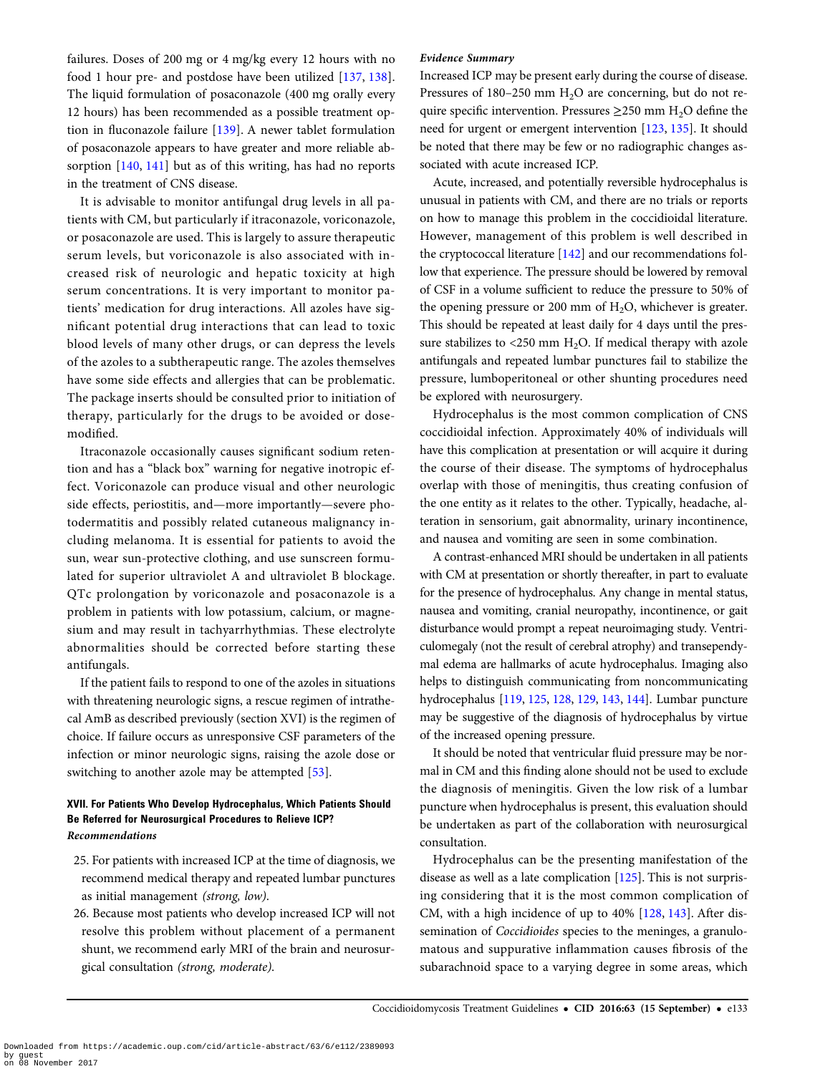failures. Doses of 200 mg or 4 mg/kg every 12 hours with no food 1 hour pre- and postdose have been utilized [[137,](#page-33-0) [138](#page-33-0)]. The liquid formulation of posaconazole (400 mg orally every 12 hours) has been recommended as a possible treatment option in fluconazole failure [[139](#page-33-0)]. A newer tablet formulation of posaconazole appears to have greater and more reliable absorption [[140,](#page-33-0) [141](#page-33-0)] but as of this writing, has had no reports in the treatment of CNS disease.

It is advisable to monitor antifungal drug levels in all patients with CM, but particularly if itraconazole, voriconazole, or posaconazole are used. This is largely to assure therapeutic serum levels, but voriconazole is also associated with increased risk of neurologic and hepatic toxicity at high serum concentrations. It is very important to monitor patients' medication for drug interactions. All azoles have significant potential drug interactions that can lead to toxic blood levels of many other drugs, or can depress the levels of the azoles to a subtherapeutic range. The azoles themselves have some side effects and allergies that can be problematic. The package inserts should be consulted prior to initiation of therapy, particularly for the drugs to be avoided or dosemodified.

Itraconazole occasionally causes significant sodium retention and has a "black box" warning for negative inotropic effect. Voriconazole can produce visual and other neurologic side effects, periostitis, and—more importantly—severe photodermatitis and possibly related cutaneous malignancy including melanoma. It is essential for patients to avoid the sun, wear sun-protective clothing, and use sunscreen formulated for superior ultraviolet A and ultraviolet B blockage. QTc prolongation by voriconazole and posaconazole is a problem in patients with low potassium, calcium, or magnesium and may result in tachyarrhythmias. These electrolyte abnormalities should be corrected before starting these antifungals.

If the patient fails to respond to one of the azoles in situations with threatening neurologic signs, a rescue regimen of intrathecal AmB as described previously (section XVI) is the regimen of choice. If failure occurs as unresponsive CSF parameters of the infection or minor neurologic signs, raising the azole dose or switching to another azole may be attempted [\[53\]](#page-31-0).

#### XVII. For Patients Who Develop Hydrocephalus, Which Patients Should Be Referred for Neurosurgical Procedures to Relieve ICP? Recommendations

- 25. For patients with increased ICP at the time of diagnosis, we recommend medical therapy and repeated lumbar punctures as initial management (strong, low).
- 26. Because most patients who develop increased ICP will not resolve this problem without placement of a permanent shunt, we recommend early MRI of the brain and neurosurgical consultation (strong, moderate).

#### Evidence Summary

Increased ICP may be present early during the course of disease. Pressures of  $180-250$  mm  $H<sub>2</sub>O$  are concerning, but do not require specific intervention. Pressures  $\geq$ 250 mm H<sub>2</sub>O define the need for urgent or emergent intervention [\[123](#page-32-0), [135](#page-33-0)]. It should be noted that there may be few or no radiographic changes associated with acute increased ICP.

Acute, increased, and potentially reversible hydrocephalus is unusual in patients with CM, and there are no trials or reports on how to manage this problem in the coccidioidal literature. However, management of this problem is well described in the cryptococcal literature [[142](#page-33-0)] and our recommendations follow that experience. The pressure should be lowered by removal of CSF in a volume sufficient to reduce the pressure to 50% of the opening pressure or 200 mm of  $H_2O$ , whichever is greater. This should be repeated at least daily for 4 days until the pressure stabilizes to  $<$ 250 mm  $H_2O$ . If medical therapy with azole antifungals and repeated lumbar punctures fail to stabilize the pressure, lumboperitoneal or other shunting procedures need be explored with neurosurgery.

Hydrocephalus is the most common complication of CNS coccidioidal infection. Approximately 40% of individuals will have this complication at presentation or will acquire it during the course of their disease. The symptoms of hydrocephalus overlap with those of meningitis, thus creating confusion of the one entity as it relates to the other. Typically, headache, alteration in sensorium, gait abnormality, urinary incontinence, and nausea and vomiting are seen in some combination.

A contrast-enhanced MRI should be undertaken in all patients with CM at presentation or shortly thereafter, in part to evaluate for the presence of hydrocephalus. Any change in mental status, nausea and vomiting, cranial neuropathy, incontinence, or gait disturbance would prompt a repeat neuroimaging study. Ventriculomegaly (not the result of cerebral atrophy) and transependymal edema are hallmarks of acute hydrocephalus. Imaging also helps to distinguish communicating from noncommunicating hydrocephalus [[119](#page-32-0), [125](#page-33-0), [128](#page-33-0), [129](#page-33-0), [143](#page-33-0), [144\]](#page-33-0). Lumbar puncture may be suggestive of the diagnosis of hydrocephalus by virtue of the increased opening pressure.

It should be noted that ventricular fluid pressure may be normal in CM and this finding alone should not be used to exclude the diagnosis of meningitis. Given the low risk of a lumbar puncture when hydrocephalus is present, this evaluation should be undertaken as part of the collaboration with neurosurgical consultation.

Hydrocephalus can be the presenting manifestation of the disease as well as a late complication [[125\]](#page-33-0). This is not surprising considering that it is the most common complication of CM, with a high incidence of up to 40% [[128](#page-33-0), [143](#page-33-0)]. After dissemination of Coccidioides species to the meninges, a granulomatous and suppurative inflammation causes fibrosis of the subarachnoid space to a varying degree in some areas, which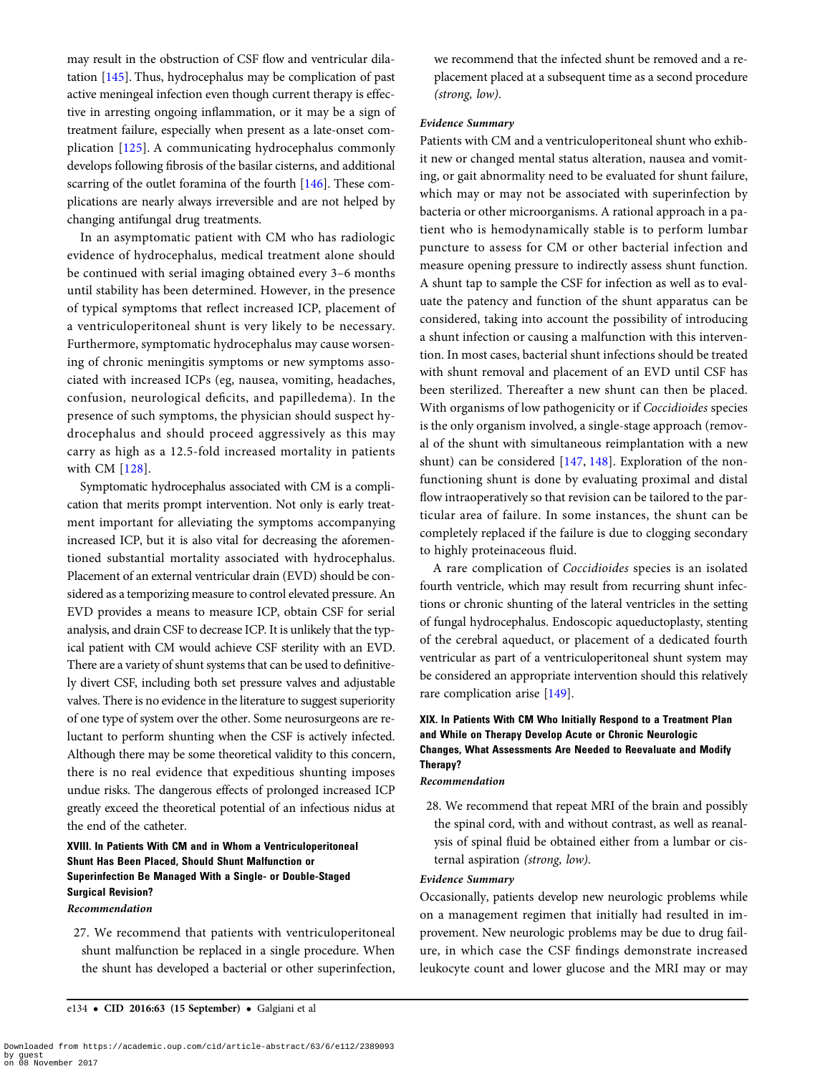may result in the obstruction of CSF flow and ventricular dilatation [\[145\]](#page-33-0). Thus, hydrocephalus may be complication of past active meningeal infection even though current therapy is effective in arresting ongoing inflammation, or it may be a sign of treatment failure, especially when present as a late-onset complication [[125\]](#page-33-0). A communicating hydrocephalus commonly develops following fibrosis of the basilar cisterns, and additional scarring of the outlet foramina of the fourth [[146](#page-33-0)]. These complications are nearly always irreversible and are not helped by changing antifungal drug treatments.

In an asymptomatic patient with CM who has radiologic evidence of hydrocephalus, medical treatment alone should be continued with serial imaging obtained every 3–6 months until stability has been determined. However, in the presence of typical symptoms that reflect increased ICP, placement of a ventriculoperitoneal shunt is very likely to be necessary. Furthermore, symptomatic hydrocephalus may cause worsening of chronic meningitis symptoms or new symptoms associated with increased ICPs (eg, nausea, vomiting, headaches, confusion, neurological deficits, and papilledema). In the presence of such symptoms, the physician should suspect hydrocephalus and should proceed aggressively as this may carry as high as a 12.5-fold increased mortality in patients with CM [\[128\]](#page-33-0).

Symptomatic hydrocephalus associated with CM is a complication that merits prompt intervention. Not only is early treatment important for alleviating the symptoms accompanying increased ICP, but it is also vital for decreasing the aforementioned substantial mortality associated with hydrocephalus. Placement of an external ventricular drain (EVD) should be considered as a temporizing measure to control elevated pressure. An EVD provides a means to measure ICP, obtain CSF for serial analysis, and drain CSF to decrease ICP. It is unlikely that the typical patient with CM would achieve CSF sterility with an EVD. There are a variety of shunt systems that can be used to definitively divert CSF, including both set pressure valves and adjustable valves. There is no evidence in the literature to suggest superiority of one type of system over the other. Some neurosurgeons are reluctant to perform shunting when the CSF is actively infected. Although there may be some theoretical validity to this concern, there is no real evidence that expeditious shunting imposes undue risks. The dangerous effects of prolonged increased ICP greatly exceed the theoretical potential of an infectious nidus at the end of the catheter.

## XVIII. In Patients With CM and in Whom a Ventriculoperitoneal Shunt Has Been Placed, Should Shunt Malfunction or Superinfection Be Managed With a Single- or Double-Staged Surgical Revision? Recommendation

27. We recommend that patients with ventriculoperitoneal shunt malfunction be replaced in a single procedure. When the shunt has developed a bacterial or other superinfection,

we recommend that the infected shunt be removed and a replacement placed at a subsequent time as a second procedure (strong, low).

# Evidence Summary

Patients with CM and a ventriculoperitoneal shunt who exhibit new or changed mental status alteration, nausea and vomiting, or gait abnormality need to be evaluated for shunt failure, which may or may not be associated with superinfection by bacteria or other microorganisms. A rational approach in a patient who is hemodynamically stable is to perform lumbar puncture to assess for CM or other bacterial infection and measure opening pressure to indirectly assess shunt function. A shunt tap to sample the CSF for infection as well as to evaluate the patency and function of the shunt apparatus can be considered, taking into account the possibility of introducing a shunt infection or causing a malfunction with this intervention. In most cases, bacterial shunt infections should be treated with shunt removal and placement of an EVD until CSF has been sterilized. Thereafter a new shunt can then be placed. With organisms of low pathogenicity or if Coccidioides species is the only organism involved, a single-stage approach (removal of the shunt with simultaneous reimplantation with a new shunt) can be considered [[147,](#page-33-0) [148](#page-33-0)]. Exploration of the nonfunctioning shunt is done by evaluating proximal and distal flow intraoperatively so that revision can be tailored to the particular area of failure. In some instances, the shunt can be completely replaced if the failure is due to clogging secondary to highly proteinaceous fluid.

A rare complication of Coccidioides species is an isolated fourth ventricle, which may result from recurring shunt infections or chronic shunting of the lateral ventricles in the setting of fungal hydrocephalus. Endoscopic aqueductoplasty, stenting of the cerebral aqueduct, or placement of a dedicated fourth ventricular as part of a ventriculoperitoneal shunt system may be considered an appropriate intervention should this relatively rare complication arise [\[149](#page-33-0)].

# XIX. In Patients With CM Who Initially Respond to a Treatment Plan and While on Therapy Develop Acute or Chronic Neurologic Changes, What Assessments Are Needed to Reevaluate and Modify Therapy?

#### Recommendation

28. We recommend that repeat MRI of the brain and possibly the spinal cord, with and without contrast, as well as reanalysis of spinal fluid be obtained either from a lumbar or cisternal aspiration (strong, low).

#### Evidence Summary

Occasionally, patients develop new neurologic problems while on a management regimen that initially had resulted in improvement. New neurologic problems may be due to drug failure, in which case the CSF findings demonstrate increased leukocyte count and lower glucose and the MRI may or may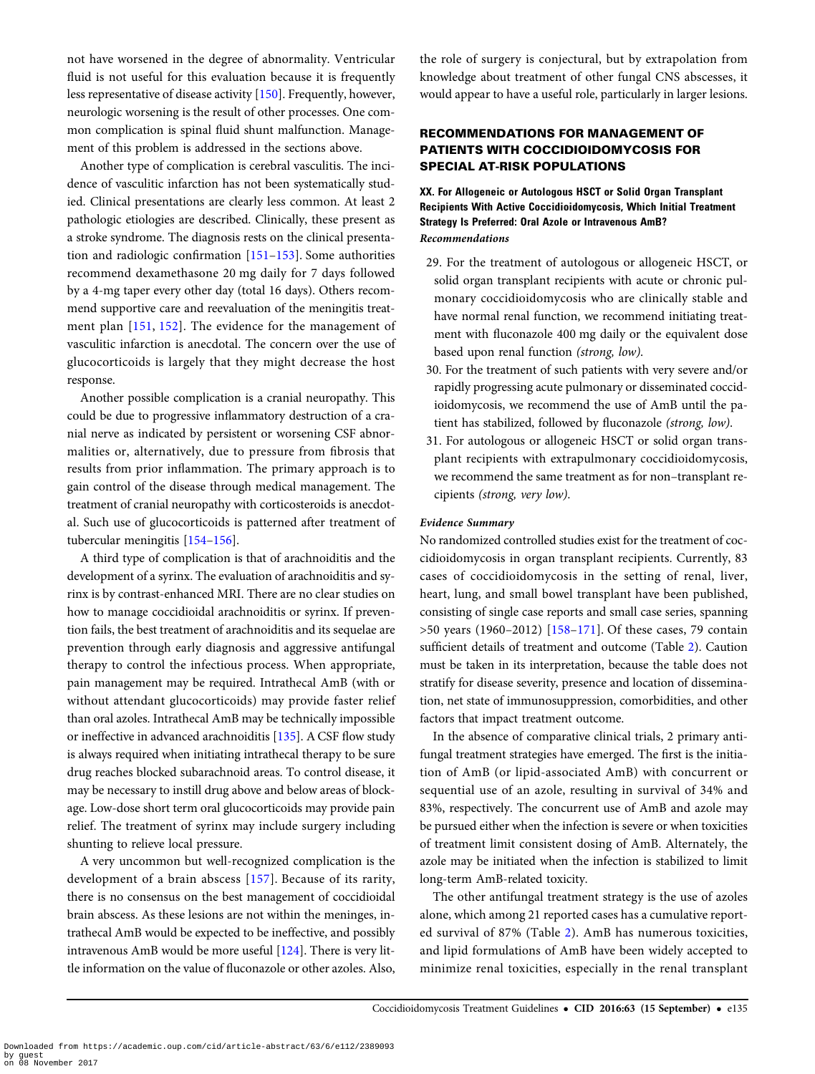not have worsened in the degree of abnormality. Ventricular fluid is not useful for this evaluation because it is frequently less representative of disease activity [[150\]](#page-33-0). Frequently, however, neurologic worsening is the result of other processes. One common complication is spinal fluid shunt malfunction. Management of this problem is addressed in the sections above.

Another type of complication is cerebral vasculitis. The incidence of vasculitic infarction has not been systematically studied. Clinical presentations are clearly less common. At least 2 pathologic etiologies are described. Clinically, these present as a stroke syndrome. The diagnosis rests on the clinical presentation and radiologic confirmation [\[151](#page-33-0)–[153\]](#page-33-0). Some authorities recommend dexamethasone 20 mg daily for 7 days followed by a 4-mg taper every other day (total 16 days). Others recommend supportive care and reevaluation of the meningitis treatment plan [[151](#page-33-0), [152](#page-33-0)]. The evidence for the management of vasculitic infarction is anecdotal. The concern over the use of glucocorticoids is largely that they might decrease the host response.

Another possible complication is a cranial neuropathy. This could be due to progressive inflammatory destruction of a cranial nerve as indicated by persistent or worsening CSF abnormalities or, alternatively, due to pressure from fibrosis that results from prior inflammation. The primary approach is to gain control of the disease through medical management. The treatment of cranial neuropathy with corticosteroids is anecdotal. Such use of glucocorticoids is patterned after treatment of tubercular meningitis [[154](#page-33-0)–[156](#page-33-0)].

A third type of complication is that of arachnoiditis and the development of a syrinx. The evaluation of arachnoiditis and syrinx is by contrast-enhanced MRI. There are no clear studies on how to manage coccidioidal arachnoiditis or syrinx. If prevention fails, the best treatment of arachnoiditis and its sequelae are prevention through early diagnosis and aggressive antifungal therapy to control the infectious process. When appropriate, pain management may be required. Intrathecal AmB (with or without attendant glucocorticoids) may provide faster relief than oral azoles. Intrathecal AmB may be technically impossible or ineffective in advanced arachnoiditis [\[135\]](#page-33-0). A CSF flow study is always required when initiating intrathecal therapy to be sure drug reaches blocked subarachnoid areas. To control disease, it may be necessary to instill drug above and below areas of blockage. Low-dose short term oral glucocorticoids may provide pain relief. The treatment of syrinx may include surgery including shunting to relieve local pressure.

A very uncommon but well-recognized complication is the development of a brain abscess [\[157\]](#page-33-0). Because of its rarity, there is no consensus on the best management of coccidioidal brain abscess. As these lesions are not within the meninges, intrathecal AmB would be expected to be ineffective, and possibly intravenous AmB would be more useful [[124](#page-33-0)]. There is very little information on the value of fluconazole or other azoles. Also,

the role of surgery is conjectural, but by extrapolation from knowledge about treatment of other fungal CNS abscesses, it would appear to have a useful role, particularly in larger lesions.

# RECOMMENDATIONS FOR MANAGEMENT OF PATIENTS WITH COCCIDIOIDOMYCOSIS FOR SPECIAL AT-RISK POPULATIONS

#### XX. For Allogeneic or Autologous HSCT or Solid Organ Transplant Recipients With Active Coccidioidomycosis, Which Initial Treatment Strategy Is Preferred: Oral Azole or Intravenous AmB? Recommendations

- 29. For the treatment of autologous or allogeneic HSCT, or solid organ transplant recipients with acute or chronic pulmonary coccidioidomycosis who are clinically stable and have normal renal function, we recommend initiating treatment with fluconazole 400 mg daily or the equivalent dose based upon renal function (strong, low).
- 30. For the treatment of such patients with very severe and/or rapidly progressing acute pulmonary or disseminated coccidioidomycosis, we recommend the use of AmB until the patient has stabilized, followed by fluconazole (strong, low).
- 31. For autologous or allogeneic HSCT or solid organ transplant recipients with extrapulmonary coccidioidomycosis, we recommend the same treatment as for non–transplant recipients (strong, very low).

#### Evidence Summary

No randomized controlled studies exist for the treatment of coccidioidomycosis in organ transplant recipients. Currently, 83 cases of coccidioidomycosis in the setting of renal, liver, heart, lung, and small bowel transplant have been published, consisting of single case reports and small case series, spanning >50 years (1960–2012) [[158](#page-33-0)–[171\]](#page-33-0). Of these cases, 79 contain sufficient details of treatment and outcome (Table [2\)](#page-24-0). Caution must be taken in its interpretation, because the table does not stratify for disease severity, presence and location of dissemination, net state of immunosuppression, comorbidities, and other factors that impact treatment outcome.

In the absence of comparative clinical trials, 2 primary antifungal treatment strategies have emerged. The first is the initiation of AmB (or lipid-associated AmB) with concurrent or sequential use of an azole, resulting in survival of 34% and 83%, respectively. The concurrent use of AmB and azole may be pursued either when the infection is severe or when toxicities of treatment limit consistent dosing of AmB. Alternately, the azole may be initiated when the infection is stabilized to limit long-term AmB-related toxicity.

The other antifungal treatment strategy is the use of azoles alone, which among 21 reported cases has a cumulative reported survival of 87% (Table [2](#page-24-0)). AmB has numerous toxicities, and lipid formulations of AmB have been widely accepted to minimize renal toxicities, especially in the renal transplant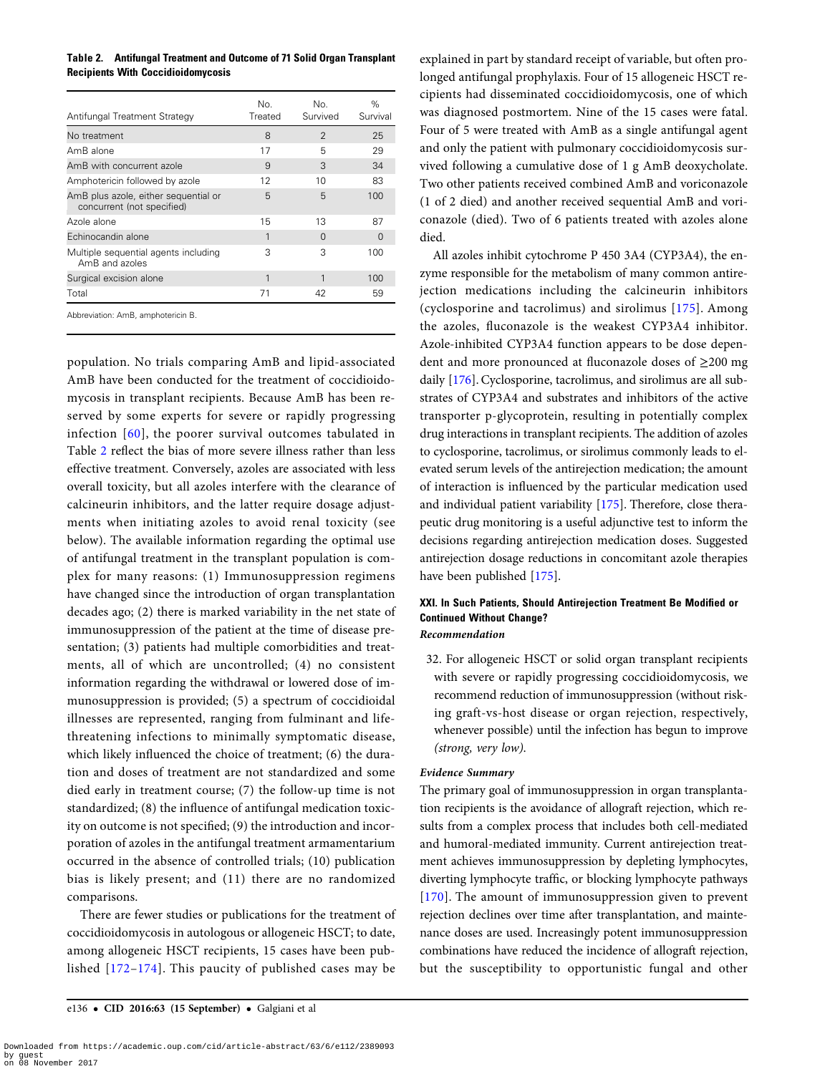<span id="page-24-0"></span>Table 2. Antifungal Treatment and Outcome of 71 Solid Organ Transplant Recipients With Coccidioidomycosis

| Antifungal Treatment Strategy                                      | No.<br>Treated | No.<br>Survived | $\%$<br>Survival |
|--------------------------------------------------------------------|----------------|-----------------|------------------|
| No treatment                                                       | 8              | $\overline{2}$  | 25               |
| AmB alone                                                          | 17             | 5               | 29               |
| AmB with concurrent azole                                          | 9              | 3               | 34               |
| Amphotericin followed by azole                                     | 12             | 10              | 83               |
| AmB plus azole, either sequential or<br>concurrent (not specified) | 5              | 5               | 100              |
| Azole alone                                                        | 15             | 13              | 87               |
| Echinocandin alone                                                 | 1              | $\Omega$        | $\left($         |
| Multiple sequential agents including<br>AmB and azoles             | 3              | 3               | 100              |
| Surgical excision alone                                            |                |                 | 100              |
| Total                                                              | 71             | 42              | 59               |

Abbreviation: AmB, amphotericin B.

population. No trials comparing AmB and lipid-associated AmB have been conducted for the treatment of coccidioidomycosis in transplant recipients. Because AmB has been reserved by some experts for severe or rapidly progressing infection [[60\]](#page-31-0), the poorer survival outcomes tabulated in Table 2 reflect the bias of more severe illness rather than less effective treatment. Conversely, azoles are associated with less overall toxicity, but all azoles interfere with the clearance of calcineurin inhibitors, and the latter require dosage adjustments when initiating azoles to avoid renal toxicity (see below). The available information regarding the optimal use of antifungal treatment in the transplant population is complex for many reasons: (1) Immunosuppression regimens have changed since the introduction of organ transplantation decades ago; (2) there is marked variability in the net state of immunosuppression of the patient at the time of disease presentation; (3) patients had multiple comorbidities and treatments, all of which are uncontrolled; (4) no consistent information regarding the withdrawal or lowered dose of immunosuppression is provided; (5) a spectrum of coccidioidal illnesses are represented, ranging from fulminant and lifethreatening infections to minimally symptomatic disease, which likely influenced the choice of treatment; (6) the duration and doses of treatment are not standardized and some died early in treatment course; (7) the follow-up time is not standardized; (8) the influence of antifungal medication toxicity on outcome is not specified; (9) the introduction and incorporation of azoles in the antifungal treatment armamentarium occurred in the absence of controlled trials; (10) publication bias is likely present; and (11) there are no randomized comparisons.

There are fewer studies or publications for the treatment of coccidioidomycosis in autologous or allogeneic HSCT; to date, among allogeneic HSCT recipients, 15 cases have been published [\[172](#page-33-0)–[174\]](#page-33-0). This paucity of published cases may be

e136 • CID 2016:63 (15 September) • Galgiani et al

explained in part by standard receipt of variable, but often prolonged antifungal prophylaxis. Four of 15 allogeneic HSCT recipients had disseminated coccidioidomycosis, one of which was diagnosed postmortem. Nine of the 15 cases were fatal. Four of 5 were treated with AmB as a single antifungal agent and only the patient with pulmonary coccidioidomycosis survived following a cumulative dose of 1 g AmB deoxycholate. Two other patients received combined AmB and voriconazole (1 of 2 died) and another received sequential AmB and voriconazole (died). Two of 6 patients treated with azoles alone died.

All azoles inhibit cytochrome P 450 3A4 (CYP3A4), the enzyme responsible for the metabolism of many common antirejection medications including the calcineurin inhibitors (cyclosporine and tacrolimus) and sirolimus [[175](#page-33-0)]. Among the azoles, fluconazole is the weakest CYP3A4 inhibitor. Azole-inhibited CYP3A4 function appears to be dose dependent and more pronounced at fluconazole doses of ≥200 mg daily [[176\]](#page-33-0). Cyclosporine, tacrolimus, and sirolimus are all substrates of CYP3A4 and substrates and inhibitors of the active transporter p-glycoprotein, resulting in potentially complex drug interactions in transplant recipients. The addition of azoles to cyclosporine, tacrolimus, or sirolimus commonly leads to elevated serum levels of the antirejection medication; the amount of interaction is influenced by the particular medication used and individual patient variability [[175](#page-33-0)]. Therefore, close therapeutic drug monitoring is a useful adjunctive test to inform the decisions regarding antirejection medication doses. Suggested antirejection dosage reductions in concomitant azole therapies have been published [[175](#page-33-0)].

# XXI. In Such Patients, Should Antirejection Treatment Be Modified or Continued Without Change?

# Recommendation

32. For allogeneic HSCT or solid organ transplant recipients with severe or rapidly progressing coccidioidomycosis, we recommend reduction of immunosuppression (without risking graft-vs-host disease or organ rejection, respectively, whenever possible) until the infection has begun to improve (strong, very low).

#### Evidence Summary

The primary goal of immunosuppression in organ transplantation recipients is the avoidance of allograft rejection, which results from a complex process that includes both cell-mediated and humoral-mediated immunity. Current antirejection treatment achieves immunosuppression by depleting lymphocytes, diverting lymphocyte traffic, or blocking lymphocyte pathways [\[170\]](#page-33-0). The amount of immunosuppression given to prevent rejection declines over time after transplantation, and maintenance doses are used. Increasingly potent immunosuppression combinations have reduced the incidence of allograft rejection, but the susceptibility to opportunistic fungal and other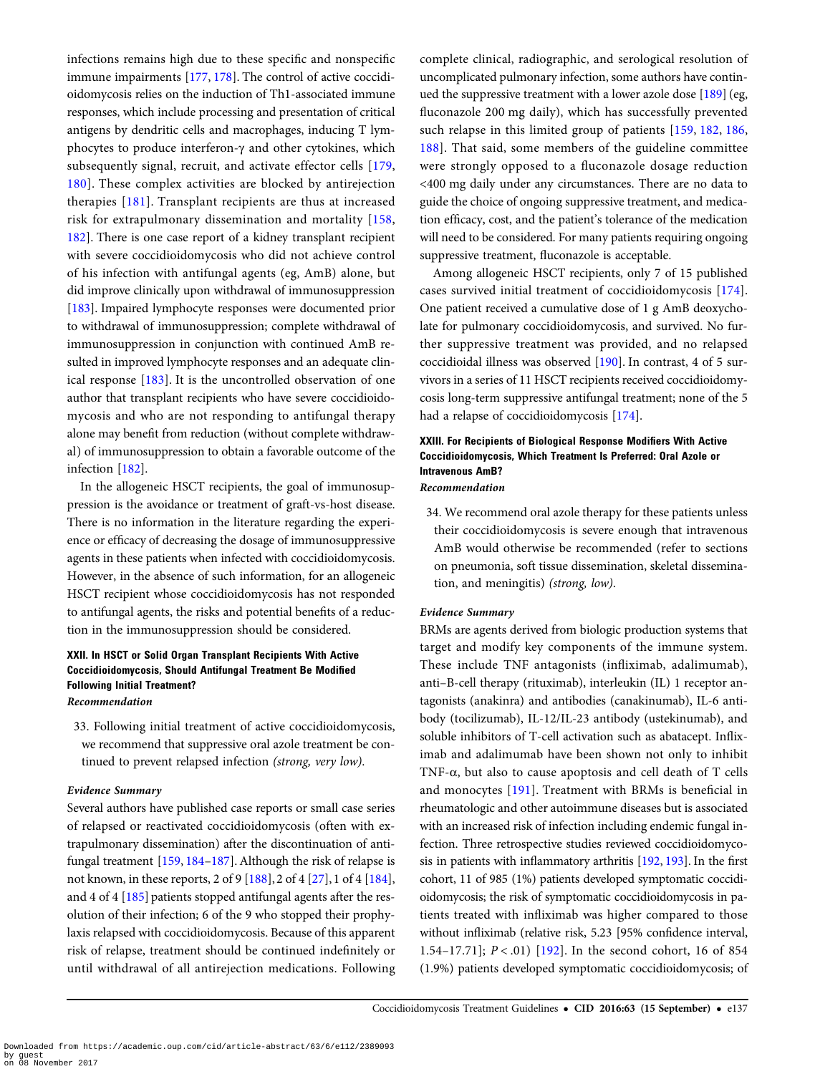infections remains high due to these specific and nonspecific immune impairments [[177,](#page-33-0) [178](#page-33-0)]. The control of active coccidioidomycosis relies on the induction of Th1-associated immune responses, which include processing and presentation of critical antigens by dendritic cells and macrophages, inducing T lymphocytes to produce interferon-γ and other cytokines, which subsequently signal, recruit, and activate effector cells [[179,](#page-33-0) [180](#page-33-0)]. These complex activities are blocked by antirejection therapies [[181](#page-33-0)]. Transplant recipients are thus at increased risk for extrapulmonary dissemination and mortality [\[158,](#page-33-0) [182\]](#page-33-0). There is one case report of a kidney transplant recipient with severe coccidioidomycosis who did not achieve control of his infection with antifungal agents (eg, AmB) alone, but did improve clinically upon withdrawal of immunosuppression [\[183\]](#page-34-0). Impaired lymphocyte responses were documented prior to withdrawal of immunosuppression; complete withdrawal of immunosuppression in conjunction with continued AmB resulted in improved lymphocyte responses and an adequate clinical response [[183\]](#page-34-0). It is the uncontrolled observation of one author that transplant recipients who have severe coccidioidomycosis and who are not responding to antifungal therapy alone may benefit from reduction (without complete withdrawal) of immunosuppression to obtain a favorable outcome of the infection [[182](#page-33-0)].

In the allogeneic HSCT recipients, the goal of immunosuppression is the avoidance or treatment of graft-vs-host disease. There is no information in the literature regarding the experience or efficacy of decreasing the dosage of immunosuppressive agents in these patients when infected with coccidioidomycosis. However, in the absence of such information, for an allogeneic HSCT recipient whose coccidioidomycosis has not responded to antifungal agents, the risks and potential benefits of a reduction in the immunosuppression should be considered.

#### XXII. In HSCT or Solid Organ Transplant Recipients With Active Coccidioidomycosis, Should Antifungal Treatment Be Modified Following Initial Treatment? Recommendation

33. Following initial treatment of active coccidioidomycosis, we recommend that suppressive oral azole treatment be continued to prevent relapsed infection (strong, very low).

#### Evidence Summary

Several authors have published case reports or small case series of relapsed or reactivated coccidioidomycosis (often with extrapulmonary dissemination) after the discontinuation of antifungal treatment [[159,](#page-33-0) [184](#page-34-0)–[187\]](#page-34-0). Although the risk of relapse is not known, in these reports, 2 of 9 [\[188\]](#page-34-0), 2 of 4 [\[27](#page-31-0)], 1 of 4 [[184\]](#page-34-0), and 4 of 4 [[185](#page-34-0)] patients stopped antifungal agents after the resolution of their infection; 6 of the 9 who stopped their prophylaxis relapsed with coccidioidomycosis. Because of this apparent risk of relapse, treatment should be continued indefinitely or until withdrawal of all antirejection medications. Following

complete clinical, radiographic, and serological resolution of uncomplicated pulmonary infection, some authors have continued the suppressive treatment with a lower azole dose [[189\]](#page-34-0) (eg, fluconazole 200 mg daily), which has successfully prevented such relapse in this limited group of patients [\[159](#page-33-0), [182](#page-33-0), [186,](#page-34-0) [188](#page-34-0)]. That said, some members of the guideline committee were strongly opposed to a fluconazole dosage reduction <400 mg daily under any circumstances. There are no data to guide the choice of ongoing suppressive treatment, and medication efficacy, cost, and the patient's tolerance of the medication will need to be considered. For many patients requiring ongoing suppressive treatment, fluconazole is acceptable.

Among allogeneic HSCT recipients, only 7 of 15 published cases survived initial treatment of coccidioidomycosis [\[174](#page-33-0)]. One patient received a cumulative dose of 1 g AmB deoxycholate for pulmonary coccidioidomycosis, and survived. No further suppressive treatment was provided, and no relapsed coccidioidal illness was observed [[190](#page-34-0)]. In contrast, 4 of 5 survivors in a series of 11 HSCT recipients received coccidioidomycosis long-term suppressive antifungal treatment; none of the 5 had a relapse of coccidioidomycosis [\[174\]](#page-33-0).

#### XXIII. For Recipients of Biological Response Modifiers With Active Coccidioidomycosis, Which Treatment Is Preferred: Oral Azole or Intravenous AmB? Recommendation

34. We recommend oral azole therapy for these patients unless their coccidioidomycosis is severe enough that intravenous AmB would otherwise be recommended (refer to sections on pneumonia, soft tissue dissemination, skeletal dissemination, and meningitis) (strong, low).

#### Evidence Summary

BRMs are agents derived from biologic production systems that target and modify key components of the immune system. These include TNF antagonists (infliximab, adalimumab), anti–B-cell therapy (rituximab), interleukin (IL) 1 receptor antagonists (anakinra) and antibodies (canakinumab), IL-6 antibody (tocilizumab), IL-12/IL-23 antibody (ustekinumab), and soluble inhibitors of T-cell activation such as abatacept. Infliximab and adalimumab have been shown not only to inhibit TNF-α, but also to cause apoptosis and cell death of T cells and monocytes [[191](#page-34-0)]. Treatment with BRMs is beneficial in rheumatologic and other autoimmune diseases but is associated with an increased risk of infection including endemic fungal infection. Three retrospective studies reviewed coccidioidomycosis in patients with inflammatory arthritis [[192,](#page-34-0) [193](#page-34-0)]. In the first cohort, 11 of 985 (1%) patients developed symptomatic coccidioidomycosis; the risk of symptomatic coccidioidomycosis in patients treated with infliximab was higher compared to those without infliximab (relative risk, 5.23 [95% confidence interval, 1.54–17.71]; P < .01) [[192](#page-34-0)]. In the second cohort, 16 of 854 (1.9%) patients developed symptomatic coccidioidomycosis; of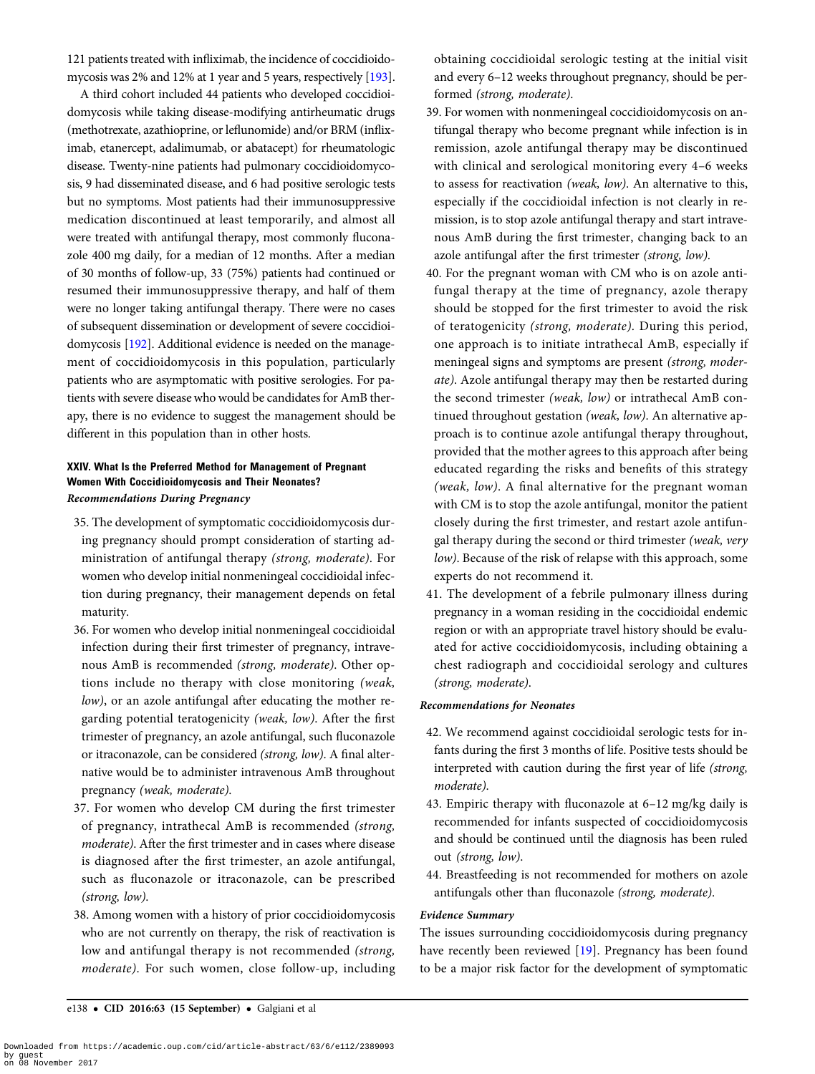121 patients treated with infliximab, the incidence of coccidioidomycosis was 2% and 12% at 1 year and 5 years, respectively [\[193\]](#page-34-0).

A third cohort included 44 patients who developed coccidioidomycosis while taking disease-modifying antirheumatic drugs (methotrexate, azathioprine, or leflunomide) and/or BRM (infliximab, etanercept, adalimumab, or abatacept) for rheumatologic disease. Twenty-nine patients had pulmonary coccidioidomycosis, 9 had disseminated disease, and 6 had positive serologic tests but no symptoms. Most patients had their immunosuppressive medication discontinued at least temporarily, and almost all were treated with antifungal therapy, most commonly fluconazole 400 mg daily, for a median of 12 months. After a median of 30 months of follow-up, 33 (75%) patients had continued or resumed their immunosuppressive therapy, and half of them were no longer taking antifungal therapy. There were no cases of subsequent dissemination or development of severe coccidioidomycosis [[192](#page-34-0)]. Additional evidence is needed on the management of coccidioidomycosis in this population, particularly patients who are asymptomatic with positive serologies. For patients with severe disease who would be candidates for AmB therapy, there is no evidence to suggest the management should be different in this population than in other hosts.

## XXIV. What Is the Preferred Method for Management of Pregnant Women With Coccidioidomycosis and Their Neonates? Recommendations During Pregnancy

- 35. The development of symptomatic coccidioidomycosis during pregnancy should prompt consideration of starting administration of antifungal therapy (strong, moderate). For women who develop initial nonmeningeal coccidioidal infection during pregnancy, their management depends on fetal maturity.
- 36. For women who develop initial nonmeningeal coccidioidal infection during their first trimester of pregnancy, intravenous AmB is recommended (strong, moderate). Other options include no therapy with close monitoring (weak, low), or an azole antifungal after educating the mother regarding potential teratogenicity (weak, low). After the first trimester of pregnancy, an azole antifungal, such fluconazole or itraconazole, can be considered (strong, low). A final alternative would be to administer intravenous AmB throughout pregnancy (weak, moderate).
- 37. For women who develop CM during the first trimester of pregnancy, intrathecal AmB is recommended (strong, moderate). After the first trimester and in cases where disease is diagnosed after the first trimester, an azole antifungal, such as fluconazole or itraconazole, can be prescribed (strong, low).
- 38. Among women with a history of prior coccidioidomycosis who are not currently on therapy, the risk of reactivation is low and antifungal therapy is not recommended (strong, moderate). For such women, close follow-up, including

obtaining coccidioidal serologic testing at the initial visit and every 6–12 weeks throughout pregnancy, should be performed (strong, moderate).

- 39. For women with nonmeningeal coccidioidomycosis on antifungal therapy who become pregnant while infection is in remission, azole antifungal therapy may be discontinued with clinical and serological monitoring every 4–6 weeks to assess for reactivation (weak, low). An alternative to this, especially if the coccidioidal infection is not clearly in remission, is to stop azole antifungal therapy and start intravenous AmB during the first trimester, changing back to an azole antifungal after the first trimester (strong, low).
- 40. For the pregnant woman with CM who is on azole antifungal therapy at the time of pregnancy, azole therapy should be stopped for the first trimester to avoid the risk of teratogenicity (strong, moderate). During this period, one approach is to initiate intrathecal AmB, especially if meningeal signs and symptoms are present (strong, moderate). Azole antifungal therapy may then be restarted during the second trimester (weak, low) or intrathecal AmB continued throughout gestation (weak, low). An alternative approach is to continue azole antifungal therapy throughout, provided that the mother agrees to this approach after being educated regarding the risks and benefits of this strategy (weak, low). A final alternative for the pregnant woman with CM is to stop the azole antifungal, monitor the patient closely during the first trimester, and restart azole antifungal therapy during the second or third trimester (weak, very low). Because of the risk of relapse with this approach, some experts do not recommend it.
- 41. The development of a febrile pulmonary illness during pregnancy in a woman residing in the coccidioidal endemic region or with an appropriate travel history should be evaluated for active coccidioidomycosis, including obtaining a chest radiograph and coccidioidal serology and cultures (strong, moderate).

#### Recommendations for Neonates

- 42. We recommend against coccidioidal serologic tests for infants during the first 3 months of life. Positive tests should be interpreted with caution during the first year of life (strong, moderate).
- 43. Empiric therapy with fluconazole at 6–12 mg/kg daily is recommended for infants suspected of coccidioidomycosis and should be continued until the diagnosis has been ruled out (strong, low).
- 44. Breastfeeding is not recommended for mothers on azole antifungals other than fluconazole (strong, moderate).

#### Evidence Summary

The issues surrounding coccidioidomycosis during pregnancy have recently been reviewed [\[19\]](#page-31-0). Pregnancy has been found to be a major risk factor for the development of symptomatic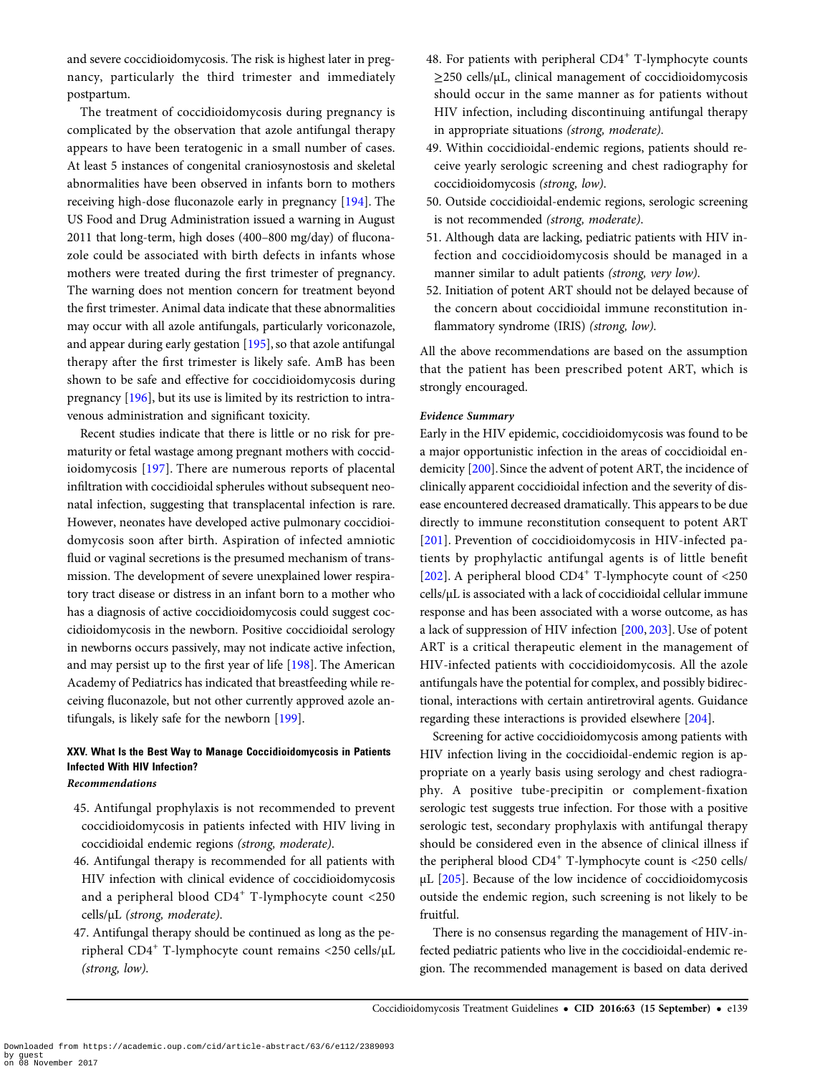and severe coccidioidomycosis. The risk is highest later in pregnancy, particularly the third trimester and immediately postpartum.

The treatment of coccidioidomycosis during pregnancy is complicated by the observation that azole antifungal therapy appears to have been teratogenic in a small number of cases. At least 5 instances of congenital craniosynostosis and skeletal abnormalities have been observed in infants born to mothers receiving high-dose fluconazole early in pregnancy [[194](#page-34-0)]. The US Food and Drug Administration issued a warning in August 2011 that long-term, high doses (400–800 mg/day) of fluconazole could be associated with birth defects in infants whose mothers were treated during the first trimester of pregnancy. The warning does not mention concern for treatment beyond the first trimester. Animal data indicate that these abnormalities may occur with all azole antifungals, particularly voriconazole, and appear during early gestation [\[195](#page-34-0)], so that azole antifungal therapy after the first trimester is likely safe. AmB has been shown to be safe and effective for coccidioidomycosis during pregnancy [[196\]](#page-34-0), but its use is limited by its restriction to intravenous administration and significant toxicity.

Recent studies indicate that there is little or no risk for prematurity or fetal wastage among pregnant mothers with coccidioidomycosis [[197\]](#page-34-0). There are numerous reports of placental infiltration with coccidioidal spherules without subsequent neonatal infection, suggesting that transplacental infection is rare. However, neonates have developed active pulmonary coccidioidomycosis soon after birth. Aspiration of infected amniotic fluid or vaginal secretions is the presumed mechanism of transmission. The development of severe unexplained lower respiratory tract disease or distress in an infant born to a mother who has a diagnosis of active coccidioidomycosis could suggest coccidioidomycosis in the newborn. Positive coccidioidal serology in newborns occurs passively, may not indicate active infection, and may persist up to the first year of life [\[198\]](#page-34-0). The American Academy of Pediatrics has indicated that breastfeeding while receiving fluconazole, but not other currently approved azole antifungals, is likely safe for the newborn [\[199\]](#page-34-0).

# XXV. What Is the Best Way to Manage Coccidioidomycosis in Patients Infected With HIV Infection?

#### Recommendations

- 45. Antifungal prophylaxis is not recommended to prevent coccidioidomycosis in patients infected with HIV living in coccidioidal endemic regions (strong, moderate).
- 46. Antifungal therapy is recommended for all patients with HIV infection with clinical evidence of coccidioidomycosis and a peripheral blood CD4<sup>+</sup> T-lymphocyte count <250 cells/µL (strong, moderate).
- 47. Antifungal therapy should be continued as long as the peripheral CD4<sup>+</sup> T-lymphocyte count remains <250 cells/µL (strong, low).
- 48. For patients with peripheral  $CD4^+$  T-lymphocyte counts ≥250 cells/µL, clinical management of coccidioidomycosis should occur in the same manner as for patients without HIV infection, including discontinuing antifungal therapy in appropriate situations (strong, moderate).
- 49. Within coccidioidal-endemic regions, patients should receive yearly serologic screening and chest radiography for coccidioidomycosis (strong, low).
- 50. Outside coccidioidal-endemic regions, serologic screening is not recommended (strong, moderate).
- 51. Although data are lacking, pediatric patients with HIV infection and coccidioidomycosis should be managed in a manner similar to adult patients (strong, very low).
- 52. Initiation of potent ART should not be delayed because of the concern about coccidioidal immune reconstitution inflammatory syndrome (IRIS) (strong, low).

All the above recommendations are based on the assumption that the patient has been prescribed potent ART, which is strongly encouraged.

#### Evidence Summary

Early in the HIV epidemic, coccidioidomycosis was found to be a major opportunistic infection in the areas of coccidioidal endemicity [[200\]](#page-34-0). Since the advent of potent ART, the incidence of clinically apparent coccidioidal infection and the severity of disease encountered decreased dramatically. This appears to be due directly to immune reconstitution consequent to potent ART [\[201](#page-34-0)]. Prevention of coccidioidomycosis in HIV-infected patients by prophylactic antifungal agents is of little benefit [\[202](#page-34-0)]. A peripheral blood  $CD4^+$  T-lymphocyte count of  $\leq 250$ cells/µL is associated with a lack of coccidioidal cellular immune response and has been associated with a worse outcome, as has a lack of suppression of HIV infection [[200](#page-34-0), [203\]](#page-34-0). Use of potent ART is a critical therapeutic element in the management of HIV-infected patients with coccidioidomycosis. All the azole antifungals have the potential for complex, and possibly bidirectional, interactions with certain antiretroviral agents. Guidance regarding these interactions is provided elsewhere [[204\]](#page-34-0).

Screening for active coccidioidomycosis among patients with HIV infection living in the coccidioidal-endemic region is appropriate on a yearly basis using serology and chest radiography. A positive tube-precipitin or complement-fixation serologic test suggests true infection. For those with a positive serologic test, secondary prophylaxis with antifungal therapy should be considered even in the absence of clinical illness if the peripheral blood  $CD4^+$  T-lymphocyte count is <250 cells/ µL [\[205](#page-34-0)]. Because of the low incidence of coccidioidomycosis outside the endemic region, such screening is not likely to be fruitful.

There is no consensus regarding the management of HIV-infected pediatric patients who live in the coccidioidal-endemic region. The recommended management is based on data derived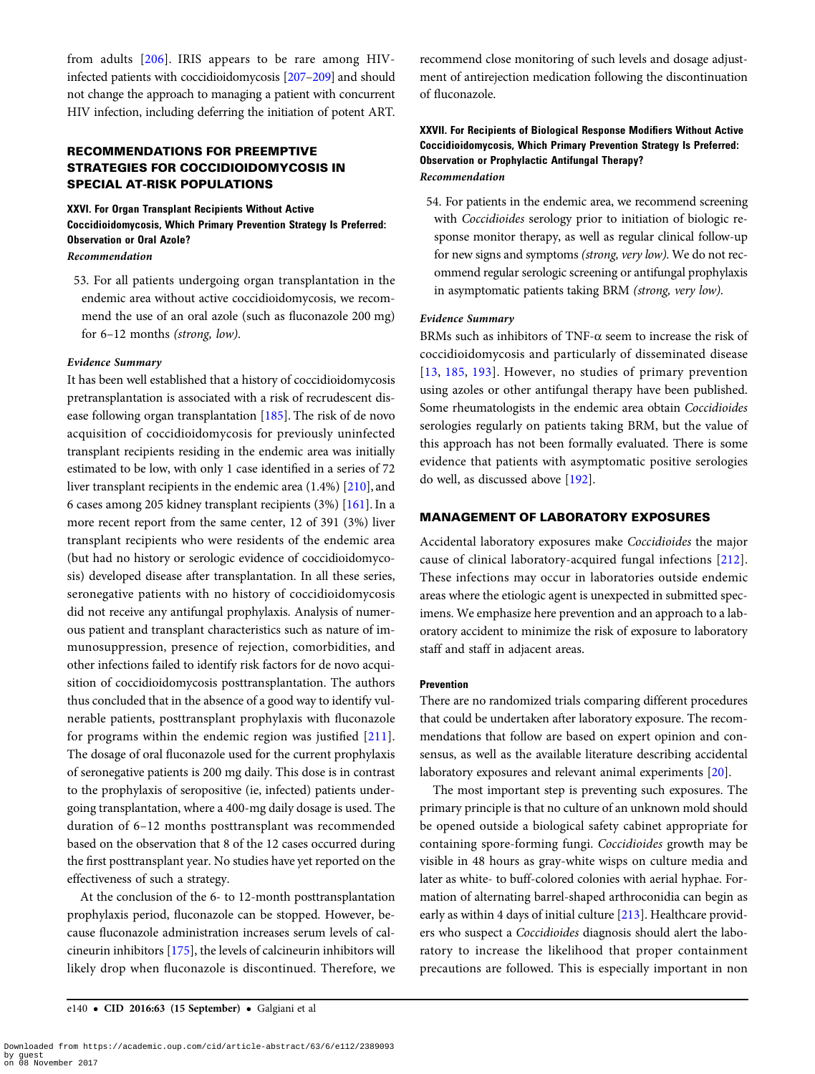from adults [[206\]](#page-34-0). IRIS appears to be rare among HIVinfected patients with coccidioidomycosis [[207](#page-34-0)–[209](#page-34-0)] and should not change the approach to managing a patient with concurrent HIV infection, including deferring the initiation of potent ART.

# RECOMMENDATIONS FOR PREEMPTIVE STRATEGIES FOR COCCIDIOIDOMYCOSIS IN SPECIAL AT-RISK POPULATIONS

# XXVI. For Organ Transplant Recipients Without Active Coccidioidomycosis, Which Primary Prevention Strategy Is Preferred: Observation or Oral Azole?

Recommendation

53. For all patients undergoing organ transplantation in the endemic area without active coccidioidomycosis, we recommend the use of an oral azole (such as fluconazole 200 mg) for 6–12 months (strong, low).

#### Evidence Summary

It has been well established that a history of coccidioidomycosis pretransplantation is associated with a risk of recrudescent disease following organ transplantation [[185\]](#page-34-0). The risk of de novo acquisition of coccidioidomycosis for previously uninfected transplant recipients residing in the endemic area was initially estimated to be low, with only 1 case identified in a series of 72 liver transplant recipients in the endemic area (1.4%) [\[210\]](#page-34-0), and 6 cases among 205 kidney transplant recipients (3%) [[161](#page-33-0)]. In a more recent report from the same center, 12 of 391 (3%) liver transplant recipients who were residents of the endemic area (but had no history or serologic evidence of coccidioidomycosis) developed disease after transplantation. In all these series, seronegative patients with no history of coccidioidomycosis did not receive any antifungal prophylaxis. Analysis of numerous patient and transplant characteristics such as nature of immunosuppression, presence of rejection, comorbidities, and other infections failed to identify risk factors for de novo acquisition of coccidioidomycosis posttransplantation. The authors thus concluded that in the absence of a good way to identify vulnerable patients, posttransplant prophylaxis with fluconazole for programs within the endemic region was justified [\[211](#page-34-0)]. The dosage of oral fluconazole used for the current prophylaxis of seronegative patients is 200 mg daily. This dose is in contrast to the prophylaxis of seropositive (ie, infected) patients undergoing transplantation, where a 400-mg daily dosage is used. The duration of 6–12 months posttransplant was recommended based on the observation that 8 of the 12 cases occurred during the first posttransplant year. No studies have yet reported on the effectiveness of such a strategy.

At the conclusion of the 6- to 12-month posttransplantation prophylaxis period, fluconazole can be stopped. However, because fluconazole administration increases serum levels of calcineurin inhibitors [[175](#page-33-0)], the levels of calcineurin inhibitors will likely drop when fluconazole is discontinued. Therefore, we recommend close monitoring of such levels and dosage adjustment of antirejection medication following the discontinuation of fluconazole.

#### XXVII. For Recipients of Biological Response Modifiers Without Active Coccidioidomycosis, Which Primary Prevention Strategy Is Preferred: Observation or Prophylactic Antifungal Therapy? Recommendation

54. For patients in the endemic area, we recommend screening with Coccidioides serology prior to initiation of biologic response monitor therapy, as well as regular clinical follow-up for new signs and symptoms (strong, very low). We do not recommend regular serologic screening or antifungal prophylaxis in asymptomatic patients taking BRM (strong, very low).

#### Evidence Summary

BRMs such as inhibitors of TNF- $\alpha$  seem to increase the risk of coccidioidomycosis and particularly of disseminated disease [\[13](#page-31-0), [185,](#page-34-0) [193](#page-34-0)]. However, no studies of primary prevention using azoles or other antifungal therapy have been published. Some rheumatologists in the endemic area obtain Coccidioides serologies regularly on patients taking BRM, but the value of this approach has not been formally evaluated. There is some evidence that patients with asymptomatic positive serologies do well, as discussed above [[192\]](#page-34-0).

## MANAGEMENT OF LABORATORY EXPOSURES

Accidental laboratory exposures make Coccidioides the major cause of clinical laboratory-acquired fungal infections [\[212](#page-34-0)]. These infections may occur in laboratories outside endemic areas where the etiologic agent is unexpected in submitted specimens. We emphasize here prevention and an approach to a laboratory accident to minimize the risk of exposure to laboratory staff and staff in adjacent areas.

#### Prevention

There are no randomized trials comparing different procedures that could be undertaken after laboratory exposure. The recommendations that follow are based on expert opinion and consensus, as well as the available literature describing accidental laboratory exposures and relevant animal experiments [[20\]](#page-31-0).

The most important step is preventing such exposures. The primary principle is that no culture of an unknown mold should be opened outside a biological safety cabinet appropriate for containing spore-forming fungi. Coccidioides growth may be visible in 48 hours as gray-white wisps on culture media and later as white- to buff-colored colonies with aerial hyphae. Formation of alternating barrel-shaped arthroconidia can begin as early as within 4 days of initial culture [[213\]](#page-34-0). Healthcare providers who suspect a Coccidioides diagnosis should alert the laboratory to increase the likelihood that proper containment precautions are followed. This is especially important in non

e140 • CID 2016:63 (15 September) • Galgiani et al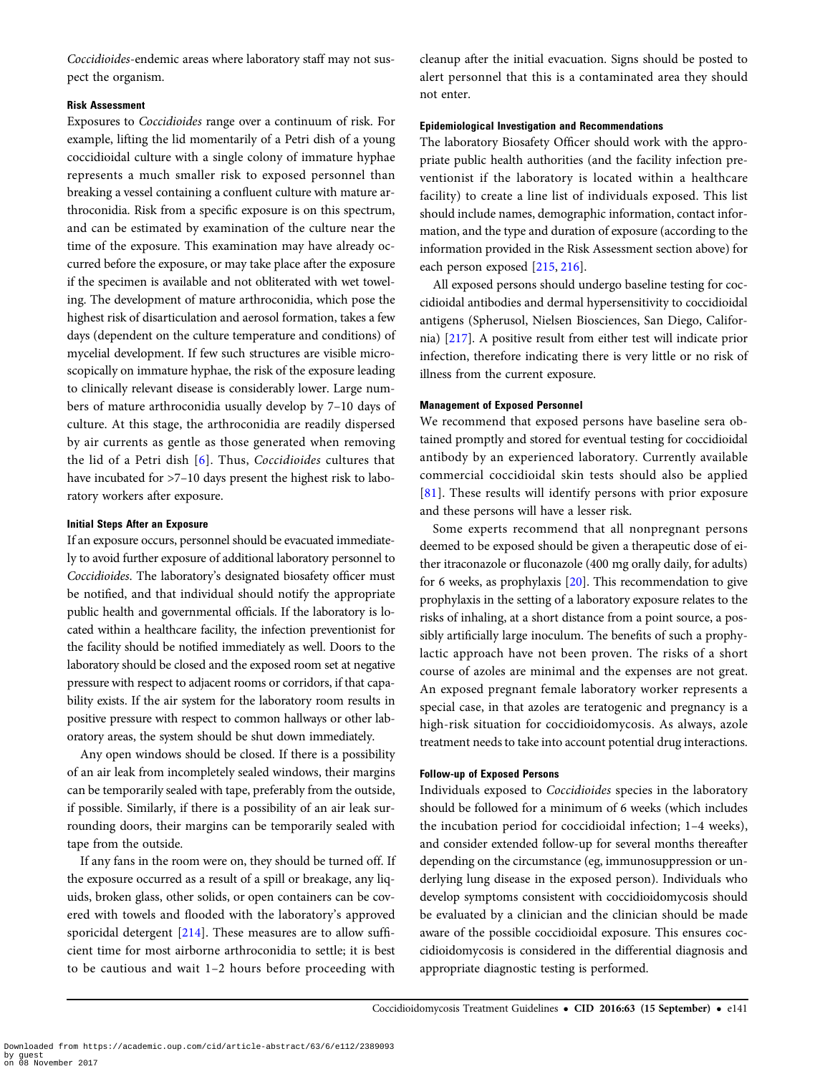Coccidioides-endemic areas where laboratory staff may not suspect the organism.

#### Risk Assessment

Exposures to Coccidioides range over a continuum of risk. For example, lifting the lid momentarily of a Petri dish of a young coccidioidal culture with a single colony of immature hyphae represents a much smaller risk to exposed personnel than breaking a vessel containing a confluent culture with mature arthroconidia. Risk from a specific exposure is on this spectrum, and can be estimated by examination of the culture near the time of the exposure. This examination may have already occurred before the exposure, or may take place after the exposure if the specimen is available and not obliterated with wet toweling. The development of mature arthroconidia, which pose the highest risk of disarticulation and aerosol formation, takes a few days (dependent on the culture temperature and conditions) of mycelial development. If few such structures are visible microscopically on immature hyphae, the risk of the exposure leading to clinically relevant disease is considerably lower. Large numbers of mature arthroconidia usually develop by 7–10 days of culture. At this stage, the arthroconidia are readily dispersed by air currents as gentle as those generated when removing the lid of a Petri dish  $[6]$  $[6]$ . Thus, Coccidioides cultures that have incubated for >7-10 days present the highest risk to laboratory workers after exposure.

#### Initial Steps After an Exposure

If an exposure occurs, personnel should be evacuated immediately to avoid further exposure of additional laboratory personnel to Coccidioides. The laboratory's designated biosafety officer must be notified, and that individual should notify the appropriate public health and governmental officials. If the laboratory is located within a healthcare facility, the infection preventionist for the facility should be notified immediately as well. Doors to the laboratory should be closed and the exposed room set at negative pressure with respect to adjacent rooms or corridors, if that capability exists. If the air system for the laboratory room results in positive pressure with respect to common hallways or other laboratory areas, the system should be shut down immediately.

Any open windows should be closed. If there is a possibility of an air leak from incompletely sealed windows, their margins can be temporarily sealed with tape, preferably from the outside, if possible. Similarly, if there is a possibility of an air leak surrounding doors, their margins can be temporarily sealed with tape from the outside.

If any fans in the room were on, they should be turned off. If the exposure occurred as a result of a spill or breakage, any liquids, broken glass, other solids, or open containers can be covered with towels and flooded with the laboratory's approved sporicidal detergent  $[214]$  $[214]$  $[214]$ . These measures are to allow sufficient time for most airborne arthroconidia to settle; it is best to be cautious and wait 1–2 hours before proceeding with

cleanup after the initial evacuation. Signs should be posted to alert personnel that this is a contaminated area they should not enter.

#### Epidemiological Investigation and Recommendations

The laboratory Biosafety Officer should work with the appropriate public health authorities (and the facility infection preventionist if the laboratory is located within a healthcare facility) to create a line list of individuals exposed. This list should include names, demographic information, contact information, and the type and duration of exposure (according to the information provided in the Risk Assessment section above) for each person exposed [[215](#page-34-0), [216](#page-34-0)].

All exposed persons should undergo baseline testing for coccidioidal antibodies and dermal hypersensitivity to coccidioidal antigens (Spherusol, Nielsen Biosciences, San Diego, California) [\[217\]](#page-34-0). A positive result from either test will indicate prior infection, therefore indicating there is very little or no risk of illness from the current exposure.

#### Management of Exposed Personnel

We recommend that exposed persons have baseline sera obtained promptly and stored for eventual testing for coccidioidal antibody by an experienced laboratory. Currently available commercial coccidioidal skin tests should also be applied [\[81\]](#page-32-0). These results will identify persons with prior exposure and these persons will have a lesser risk.

Some experts recommend that all nonpregnant persons deemed to be exposed should be given a therapeutic dose of either itraconazole or fluconazole (400 mg orally daily, for adults) for 6 weeks, as prophylaxis [\[20](#page-31-0)]. This recommendation to give prophylaxis in the setting of a laboratory exposure relates to the risks of inhaling, at a short distance from a point source, a possibly artificially large inoculum. The benefits of such a prophylactic approach have not been proven. The risks of a short course of azoles are minimal and the expenses are not great. An exposed pregnant female laboratory worker represents a special case, in that azoles are teratogenic and pregnancy is a high-risk situation for coccidioidomycosis. As always, azole treatment needs to take into account potential drug interactions.

#### Follow-up of Exposed Persons

Individuals exposed to Coccidioides species in the laboratory should be followed for a minimum of 6 weeks (which includes the incubation period for coccidioidal infection; 1–4 weeks), and consider extended follow-up for several months thereafter depending on the circumstance (eg, immunosuppression or underlying lung disease in the exposed person). Individuals who develop symptoms consistent with coccidioidomycosis should be evaluated by a clinician and the clinician should be made aware of the possible coccidioidal exposure. This ensures coccidioidomycosis is considered in the differential diagnosis and appropriate diagnostic testing is performed.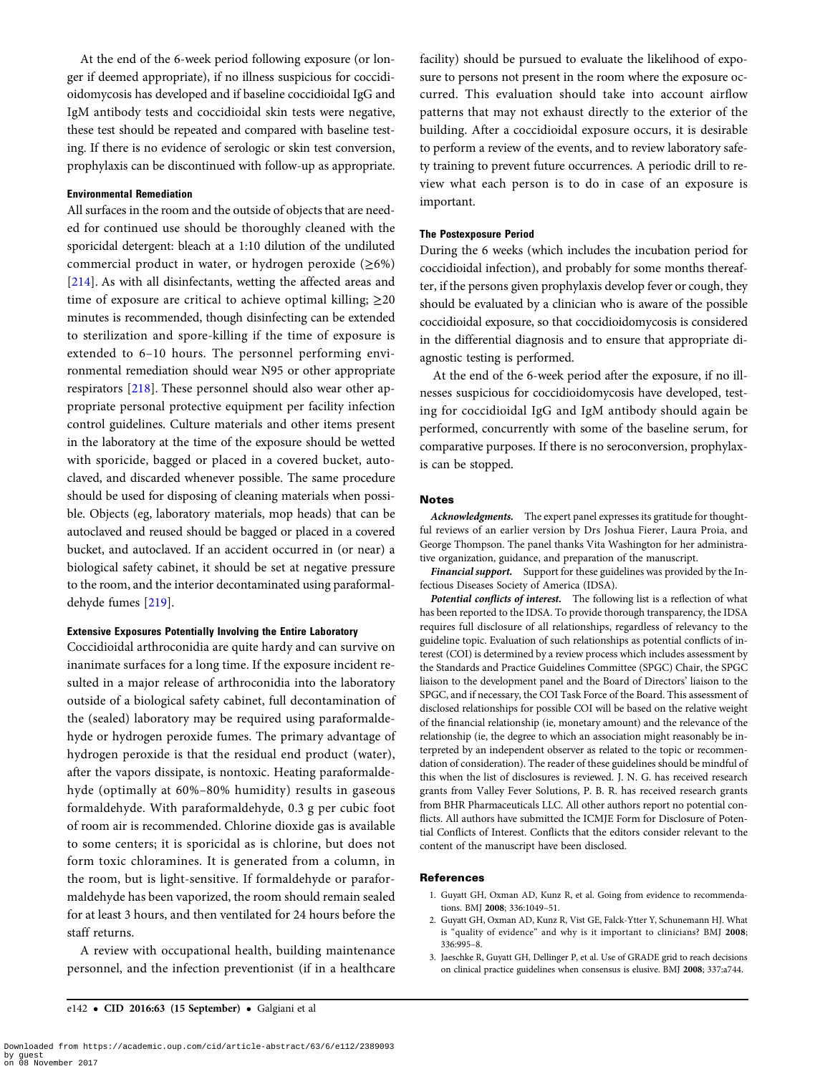<span id="page-30-0"></span>At the end of the 6-week period following exposure (or longer if deemed appropriate), if no illness suspicious for coccidioidomycosis has developed and if baseline coccidioidal IgG and IgM antibody tests and coccidioidal skin tests were negative, these test should be repeated and compared with baseline testing. If there is no evidence of serologic or skin test conversion, prophylaxis can be discontinued with follow-up as appropriate.

#### Environmental Remediation

All surfaces in the room and the outside of objects that are needed for continued use should be thoroughly cleaned with the sporicidal detergent: bleach at a 1:10 dilution of the undiluted commercial product in water, or hydrogen peroxide  $(\geq 6\%)$ [\[214\]](#page-34-0). As with all disinfectants, wetting the affected areas and time of exposure are critical to achieve optimal killing;  $\geq 20$ minutes is recommended, though disinfecting can be extended to sterilization and spore-killing if the time of exposure is extended to 6–10 hours. The personnel performing environmental remediation should wear N95 or other appropriate respirators [[218\]](#page-34-0). These personnel should also wear other appropriate personal protective equipment per facility infection control guidelines. Culture materials and other items present in the laboratory at the time of the exposure should be wetted with sporicide, bagged or placed in a covered bucket, autoclaved, and discarded whenever possible. The same procedure should be used for disposing of cleaning materials when possible. Objects (eg, laboratory materials, mop heads) that can be autoclaved and reused should be bagged or placed in a covered bucket, and autoclaved. If an accident occurred in (or near) a biological safety cabinet, it should be set at negative pressure to the room, and the interior decontaminated using paraformaldehyde fumes [\[219\]](#page-34-0).

#### Extensive Exposures Potentially Involving the Entire Laboratory

Coccidioidal arthroconidia are quite hardy and can survive on inanimate surfaces for a long time. If the exposure incident resulted in a major release of arthroconidia into the laboratory outside of a biological safety cabinet, full decontamination of the (sealed) laboratory may be required using paraformaldehyde or hydrogen peroxide fumes. The primary advantage of hydrogen peroxide is that the residual end product (water), after the vapors dissipate, is nontoxic. Heating paraformaldehyde (optimally at 60%–80% humidity) results in gaseous formaldehyde. With paraformaldehyde, 0.3 g per cubic foot of room air is recommended. Chlorine dioxide gas is available to some centers; it is sporicidal as is chlorine, but does not form toxic chloramines. It is generated from a column, in the room, but is light-sensitive. If formaldehyde or paraformaldehyde has been vaporized, the room should remain sealed for at least 3 hours, and then ventilated for 24 hours before the staff returns.

A review with occupational health, building maintenance personnel, and the infection preventionist (if in a healthcare facility) should be pursued to evaluate the likelihood of exposure to persons not present in the room where the exposure occurred. This evaluation should take into account airflow patterns that may not exhaust directly to the exterior of the building. After a coccidioidal exposure occurs, it is desirable to perform a review of the events, and to review laboratory safety training to prevent future occurrences. A periodic drill to review what each person is to do in case of an exposure is important.

#### The Postexposure Period

During the 6 weeks (which includes the incubation period for coccidioidal infection), and probably for some months thereafter, if the persons given prophylaxis develop fever or cough, they should be evaluated by a clinician who is aware of the possible coccidioidal exposure, so that coccidioidomycosis is considered in the differential diagnosis and to ensure that appropriate diagnostic testing is performed.

At the end of the 6-week period after the exposure, if no illnesses suspicious for coccidioidomycosis have developed, testing for coccidioidal IgG and IgM antibody should again be performed, concurrently with some of the baseline serum, for comparative purposes. If there is no seroconversion, prophylaxis can be stopped.

#### Notes

Acknowledgments. The expert panel expresses its gratitude for thoughtful reviews of an earlier version by Drs Joshua Fierer, Laura Proia, and George Thompson. The panel thanks Vita Washington for her administrative organization, guidance, and preparation of the manuscript.

Financial support. Support for these guidelines was provided by the Infectious Diseases Society of America (IDSA).

Potential conflicts of interest. The following list is a reflection of what has been reported to the IDSA. To provide thorough transparency, the IDSA requires full disclosure of all relationships, regardless of relevancy to the guideline topic. Evaluation of such relationships as potential conflicts of interest (COI) is determined by a review process which includes assessment by the Standards and Practice Guidelines Committee (SPGC) Chair, the SPGC liaison to the development panel and the Board of Directors' liaison to the SPGC, and if necessary, the COI Task Force of the Board. This assessment of disclosed relationships for possible COI will be based on the relative weight of the financial relationship (ie, monetary amount) and the relevance of the relationship (ie, the degree to which an association might reasonably be interpreted by an independent observer as related to the topic or recommendation of consideration). The reader of these guidelines should be mindful of this when the list of disclosures is reviewed. J. N. G. has received research grants from Valley Fever Solutions, P. B. R. has received research grants from BHR Pharmaceuticals LLC. All other authors report no potential conflicts. All authors have submitted the ICMJE Form for Disclosure of Potential Conflicts of Interest. Conflicts that the editors consider relevant to the content of the manuscript have been disclosed.

#### References

- 1. Guyatt GH, Oxman AD, Kunz R, et al. Going from evidence to recommendations. BMJ 2008; 336:1049–51.
- 2. Guyatt GH, Oxman AD, Kunz R, Vist GE, Falck-Ytter Y, Schunemann HJ. What is "quality of evidence" and why is it important to clinicians? BMJ 2008; 336:995–8.
- 3. Jaeschke R, Guyatt GH, Dellinger P, et al. Use of GRADE grid to reach decisions on clinical practice guidelines when consensus is elusive. BMJ 2008; 337:a744.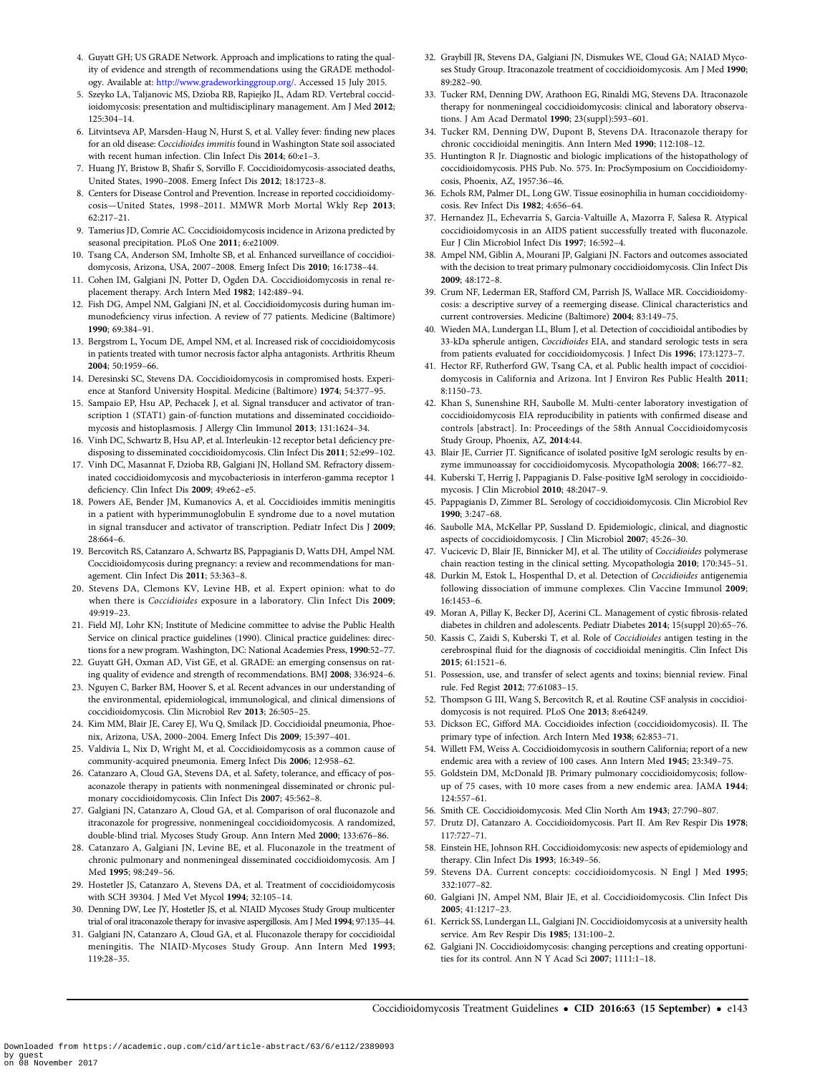- <span id="page-31-0"></span>4. Guyatt GH; US GRADE Network. Approach and implications to rating the quality of evidence and strength of recommendations using the GRADE methodology. Available at: <http://www.gradeworkinggroup.org/>. Accessed 15 July 2015.
- 5. Szeyko LA, Taljanovic MS, Dzioba RB, Rapiejko JL, Adam RD. Vertebral coccidioidomycosis: presentation and multidisciplinary management. Am J Med 2012; 125:304–14.
- 6. Litvintseva AP, Marsden-Haug N, Hurst S, et al. Valley fever: finding new places for an old disease: Coccidioides immitis found in Washington State soil associated with recent human infection. Clin Infect Dis 2014; 60:e1–3.
- 7. Huang JY, Bristow B, Shafir S, Sorvillo F. Coccidioidomycosis-associated deaths, United States, 1990–2008. Emerg Infect Dis 2012; 18:1723–8.
- 8. Centers for Disease Control and Prevention. Increase in reported coccidioidomycosis—United States, 1998–2011. MMWR Morb Mortal Wkly Rep 2013; 62:217–21.
- 9. Tamerius JD, Comrie AC. Coccidioidomycosis incidence in Arizona predicted by seasonal precipitation. PLoS One 2011; 6:e21009.
- 10. Tsang CA, Anderson SM, Imholte SB, et al. Enhanced surveillance of coccidioidomycosis, Arizona, USA, 2007–2008. Emerg Infect Dis 2010; 16:1738–44.
- 11. Cohen IM, Galgiani JN, Potter D, Ogden DA. Coccidioidomycosis in renal replacement therapy. Arch Intern Med 1982; 142:489–94.
- 12. Fish DG, Ampel NM, Galgiani JN, et al. Coccidioidomycosis during human immunodeficiency virus infection. A review of 77 patients. Medicine (Baltimore) 1990; 69:384–91.
- 13. Bergstrom L, Yocum DE, Ampel NM, et al. Increased risk of coccidioidomycosis in patients treated with tumor necrosis factor alpha antagonists. Arthritis Rheum 2004; 50:1959–66.
- 14. Deresinski SC, Stevens DA. Coccidioidomycosis in compromised hosts. Experience at Stanford University Hospital. Medicine (Baltimore) 1974; 54:377–95.
- 15. Sampaio EP, Hsu AP, Pechacek J, et al. Signal transducer and activator of transcription 1 (STAT1) gain-of-function mutations and disseminated coccidioidomycosis and histoplasmosis. J Allergy Clin Immunol 2013; 131:1624–34.
- 16. Vinh DC, Schwartz B, Hsu AP, et al. Interleukin-12 receptor beta1 deficiency predisposing to disseminated coccidioidomycosis. Clin Infect Dis 2011; 52:e99–102.
- 17. Vinh DC, Masannat F, Dzioba RB, Galgiani JN, Holland SM. Refractory disseminated coccidioidomycosis and mycobacteriosis in interferon-gamma receptor 1 deficiency. Clin Infect Dis 2009; 49:e62–e5.
- 18. Powers AE, Bender JM, Kumanovics A, et al. Coccidioides immitis meningitis in a patient with hyperimmunoglobulin E syndrome due to a novel mutation in signal transducer and activator of transcription. Pediatr Infect Dis J 2009; 28:664–6.
- 19. Bercovitch RS, Catanzaro A, Schwartz BS, Pappagianis D, Watts DH, Ampel NM. Coccidioidomycosis during pregnancy: a review and recommendations for management. Clin Infect Dis 2011; 53:363–8.
- 20. Stevens DA, Clemons KV, Levine HB, et al. Expert opinion: what to do when there is *Coccidioides* exposure in a laboratory. Clin Infect Dis 2009; 49:919–23.
- 21. Field MJ, Lohr KN; Institute of Medicine committee to advise the Public Health Service on clinical practice guidelines (1990). Clinical practice guidelines: directions for a new program. Washington, DC: National Academies Press, 1990:52–77.
- 22. Guyatt GH, Oxman AD, Vist GE, et al. GRADE: an emerging consensus on rating quality of evidence and strength of recommendations. BMJ 2008; 336:924–6.
- 23. Nguyen C, Barker BM, Hoover S, et al. Recent advances in our understanding of the environmental, epidemiological, immunological, and clinical dimensions of coccidioidomycosis. Clin Microbiol Rev 2013; 26:505–25.
- 24. Kim MM, Blair JE, Carey EJ, Wu Q, Smilack JD. Coccidioidal pneumonia, Phoenix, Arizona, USA, 2000–2004. Emerg Infect Dis 2009; 15:397–401.
- 25. Valdivia L, Nix D, Wright M, et al. Coccidioidomycosis as a common cause of community-acquired pneumonia. Emerg Infect Dis 2006; 12:958–62.
- 26. Catanzaro A, Cloud GA, Stevens DA, et al. Safety, tolerance, and efficacy of posaconazole therapy in patients with nonmeningeal disseminated or chronic pulmonary coccidioidomycosis. Clin Infect Dis 2007; 45:562–8.
- 27. Galgiani JN, Catanzaro A, Cloud GA, et al. Comparison of oral fluconazole and itraconazole for progressive, nonmeningeal coccidioidomycosis. A randomized, double-blind trial. Mycoses Study Group. Ann Intern Med 2000; 133:676–86.
- 28. Catanzaro A, Galgiani JN, Levine BE, et al. Fluconazole in the treatment of chronic pulmonary and nonmeningeal disseminated coccidioidomycosis. Am J Med 1995; 98:249–56.
- 29. Hostetler JS, Catanzaro A, Stevens DA, et al. Treatment of coccidioidomycosis with SCH 39304. J Med Vet Mycol 1994; 32:105–14.
- 30. Denning DW, Lee JY, Hostetler JS, et al. NIAID Mycoses Study Group multicenter trial of oral itraconazole therapy for invasive aspergillosis. Am J Med 1994; 97:135–44.
- 31. Galgiani JN, Catanzaro A, Cloud GA, et al. Fluconazole therapy for coccidioidal meningitis. The NIAID-Mycoses Study Group. Ann Intern Med 1993; 119:28–35.
- 32. Graybill JR, Stevens DA, Galgiani JN, Dismukes WE, Cloud GA; NAIAD Mycoses Study Group. Itraconazole treatment of coccidioidomycosis. Am J Med 1990; 89:282–90.
- 33. Tucker RM, Denning DW, Arathoon EG, Rinaldi MG, Stevens DA. Itraconazole therapy for nonmeningeal coccidioidomycosis: clinical and laboratory observations. J Am Acad Dermatol 1990; 23(suppl):593–601.
- 34. Tucker RM, Denning DW, Dupont B, Stevens DA. Itraconazole therapy for chronic coccidioidal meningitis. Ann Intern Med 1990; 112:108–12.
- 35. Huntington R Jr. Diagnostic and biologic implications of the histopathology of coccidioidomycosis. PHS Pub. No. 575. In: ProcSymposium on Coccidioidomycosis, Phoenix, AZ, 1957:36–46.
- 36. Echols RM, Palmer DL, Long GW. Tissue eosinophilia in human coccidioidomycosis. Rev Infect Dis 1982; 4:656–64.
- 37. Hernandez JL, Echevarria S, Garcia-Valtuille A, Mazorra F, Salesa R. Atypical coccidioidomycosis in an AIDS patient successfully treated with fluconazole. Eur J Clin Microbiol Infect Dis 1997; 16:592–4.
- 38. Ampel NM, Giblin A, Mourani JP, Galgiani JN. Factors and outcomes associated with the decision to treat primary pulmonary coccidioidomycosis. Clin Infect Dis 2009; 48:172–8.
- 39. Crum NF, Lederman ER, Stafford CM, Parrish JS, Wallace MR. Coccidioidomycosis: a descriptive survey of a reemerging disease. Clinical characteristics and current controversies. Medicine (Baltimore) 2004; 83:149–75.
- Wieden MA, Lundergan LL, Blum J, et al. Detection of coccidioidal antibodies by 33-kDa spherule antigen, Coccidioides EIA, and standard serologic tests in sera from patients evaluated for coccidioidomycosis. J Infect Dis 1996; 173:1273–7.
- 41. Hector RF, Rutherford GW, Tsang CA, et al. Public health impact of coccidioidomycosis in California and Arizona. Int J Environ Res Public Health 2011; 8:1150–73.
- 42. Khan S, Sunenshine RH, Saubolle M. Multi-center laboratory investigation of coccidioidomycosis EIA reproducibility in patients with confirmed disease and controls [abstract]. In: Proceedings of the 58th Annual Coccidioidomycosis Study Group, Phoenix, AZ, 2014:44.
- 43. Blair JE, Currier JT. Significance of isolated positive IgM serologic results by enzyme immunoassay for coccidioidomycosis. Mycopathologia 2008; 166:77–82.
- 44. Kuberski T, Herrig J, Pappagianis D. False-positive IgM serology in coccidioidomycosis. J Clin Microbiol 2010; 48:2047–9.
- 45. Pappagianis D, Zimmer BL. Serology of coccidioidomycosis. Clin Microbiol Rev 1990; 3:247–68.
- 46. Saubolle MA, McKellar PP, Sussland D. Epidemiologic, clinical, and diagnostic aspects of coccidioidomycosis. J Clin Microbiol 2007; 45:26–30.
- 47. Vucicevic D, Blair JE, Binnicker MJ, et al. The utility of Coccidioides polymerase chain reaction testing in the clinical setting. Mycopathologia 2010; 170:345–51.
- 48. Durkin M, Estok L, Hospenthal D, et al. Detection of Coccidioides antigenemia following dissociation of immune complexes. Clin Vaccine Immunol 2009; 16:1453–6.
- 49. Moran A, Pillay K, Becker DJ, Acerini CL. Management of cystic fibrosis-related diabetes in children and adolescents. Pediatr Diabetes 2014; 15(suppl 20):65–76.
- 50. Kassis C, Zaidi S, Kuberski T, et al. Role of Coccidioides antigen testing in the cerebrospinal fluid for the diagnosis of coccidioidal meningitis. Clin Infect Dis 2015; 61:1521–6.
- 51. Possession, use, and transfer of select agents and toxins; biennial review. Final rule. Fed Regist 2012; 77:61083–15.
- 52. Thompson G III, Wang S, Bercovitch R, et al. Routine CSF analysis in coccidioidomycosis is not required. PLoS One 2013; 8:e64249.
- 53. Dickson EC, Gifford MA. Coccidioides infection (coccidioidomycosis). II. The primary type of infection. Arch Intern Med 1938; 62:853–71.
- 54. Willett FM, Weiss A. Coccidioidomycosis in southern California; report of a new endemic area with a review of 100 cases. Ann Intern Med 1945; 23:349–75.
- 55. Goldstein DM, McDonald JB. Primary pulmonary coccidioidomycosis; followup of 75 cases, with 10 more cases from a new endemic area. JAMA 1944; 124:557–61.
- 56. Smith CE. Coccidioidomycosis. Med Clin North Am 1943; 27:790–807.
- 57. Drutz DJ, Catanzaro A. Coccidioidomycosis. Part II. Am Rev Respir Dis 1978; 117:727–71.
- 58. Einstein HE, Johnson RH. Coccidioidomycosis: new aspects of epidemiology and therapy. Clin Infect Dis 1993; 16:349–56.
- 59. Stevens DA. Current concepts: coccidioidomycosis. N Engl J Med 1995; 332:1077–82.
- 60. Galgiani JN, Ampel NM, Blair JE, et al. Coccidioidomycosis. Clin Infect Dis 2005; 41:1217–23.
- 61. Kerrick SS, Lundergan LL, Galgiani JN. Coccidioidomycosis at a university health service. Am Rev Respir Dis 1985; 131:100–2.
- 62. Galgiani JN. Coccidioidomycosis: changing perceptions and creating opportunities for its control. Ann N Y Acad Sci 2007; 1111:1–18.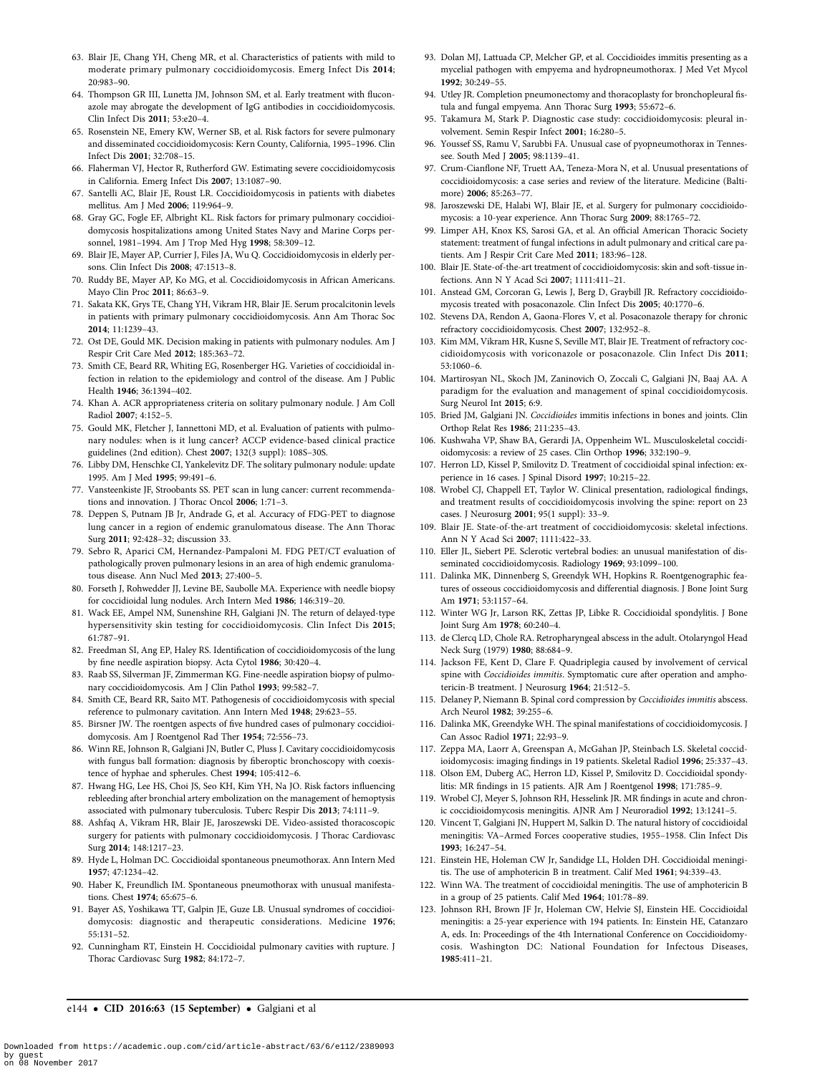- <span id="page-32-0"></span>63. Blair JE, Chang YH, Cheng MR, et al. Characteristics of patients with mild to moderate primary pulmonary coccidioidomycosis. Emerg Infect Dis 2014; 20:983–90.
- 64. Thompson GR III, Lunetta JM, Johnson SM, et al. Early treatment with fluconazole may abrogate the development of IgG antibodies in coccidioidomycosis. Clin Infect Dis 2011; 53:e20–4.
- 65. Rosenstein NE, Emery KW, Werner SB, et al. Risk factors for severe pulmonary and disseminated coccidioidomycosis: Kern County, California, 1995–1996. Clin Infect Dis 2001; 32:708–15.
- 66. Flaherman VJ, Hector R, Rutherford GW. Estimating severe coccidioidomycosis in California. Emerg Infect Dis 2007; 13:1087–90.
- 67. Santelli AC, Blair JE, Roust LR. Coccidioidomycosis in patients with diabetes mellitus. Am J Med 2006; 119:964–9.
- 68. Gray GC, Fogle EF, Albright KL. Risk factors for primary pulmonary coccidioidomycosis hospitalizations among United States Navy and Marine Corps personnel, 1981–1994. Am J Trop Med Hyg 1998; 58:309–12.
- 69. Blair JE, Mayer AP, Currier J, Files JA, Wu Q. Coccidioidomycosis in elderly persons. Clin Infect Dis 2008; 47:1513–8.
- 70. Ruddy BE, Mayer AP, Ko MG, et al. Coccidioidomycosis in African Americans. Mayo Clin Proc 2011; 86:63–9.
- 71. Sakata KK, Grys TE, Chang YH, Vikram HR, Blair JE. Serum procalcitonin levels in patients with primary pulmonary coccidioidomycosis. Ann Am Thorac Soc 2014; 11:1239–43.
- 72. Ost DE, Gould MK. Decision making in patients with pulmonary nodules. Am J Respir Crit Care Med 2012; 185:363–72.
- 73. Smith CE, Beard RR, Whiting EG, Rosenberger HG. Varieties of coccidioidal infection in relation to the epidemiology and control of the disease. Am J Public Health 1946; 36:1394–402.
- 74. Khan A. ACR appropriateness criteria on solitary pulmonary nodule. J Am Coll Radiol 2007; 4:152–5.
- 75. Gould MK, Fletcher J, Iannettoni MD, et al. Evaluation of patients with pulmonary nodules: when is it lung cancer? ACCP evidence-based clinical practice guidelines (2nd edition). Chest 2007; 132(3 suppl): 108S–30S.
- 76. Libby DM, Henschke CI, Yankelevitz DF. The solitary pulmonary nodule: update 1995. Am J Med 1995; 99:491–6.
- 77. Vansteenkiste JF, Stroobants SS. PET scan in lung cancer: current recommendations and innovation. J Thorac Oncol 2006; 1:71–3.
- 78. Deppen S, Putnam JB Jr, Andrade G, et al. Accuracy of FDG-PET to diagnose lung cancer in a region of endemic granulomatous disease. The Ann Thorac Surg 2011; 92:428–32; discussion 33.
- 79. Sebro R, Aparici CM, Hernandez-Pampaloni M. FDG PET/CT evaluation of pathologically proven pulmonary lesions in an area of high endemic granulomatous disease. Ann Nucl Med 2013; 27:400–5.
- 80. Forseth J, Rohwedder JJ, Levine BE, Saubolle MA, Experience with needle biopsy for coccidioidal lung nodules. Arch Intern Med 1986; 146:319–20.
- 81. Wack EE, Ampel NM, Sunenshine RH, Galgiani JN. The return of delayed-type hypersensitivity skin testing for coccidioidomycosis. Clin Infect Dis 2015; 61:787–91.
- 82. Freedman SI, Ang EP, Haley RS. Identification of coccidioidomycosis of the lung by fine needle aspiration biopsy. Acta Cytol 1986; 30:420–4.
- 83. Raab SS, Silverman JF, Zimmerman KG. Fine-needle aspiration biopsy of pulmonary coccidioidomycosis. Am J Clin Pathol 1993; 99:582–7.
- 84. Smith CE, Beard RR, Saito MT. Pathogenesis of coccidioidomycosis with special reference to pulmonary cavitation. Ann Intern Med 1948; 29:623–55.
- 85. Birsner JW. The roentgen aspects of five hundred cases of pulmonary coccidioidomycosis. Am J Roentgenol Rad Ther 1954; 72:556–73.
- 86. Winn RE, Johnson R, Galgiani JN, Butler C, Pluss J. Cavitary coccidioidomycosis with fungus ball formation: diagnosis by fiberoptic bronchoscopy with coexistence of hyphae and spherules. Chest 1994; 105:412–6.
- 87. Hwang HG, Lee HS, Choi JS, Seo KH, Kim YH, Na JO. Risk factors influencing rebleeding after bronchial artery embolization on the management of hemoptysis associated with pulmonary tuberculosis. Tuberc Respir Dis 2013; 74:111–9.
- 88. Ashfaq A, Vikram HR, Blair JE, Jaroszewski DE. Video-assisted thoracoscopic surgery for patients with pulmonary coccidioidomycosis. J Thorac Cardiovasc Surg 2014; 148:1217–23.
- 89. Hyde L, Holman DC. Coccidioidal spontaneous pneumothorax. Ann Intern Med 1957; 47:1234–42.
- 90. Haber K, Freundlich IM. Spontaneous pneumothorax with unusual manifestations. Chest 1974; 65:675–6.
- 91. Bayer AS, Yoshikawa TT, Galpin JE, Guze LB. Unusual syndromes of coccidioidomycosis: diagnostic and therapeutic considerations. Medicine 1976; 55:131–52.
- 92. Cunningham RT, Einstein H. Coccidioidal pulmonary cavities with rupture. J Thorac Cardiovasc Surg 1982; 84:172–7.
- 93. Dolan MJ, Lattuada CP, Melcher GP, et al. Coccidioides immitis presenting as a mycelial pathogen with empyema and hydropneumothorax. J Med Vet Mycol 1992; 30:249–55.
- 94. Utley JR. Completion pneumonectomy and thoracoplasty for bronchopleural fistula and fungal empyema. Ann Thorac Surg 1993; 55:672–6.
- 95. Takamura M, Stark P. Diagnostic case study: coccidioidomycosis: pleural involvement. Semin Respir Infect 2001; 16:280–5.
- 96. Youssef SS, Ramu V, Sarubbi FA. Unusual case of pyopneumothorax in Tennessee. South Med J 2005; 98:1139–41.
- 97. Crum-Cianflone NF, Truett AA, Teneza-Mora N, et al. Unusual presentations of coccidioidomycosis: a case series and review of the literature. Medicine (Baltimore) 2006; 85:263–77.
- 98. Jaroszewski DE, Halabi WJ, Blair JE, et al. Surgery for pulmonary coccidioidomycosis: a 10-year experience. Ann Thorac Surg 2009; 88:1765–72.
- 99. Limper AH, Knox KS, Sarosi GA, et al. An official American Thoracic Society statement: treatment of fungal infections in adult pulmonary and critical care patients. Am J Respir Crit Care Med 2011; 183:96–128.
- 100. Blair JE. State-of-the-art treatment of coccidioidomycosis: skin and soft-tissue infections. Ann N Y Acad Sci 2007; 1111:411–21.
- 101. Anstead GM, Corcoran G, Lewis J, Berg D, Graybill JR. Refractory coccidioidomycosis treated with posaconazole. Clin Infect Dis 2005; 40:1770–6.
- 102. Stevens DA, Rendon A, Gaona-Flores V, et al. Posaconazole therapy for chronic refractory coccidioidomycosis. Chest 2007; 132:952–8.
- 103. Kim MM, Vikram HR, Kusne S, Seville MT, Blair JE. Treatment of refractory coccidioidomycosis with voriconazole or posaconazole. Clin Infect Dis 2011; 53:1060–6.
- 104. Martirosyan NL, Skoch JM, Zaninovich O, Zoccali C, Galgiani JN, Baaj AA. A paradigm for the evaluation and management of spinal coccidioidomycosis. Surg Neurol Int 2015; 6:9.
- 105. Bried JM, Galgiani JN. Coccidioides immitis infections in bones and joints. Clin Orthop Relat Res 1986; 211:235–43.
- 106. Kushwaha VP, Shaw BA, Gerardi JA, Oppenheim WL. Musculoskeletal coccidioidomycosis: a review of 25 cases. Clin Orthop 1996; 332:190–9.
- 107. Herron LD, Kissel P, Smilovitz D. Treatment of coccidioidal spinal infection: experience in 16 cases. J Spinal Disord 1997; 10:215–22.
- 108. Wrobel CJ, Chappell ET, Taylor W. Clinical presentation, radiological findings, and treatment results of coccidioidomycosis involving the spine: report on 23 cases. J Neurosurg 2001; 95(1 suppl): 33–9.
- 109. Blair JE. State-of-the-art treatment of coccidioidomycosis: skeletal infections. Ann N Y Acad Sci 2007; 1111:422–33.
- 110. Eller JL, Siebert PE. Sclerotic vertebral bodies: an unusual manifestation of disseminated coccidioidomycosis. Radiology 1969; 93:1099–100.
- 111. Dalinka MK, Dinnenberg S, Greendyk WH, Hopkins R. Roentgenographic features of osseous coccidioidomycosis and differential diagnosis. J Bone Joint Surg Am 1971; 53:1157–64.
- 112. Winter WG Jr, Larson RK, Zettas JP, Libke R. Coccidioidal spondylitis. J Bone Joint Surg Am 1978; 60:240–4.
- 113. de Clercq LD, Chole RA. Retropharyngeal abscess in the adult. Otolaryngol Head Neck Surg (1979) 1980; 88:684–9.
- 114. Jackson FE, Kent D, Clare F. Quadriplegia caused by involvement of cervical spine with Coccidioides immitis. Symptomatic cure after operation and amphotericin-B treatment. J Neurosurg 1964; 21:512–5.
- 115. Delaney P, Niemann B. Spinal cord compression by Coccidioides immitis abscess. Arch Neurol 1982; 39:255–6.
- 116. Dalinka MK, Greendyke WH. The spinal manifestations of coccidioidomycosis. J Can Assoc Radiol 1971; 22:93–9.
- 117. Zeppa MA, Laorr A, Greenspan A, McGahan JP, Steinbach LS. Skeletal coccidioidomycosis: imaging findings in 19 patients. Skeletal Radiol 1996; 25:337–43.
- 118. Olson EM, Duberg AC, Herron LD, Kissel P, Smilovitz D. Coccidioidal spondylitis: MR findings in 15 patients. AJR Am J Roentgenol 1998; 171:785–9.
- 119. Wrobel CJ, Meyer S, Johnson RH, Hesselink JR. MR findings in acute and chronic coccidioidomycosis meningitis. AJNR Am J Neuroradiol 1992; 13:1241–5.
- 120. Vincent T, Galgiani JN, Huppert M, Salkin D. The natural history of coccidioidal meningitis: VA–Armed Forces cooperative studies, 1955–1958. Clin Infect Dis 1993; 16:247–54.
- 121. Einstein HE, Holeman CW Jr, Sandidge LL, Holden DH. Coccidioidal meningitis. The use of amphotericin B in treatment. Calif Med 1961; 94:339–43.
- 122. Winn WA. The treatment of coccidioidal meningitis. The use of amphotericin B in a group of 25 patients. Calif Med 1964; 101:78–89.
- 123. Johnson RH, Brown JF Jr, Holeman CW, Helvie SJ, Einstein HE. Coccidioidal meningitis: a 25-year experience with 194 patients. In: Einstein HE, Catanzaro A, eds. In: Proceedings of the 4th International Conference on Coccidioidomycosis. Washington DC: National Foundation for Infectous Diseases, 1985:411–21.

e144 • CID 2016:63 (15 September) • Galgiani et al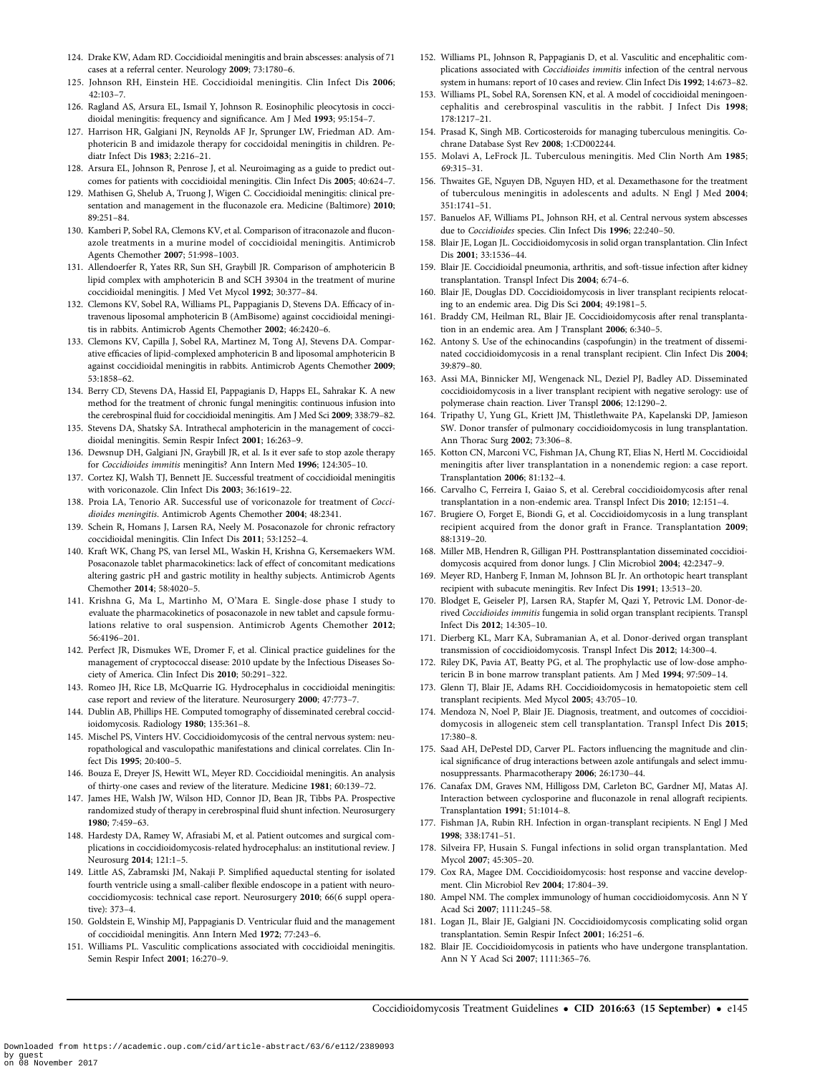- <span id="page-33-0"></span>124. Drake KW, Adam RD. Coccidioidal meningitis and brain abscesses: analysis of 71 cases at a referral center. Neurology 2009; 73:1780–6.
- 125. Johnson RH, Einstein HE. Coccidioidal meningitis. Clin Infect Dis 2006;  $42.103 - 7$
- 126. Ragland AS, Arsura EL, Ismail Y, Johnson R. Eosinophilic pleocytosis in coccidioidal meningitis: frequency and significance. Am J Med 1993; 95:154–7.
- 127. Harrison HR, Galgiani JN, Reynolds AF Jr, Sprunger LW, Friedman AD. Amphotericin B and imidazole therapy for coccidoidal meningitis in children. Pediatr Infect Dis 1983; 2:216–21.
- 128. Arsura EL, Johnson R, Penrose J, et al. Neuroimaging as a guide to predict outcomes for patients with coccidioidal meningitis. Clin Infect Dis 2005; 40:624–7.
- 129. Mathisen G, Shelub A, Truong J, Wigen C. Coccidioidal meningitis: clinical presentation and management in the fluconazole era. Medicine (Baltimore) 2010; 89:251–84.
- 130. Kamberi P, Sobel RA, Clemons KV, et al. Comparison of itraconazole and fluconazole treatments in a murine model of coccidioidal meningitis. Antimicrob Agents Chemother 2007; 51:998–1003.
- 131. Allendoerfer R, Yates RR, Sun SH, Graybill JR. Comparison of amphotericin B lipid complex with amphotericin B and SCH 39304 in the treatment of murine coccidioidal meningitis. J Med Vet Mycol 1992; 30:377–84.
- 132. Clemons KV, Sobel RA, Williams PL, Pappagianis D, Stevens DA. Efficacy of intravenous liposomal amphotericin B (AmBisome) against coccidioidal meningitis in rabbits. Antimicrob Agents Chemother 2002; 46:2420–6.
- 133. Clemons KV, Capilla J, Sobel RA, Martinez M, Tong AJ, Stevens DA. Comparative efficacies of lipid-complexed amphotericin B and liposomal amphotericin B against coccidioidal meningitis in rabbits. Antimicrob Agents Chemother 2009; 53:1858–62.
- 134. Berry CD, Stevens DA, Hassid EI, Pappagianis D, Happs EL, Sahrakar K. A new method for the treatment of chronic fungal meningitis: continuous infusion into the cerebrospinal fluid for coccidioidal meningitis. Am J Med Sci 2009; 338:79–82.
- 135. Stevens DA, Shatsky SA. Intrathecal amphotericin in the management of coccidioidal meningitis. Semin Respir Infect 2001; 16:263–9.
- 136. Dewsnup DH, Galgiani JN, Graybill JR, et al. Is it ever safe to stop azole therapy for Coccidioides immitis meningitis? Ann Intern Med 1996; 124:305–10.
- 137. Cortez KJ, Walsh TJ, Bennett JE. Successful treatment of coccidioidal meningitis with voriconazole. Clin Infect Dis 2003; 36:1619–22.
- 138. Proia LA, Tenorio AR. Successful use of voriconazole for treatment of Coccidioides meningitis. Antimicrob Agents Chemother 2004; 48:2341.
- 139. Schein R, Homans J, Larsen RA, Neely M. Posaconazole for chronic refractory coccidioidal meningitis. Clin Infect Dis 2011; 53:1252–4.
- 140. Kraft WK, Chang PS, van Iersel ML, Waskin H, Krishna G, Kersemaekers WM. Posaconazole tablet pharmacokinetics: lack of effect of concomitant medications altering gastric pH and gastric motility in healthy subjects. Antimicrob Agents Chemother 2014; 58:4020–5.
- 141. Krishna G, Ma L, Martinho M, O'Mara E. Single-dose phase I study to evaluate the pharmacokinetics of posaconazole in new tablet and capsule formulations relative to oral suspension. Antimicrob Agents Chemother 2012; 56:4196–201.
- 142. Perfect JR, Dismukes WE, Dromer F, et al. Clinical practice guidelines for the management of cryptococcal disease: 2010 update by the Infectious Diseases Society of America. Clin Infect Dis 2010; 50:291–322.
- 143. Romeo JH, Rice LB, McQuarrie IG. Hydrocephalus in coccidioidal meningitis: case report and review of the literature. Neurosurgery 2000; 47:773–7.
- 144. Dublin AB, Phillips HE. Computed tomography of disseminated cerebral coccidioidomycosis. Radiology 1980; 135:361–8.
- 145. Mischel PS, Vinters HV. Coccidioidomycosis of the central nervous system: neuropathological and vasculopathic manifestations and clinical correlates. Clin Infect Dis 1995; 20:400–5.
- 146. Bouza E, Dreyer JS, Hewitt WL, Meyer RD. Coccidioidal meningitis. An analysis of thirty-one cases and review of the literature. Medicine 1981; 60:139–72.
- 147. James HE, Walsh JW, Wilson HD, Connor JD, Bean JR, Tibbs PA. Prospective randomized study of therapy in cerebrospinal fluid shunt infection. Neurosurgery 1980; 7:459–63.
- 148. Hardesty DA, Ramey W, Afrasiabi M, et al. Patient outcomes and surgical complications in coccidioidomycosis-related hydrocephalus: an institutional review. J Neurosurg 2014; 121:1–5.
- 149. Little AS, Zabramski JM, Nakaji P. Simplified aqueductal stenting for isolated fourth ventricle using a small-caliber flexible endoscope in a patient with neurococcidiomycosis: technical case report. Neurosurgery 2010; 66(6 suppl operative): 373–4.
- 150. Goldstein E, Winship MJ, Pappagianis D. Ventricular fluid and the management of coccidioidal meningitis. Ann Intern Med 1972; 77:243–6.
- 151. Williams PL. Vasculitic complications associated with coccidioidal meningitis. Semin Respir Infect 2001; 16:270–9.
- 152. Williams PL, Johnson R, Pappagianis D, et al. Vasculitic and encephalitic complications associated with Coccidioides immitis infection of the central nervous system in humans: report of 10 cases and review. Clin Infect Dis 1992; 14:673–82.
- 153. Williams PL, Sobel RA, Sorensen KN, et al. A model of coccidioidal meningoencephalitis and cerebrospinal vasculitis in the rabbit. J Infect Dis 1998; 178:1217–21.
- 154. Prasad K, Singh MB. Corticosteroids for managing tuberculous meningitis. Cochrane Database Syst Rev 2008; 1:CD002244.
- 155. Molavi A, LeFrock JL. Tuberculous meningitis. Med Clin North Am 1985; 69:315–31.
- 156. Thwaites GE, Nguyen DB, Nguyen HD, et al. Dexamethasone for the treatment of tuberculous meningitis in adolescents and adults. N Engl J Med 2004; 351:1741–51.
- 157. Banuelos AF, Williams PL, Johnson RH, et al. Central nervous system abscesses due to Coccidioides species. Clin Infect Dis 1996; 22:240–50.
- 158. Blair JE, Logan JL. Coccidioidomycosis in solid organ transplantation. Clin Infect Dis 2001; 33:1536–44.
- 159. Blair JE. Coccidioidal pneumonia, arthritis, and soft-tissue infection after kidney transplantation. Transpl Infect Dis 2004; 6:74–6.
- 160. Blair JE, Douglas DD. Coccidioidomycosis in liver transplant recipients relocating to an endemic area. Dig Dis Sci 2004; 49:1981–5.
- 161. Braddy CM, Heilman RL, Blair JE. Coccidioidomycosis after renal transplantation in an endemic area. Am J Transplant 2006; 6:340–5.
- 162. Antony S. Use of the echinocandins (caspofungin) in the treatment of disseminated coccidioidomycosis in a renal transplant recipient. Clin Infect Dis 2004; 39:879–80.
- 163. Assi MA, Binnicker MJ, Wengenack NL, Deziel PJ, Badley AD. Disseminated coccidioidomycosis in a liver transplant recipient with negative serology: use of polymerase chain reaction. Liver Transpl 2006; 12:1290–2.
- 164. Tripathy U, Yung GL, Kriett JM, Thistlethwaite PA, Kapelanski DP, Jamieson SW. Donor transfer of pulmonary coccidioidomycosis in lung transplantation. Ann Thorac Surg 2002; 73:306–8.
- 165. Kotton CN, Marconi VC, Fishman JA, Chung RT, Elias N, Hertl M. Coccidioidal meningitis after liver transplantation in a nonendemic region: a case report. Transplantation 2006; 81:132–4.
- 166. Carvalho C, Ferreira I, Gaiao S, et al. Cerebral coccidioidomycosis after renal transplantation in a non-endemic area. Transpl Infect Dis 2010; 12:151–4.
- 167. Brugiere O, Forget E, Biondi G, et al. Coccidioidomycosis in a lung transplant recipient acquired from the donor graft in France. Transplantation 2009; 88:1319–20.
- 168. Miller MB, Hendren R, Gilligan PH. Posttransplantation disseminated coccidioidomycosis acquired from donor lungs. J Clin Microbiol 2004; 42:2347–9.
- 169. Meyer RD, Hanberg F, Inman M, Johnson BL Jr. An orthotopic heart transplant recipient with subacute meningitis. Rev Infect Dis 1991; 13:513–20.
- 170. Blodget E, Geiseler PJ, Larsen RA, Stapfer M, Qazi Y, Petrovic LM. Donor-derived Coccidioides immitis fungemia in solid organ transplant recipients. Transpl Infect Dis 2012; 14:305–10.
- 171. Dierberg KL, Marr KA, Subramanian A, et al. Donor-derived organ transplant transmission of coccidioidomycosis. Transpl Infect Dis 2012; 14:300–4.
- 172. Riley DK, Pavia AT, Beatty PG, et al. The prophylactic use of low-dose amphotericin B in bone marrow transplant patients. Am J Med 1994; 97:509–14.
- 173. Glenn TJ, Blair JE, Adams RH. Coccidioidomycosis in hematopoietic stem cell transplant recipients. Med Mycol 2005; 43:705–10.
- 174. Mendoza N, Noel P, Blair JE. Diagnosis, treatment, and outcomes of coccidioidomycosis in allogeneic stem cell transplantation. Transpl Infect Dis 2015; 17:380–8.
- 175. Saad AH, DePestel DD, Carver PL. Factors influencing the magnitude and clinical significance of drug interactions between azole antifungals and select immunosuppressants. Pharmacotherapy 2006; 26:1730–44.
- 176. Canafax DM, Graves NM, Hilligoss DM, Carleton BC, Gardner MJ, Matas AJ. Interaction between cyclosporine and fluconazole in renal allograft recipients. Transplantation 1991; 51:1014–8.
- 177. Fishman JA, Rubin RH. Infection in organ-transplant recipients. N Engl J Med 1998; 338:1741–51.
- 178. Silveira FP, Husain S. Fungal infections in solid organ transplantation. Med Mycol 2007; 45:305–20.
- 179. Cox RA, Magee DM. Coccidioidomycosis: host response and vaccine development. Clin Microbiol Rev 2004; 17:804–39.
- 180. Ampel NM. The complex immunology of human coccidioidomycosis. Ann N Y Acad Sci 2007; 1111:245–58.
- 181. Logan JL, Blair JE, Galgiani JN. Coccidioidomycosis complicating solid organ transplantation. Semin Respir Infect 2001; 16:251–6.
- 182. Blair JE. Coccidioidomycosis in patients who have undergone transplantation. Ann N Y Acad Sci 2007; 1111:365–76.